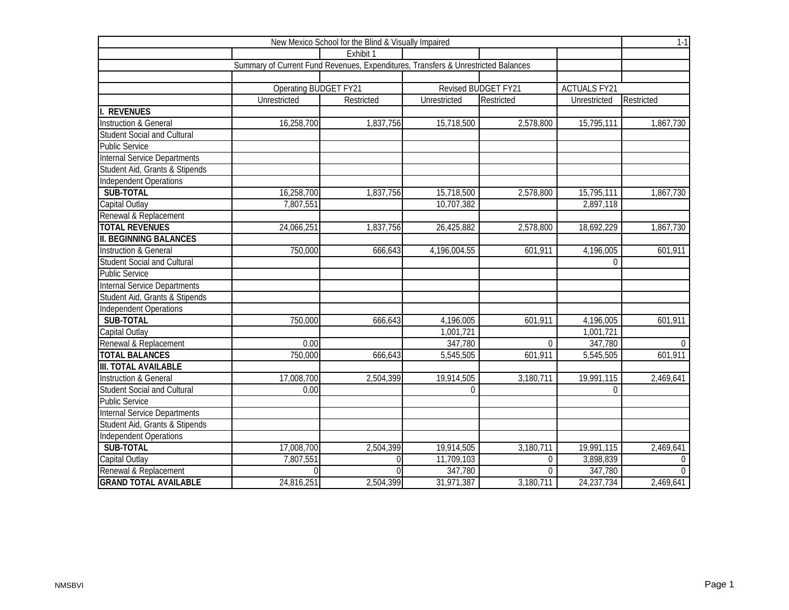| New Mexico School for the Blind & Visually Impaired |                                                                                   |             |                          |                     |                     |                |  |  |  |
|-----------------------------------------------------|-----------------------------------------------------------------------------------|-------------|--------------------------|---------------------|---------------------|----------------|--|--|--|
|                                                     |                                                                                   | Exhibit 1   |                          |                     |                     |                |  |  |  |
|                                                     | Summary of Current Fund Revenues, Expenditures, Transfers & Unrestricted Balances |             |                          |                     |                     |                |  |  |  |
|                                                     |                                                                                   |             |                          |                     |                     |                |  |  |  |
|                                                     | Operating BUDGET FY21                                                             |             |                          | Revised BUDGET FY21 | <b>ACTUALS FY21</b> |                |  |  |  |
|                                                     | Unrestricted                                                                      | Restricted  | Unrestricted             | Restricted          | Unrestricted        | Restricted     |  |  |  |
| <b>REVENUES</b>                                     |                                                                                   |             |                          |                     |                     |                |  |  |  |
| <b>Instruction &amp; General</b>                    | 16,258,700                                                                        | 1,837,756   | 15,718,500               | 2,578,800           | 15,795,111          | 1,867,730      |  |  |  |
| <b>Student Social and Cultural</b>                  |                                                                                   |             |                          |                     |                     |                |  |  |  |
| <b>Public Service</b>                               |                                                                                   |             |                          |                     |                     |                |  |  |  |
| <b>Internal Service Departments</b>                 |                                                                                   |             |                          |                     |                     |                |  |  |  |
| Student Aid, Grants & Stipends                      |                                                                                   |             |                          |                     |                     |                |  |  |  |
| Independent Operations                              |                                                                                   |             |                          |                     |                     |                |  |  |  |
| SUB-TOTAL                                           | 16,258,700                                                                        | 1,837,756   | 15,718,500               | 2,578,800           | 15,795,111          | 1,867,730      |  |  |  |
| Capital Outlay                                      | 7,807,551                                                                         |             | 10,707,382               |                     | 2,897,118           |                |  |  |  |
| Renewal & Replacement                               |                                                                                   |             |                          |                     |                     |                |  |  |  |
| <b>TOTAL REVENUES</b>                               | 24,066,251                                                                        | 1,837,756   | 26,425,882               | 2,578,800           | 18,692,229          | 1,867,730      |  |  |  |
| <b>II. BEGINNING BALANCES</b>                       |                                                                                   |             |                          |                     |                     |                |  |  |  |
| <b>Instruction &amp; General</b>                    | 750,000                                                                           | 666,643     | 4,196,004.55             | 601,911             | 4,196,005           | 601,911        |  |  |  |
| <b>Student Social and Cultural</b>                  |                                                                                   |             |                          |                     | $\Omega$            |                |  |  |  |
| <b>Public Service</b>                               |                                                                                   |             |                          |                     |                     |                |  |  |  |
| Internal Service Departments                        |                                                                                   |             |                          |                     |                     |                |  |  |  |
| Student Aid, Grants & Stipends                      |                                                                                   |             |                          |                     |                     |                |  |  |  |
| Independent Operations                              |                                                                                   |             |                          |                     |                     |                |  |  |  |
| SUB-TOTAL                                           | 750,000                                                                           | 666,643     | 4,196,005                | 601,911             | 4,196,005           | 601,911        |  |  |  |
| Capital Outlay                                      |                                                                                   |             | 1,001,721                |                     | 1,001,721           |                |  |  |  |
| Renewal & Replacement                               | 0.00                                                                              |             | 347,780                  | $\Omega$            | 347,780             | $\overline{0}$ |  |  |  |
| <b>TOTAL BALANCES</b>                               | 750,000                                                                           | 666,643     | 5,545,505                | 601,911             | 5,545,505           | 601,911        |  |  |  |
| <b>III. TOTAL AVAILABLE</b>                         |                                                                                   |             |                          |                     |                     |                |  |  |  |
| <b>Instruction &amp; General</b>                    | 17,008,700                                                                        | 2,504,399   | 19,914,505               | 3,180,711           | 19,991,115          | 2,469,641      |  |  |  |
| <b>Student Social and Cultural</b>                  | 0.00                                                                              |             | $\Omega$                 |                     | $\Omega$            |                |  |  |  |
| <b>Public Service</b>                               |                                                                                   |             |                          |                     |                     |                |  |  |  |
| <b>Internal Service Departments</b>                 |                                                                                   |             |                          |                     |                     |                |  |  |  |
| Student Aid, Grants & Stipends                      |                                                                                   |             |                          |                     |                     |                |  |  |  |
| <b>Independent Operations</b>                       |                                                                                   |             |                          |                     |                     |                |  |  |  |
| SUB-TOTAL                                           | 17,008,700                                                                        | 2,504,399   | 19,914,505               | 3,180,711           | 19,991,115          | 2,469,641      |  |  |  |
| Capital Outlay                                      | 7,807,551                                                                         | $\mathbf 0$ | 11,709,103               | $\theta$            | 3,898,839           | $\mathbf 0$    |  |  |  |
| Renewal & Replacement                               |                                                                                   | $\Omega$    | 347,780                  | $\theta$            | 347,780             | $\overline{0}$ |  |  |  |
| <b>GRAND TOTAL AVAILABLE</b>                        | 24,816,251                                                                        | 2,504,399   | $\overline{31,97}$ 1,387 | 3,180,711           | 24, 237, 734        | 2,469,641      |  |  |  |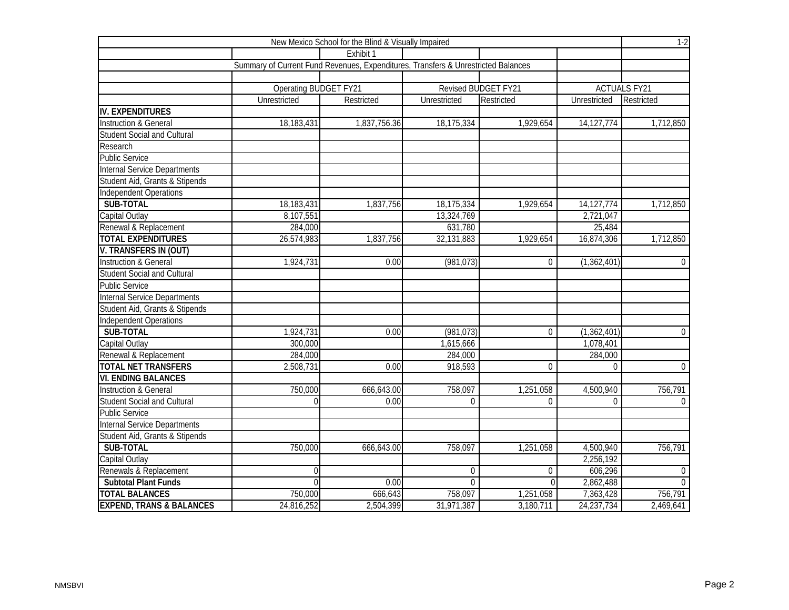| New Mexico School for the Blind & Visually Impaired |                                                                                   |              |              |                     |               |                     |  |  |  |  |
|-----------------------------------------------------|-----------------------------------------------------------------------------------|--------------|--------------|---------------------|---------------|---------------------|--|--|--|--|
|                                                     |                                                                                   | Exhibit 1    |              |                     |               |                     |  |  |  |  |
|                                                     | Summary of Current Fund Revenues, Expenditures, Transfers & Unrestricted Balances |              |              |                     |               |                     |  |  |  |  |
|                                                     |                                                                                   |              |              |                     |               |                     |  |  |  |  |
|                                                     | <b>Operating BUDGET FY21</b>                                                      |              |              | Revised BUDGET FY21 |               | <b>ACTUALS FY21</b> |  |  |  |  |
|                                                     | Unrestricted                                                                      | Restricted   | Unrestricted | Restricted          | Unrestricted  | Restricted          |  |  |  |  |
| <b>IV. EXPENDITURES</b>                             |                                                                                   |              |              |                     |               |                     |  |  |  |  |
| <b>Instruction &amp; General</b>                    | 18,183,431                                                                        | 1,837,756.36 | 18,175,334   | 1,929,654           | 14, 127, 774  | 1,712,850           |  |  |  |  |
| <b>Student Social and Cultural</b>                  |                                                                                   |              |              |                     |               |                     |  |  |  |  |
| Research                                            |                                                                                   |              |              |                     |               |                     |  |  |  |  |
| <b>Public Service</b>                               |                                                                                   |              |              |                     |               |                     |  |  |  |  |
| Internal Service Departments                        |                                                                                   |              |              |                     |               |                     |  |  |  |  |
| Student Aid, Grants & Stipends                      |                                                                                   |              |              |                     |               |                     |  |  |  |  |
| Independent Operations                              |                                                                                   |              |              |                     |               |                     |  |  |  |  |
| SUB-TOTAL                                           | 18,183,431                                                                        | 1,837,756    | 18,175,334   | 1,929,654           | 14, 127, 774  | 1,712,850           |  |  |  |  |
| Capital Outlay                                      | 8,107,551                                                                         |              | 13,324,769   |                     | 2,721,047     |                     |  |  |  |  |
| Renewal & Replacement                               | 284,000                                                                           |              | 631,780      |                     | 25,484        |                     |  |  |  |  |
| <b>TOTAL EXPENDITURES</b>                           | 26,574,983                                                                        | 1,837,756    | 32,131,883   | 1,929,654           | 16,874,306    | 1,712,850           |  |  |  |  |
| V. TRANSFERS IN (OUT)                               |                                                                                   |              |              |                     |               |                     |  |  |  |  |
| <b>Instruction &amp; General</b>                    | 1,924,731                                                                         | 0.00         | (981, 073)   | $\Omega$            | (1,362,401)   | $\overline{0}$      |  |  |  |  |
| <b>Student Social and Cultural</b>                  |                                                                                   |              |              |                     |               |                     |  |  |  |  |
| <b>Public Service</b>                               |                                                                                   |              |              |                     |               |                     |  |  |  |  |
| Internal Service Departments                        |                                                                                   |              |              |                     |               |                     |  |  |  |  |
| Student Aid, Grants & Stipends                      |                                                                                   |              |              |                     |               |                     |  |  |  |  |
| Independent Operations                              |                                                                                   |              |              |                     |               |                     |  |  |  |  |
| SUB-TOTAL                                           | 1,924,731                                                                         | 0.00         | (981, 073)   | $\Omega$            | (1, 362, 401) | $\overline{0}$      |  |  |  |  |
| Capital Outlay                                      | 300,000                                                                           |              | 1,615,666    |                     | 1,078,401     |                     |  |  |  |  |
| Renewal & Replacement                               | 284,000                                                                           |              | 284,000      |                     | 284,000       |                     |  |  |  |  |
| <b>TOTAL NET TRANSFERS</b>                          | 2,508,731                                                                         | 0.00         | 918,593      | $\Omega$            | $\mathbf 0$   | $\overline{0}$      |  |  |  |  |
| <b>VI. ENDING BALANCES</b>                          |                                                                                   |              |              |                     |               |                     |  |  |  |  |
| <b>Instruction &amp; General</b>                    | 750,000                                                                           | 666,643.00   | 758,097      | 1,251,058           | 4,500,940     | 756,791             |  |  |  |  |
| <b>Student Social and Cultural</b>                  | $\Omega$                                                                          | 0.00         | $\Omega$     | $\Omega$            | $\Omega$      | $\overline{0}$      |  |  |  |  |
| <b>Public Service</b>                               |                                                                                   |              |              |                     |               |                     |  |  |  |  |
| <b>Internal Service Departments</b>                 |                                                                                   |              |              |                     |               |                     |  |  |  |  |
| Student Aid, Grants & Stipends                      |                                                                                   |              |              |                     |               |                     |  |  |  |  |
| SUB-TOTAL                                           | 750,000                                                                           | 666,643.00   | 758,097      | 1,251,058           | 4,500,940     | 756,791             |  |  |  |  |
| Capital Outlay                                      |                                                                                   |              |              |                     | 2,256,192     |                     |  |  |  |  |
| Renewals & Replacement                              | $\Omega$                                                                          |              | $\mathbf 0$  | $\overline{0}$      | 606,296       | $\overline{0}$      |  |  |  |  |
| <b>Subtotal Plant Funds</b>                         | $\theta$                                                                          | 0.00         | $\Omega$     | $\theta$            | 2,862,488     | $\overline{0}$      |  |  |  |  |
| <b>TOTAL BALANCES</b>                               | 750,000                                                                           | 666,643      | 758,097      | 1,251,058           | 7,363,428     | 756,791             |  |  |  |  |
| <b>EXPEND, TRANS &amp; BALANCES</b>                 | 24,816,252                                                                        | 2,504,399    | 31,971,387   | 3,180,711           | 24,237,734    | 2,469,641           |  |  |  |  |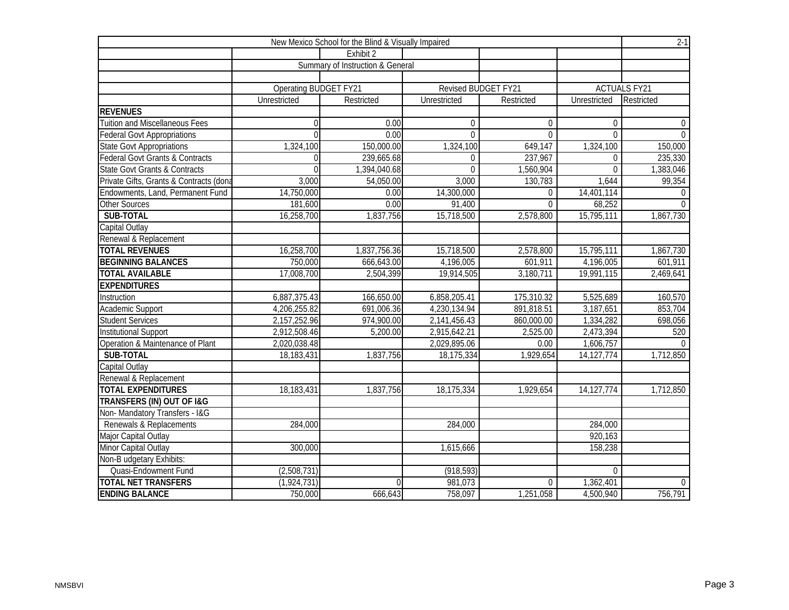| New Mexico School for the Blind & Visually Impaired |                              |                                  |                     |                |              |                     |  |  |  |  |
|-----------------------------------------------------|------------------------------|----------------------------------|---------------------|----------------|--------------|---------------------|--|--|--|--|
|                                                     |                              | Exhibit 2                        |                     |                |              |                     |  |  |  |  |
|                                                     |                              | Summary of Instruction & General |                     |                |              |                     |  |  |  |  |
|                                                     |                              |                                  |                     |                |              |                     |  |  |  |  |
|                                                     | <b>Operating BUDGET FY21</b> |                                  | Revised BUDGET FY21 |                |              | <b>ACTUALS FY21</b> |  |  |  |  |
|                                                     | Unrestricted                 | Restricted                       | <b>Unrestricted</b> | Restricted     | Unrestricted | Restricted          |  |  |  |  |
| <b>REVENUES</b>                                     |                              |                                  |                     |                |              |                     |  |  |  |  |
| <b>Tuition and Miscellaneous Fees</b>               | $\theta$                     | 0.00                             | $\Omega$            | $\Omega$       | $\Omega$     | $\mathbf 0$         |  |  |  |  |
| <b>Federal Govt Appropriations</b>                  | $\Omega$                     | 0.00                             | $\Omega$            | $\overline{0}$ | $\Omega$     | $\overline{0}$      |  |  |  |  |
| <b>State Govt Appropriations</b>                    | 1,324,100                    | 150,000.00                       | 1,324,100           | 649,147        | 1,324,100    | 150,000             |  |  |  |  |
| <b>Federal Govt Grants &amp; Contracts</b>          | $\Omega$                     | 239,665.68                       | $\theta$            | 237,967        | $\Omega$     | 235,330             |  |  |  |  |
| <b>State Govt Grants &amp; Contracts</b>            | $\Omega$                     | 1,394,040.68                     | $\Omega$            | 1,560,904      | $\Omega$     | 1,383,046           |  |  |  |  |
| Private Gifts, Grants & Contracts (dona             | 3,000                        | 54,050.00                        | 3,000               | 130,783        | 1,644        | 99,354              |  |  |  |  |
| Endowments, Land, Permanent Fund                    | 14,750,000                   | 0.00                             | 14,300,000          | $\overline{0}$ | 14,401,114   | $\overline{0}$      |  |  |  |  |
| <b>Other Sources</b>                                | 181,600                      | 0.00                             | 91,400              | $\Omega$       | 68,252       | $\overline{0}$      |  |  |  |  |
| SUB-TOTAL                                           | 16,258,700                   | 1,837,756                        | 15,718,500          | 2,578,800      | 15,795,111   | 1,867,730           |  |  |  |  |
| Capital Outlay                                      |                              |                                  |                     |                |              |                     |  |  |  |  |
| Renewal & Replacement                               |                              |                                  |                     |                |              |                     |  |  |  |  |
| <b>TOTAL REVENUES</b>                               | 16,258,700                   | 1,837,756.36                     | 15,718,500          | 2,578,800      | 15,795,111   | 1,867,730           |  |  |  |  |
| <b>BEGINNING BALANCES</b>                           | 750,000                      | 666,643.00                       | 4,196,005           | 601,911        | 4,196,005    | 601,911             |  |  |  |  |
| <b>TOTAL AVAILABLE</b>                              | 17,008,700                   | 2,504,399                        | 19,914,505          | 3,180,711      | 19,991,115   | 2,469,641           |  |  |  |  |
| <b>EXPENDITURES</b>                                 |                              |                                  |                     |                |              |                     |  |  |  |  |
| Instruction                                         | 6,887,375.43                 | 166,650.00                       | 6,858,205.41        | 175,310.32     | 5,525,689    | 160,570             |  |  |  |  |
| Academic Support                                    | 4,206,255.82                 | 691,006.36                       | 4,230,134.94        | 891,818.51     | 3,187,651    | 853,704             |  |  |  |  |
| <b>Student Services</b>                             | 2,157,252.96                 | 974,900.00                       | 2,141,456.43        | 860,000.00     | 1,334,282    | 698,056             |  |  |  |  |
| <b>Institutional Support</b>                        | 2,912,508.46                 | 5,200.00                         | 2,915,642.21        | 2,525.00       | 2,473,394    | 520                 |  |  |  |  |
| Operation & Maintenance of Plant                    | 2,020,038.48                 |                                  | 2,029,895.06        | 0.00           | 1,606,757    | $\Omega$            |  |  |  |  |
| SUB-TOTAL                                           | 18,183,431                   | 1,837,756                        | 18,175,334          | 1,929,654      | 14, 127, 774 | 1,712,850           |  |  |  |  |
| Capital Outlay                                      |                              |                                  |                     |                |              |                     |  |  |  |  |
| Renewal & Replacement                               |                              |                                  |                     |                |              |                     |  |  |  |  |
| <b>TOTAL EXPENDITURES</b>                           | 18,183,431                   | 1,837,756                        | 18,175,334          | 1,929,654      | 14, 127, 774 | 1,712,850           |  |  |  |  |
| TRANSFERS (IN) OUT OF I&G                           |                              |                                  |                     |                |              |                     |  |  |  |  |
| Non-Mandatory Transfers - I&G                       |                              |                                  |                     |                |              |                     |  |  |  |  |
| Renewals & Replacements                             | 284,000                      |                                  | 284,000             |                | 284,000      |                     |  |  |  |  |
| Major Capital Outlay                                |                              |                                  |                     |                | 920,163      |                     |  |  |  |  |
| Minor Capital Outlay                                | 300,000                      |                                  | 1,615,666           |                | 158, 238     |                     |  |  |  |  |
| Non-B udgetary Exhibits:                            |                              |                                  |                     |                |              |                     |  |  |  |  |
| Quasi-Endowment Fund                                | (2,508,731)                  |                                  | (918, 593)          |                | $\Omega$     |                     |  |  |  |  |
| <b>TOTAL NET TRANSFERS</b>                          | (1,924,731)                  | $\Omega$                         | 981,073             | $\Omega$       | 1,362,401    | $\overline{0}$      |  |  |  |  |
| <b>ENDING BALANCE</b>                               | 750,000                      | 666,643                          | 758,097             | 1,251,058      | 4,500,940    | 756,791             |  |  |  |  |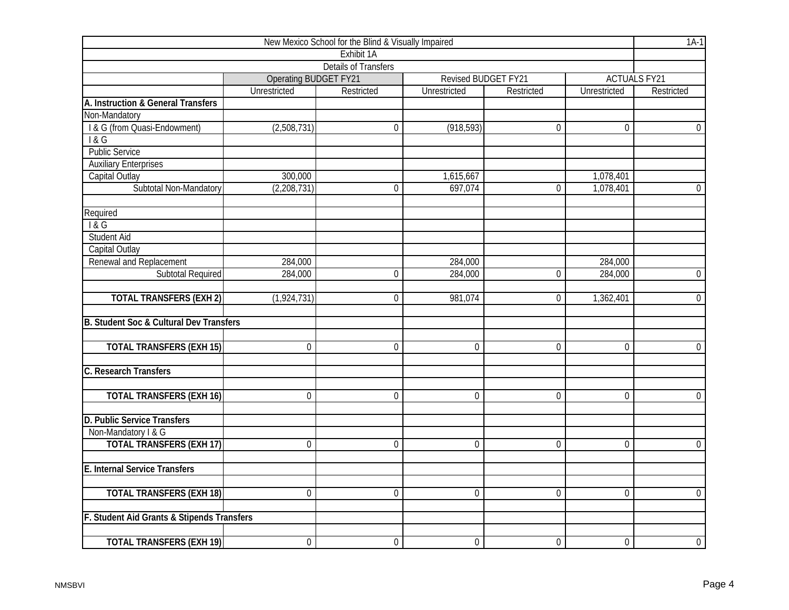| New Mexico School for the Blind & Visually Impaired |                              |                             |                |                     |                |                     |  |  |  |  |
|-----------------------------------------------------|------------------------------|-----------------------------|----------------|---------------------|----------------|---------------------|--|--|--|--|
|                                                     |                              | Exhibit <sub>1</sub> A      |                |                     |                |                     |  |  |  |  |
|                                                     |                              | <b>Details of Transfers</b> |                |                     |                |                     |  |  |  |  |
|                                                     | <b>Operating BUDGET FY21</b> |                             |                | Revised BUDGET FY21 |                | <b>ACTUALS FY21</b> |  |  |  |  |
|                                                     | Unrestricted                 | Restricted                  | Unrestricted   | Restricted          | Unrestricted   | Restricted          |  |  |  |  |
| A. Instruction & General Transfers                  |                              |                             |                |                     |                |                     |  |  |  |  |
| Non-Mandatory                                       |                              |                             |                |                     |                |                     |  |  |  |  |
| I & G (from Quasi-Endowment)                        | (2,508,731)                  | $\mathbf 0$                 | (918, 593)     | $\overline{0}$      | $\overline{0}$ | $\overline{0}$      |  |  |  |  |
| 1&G                                                 |                              |                             |                |                     |                |                     |  |  |  |  |
| <b>Public Service</b>                               |                              |                             |                |                     |                |                     |  |  |  |  |
| <b>Auxiliary Enterprises</b>                        |                              |                             |                |                     |                |                     |  |  |  |  |
| Capital Outlay                                      | 300,000                      |                             | 1,615,667      |                     | 1,078,401      |                     |  |  |  |  |
| Subtotal Non-Mandatory                              | (2, 208, 731)                | $\boldsymbol{0}$            | 697,074        | $\mathbf 0$         | 1,078,401      | $\overline{0}$      |  |  |  |  |
| Required                                            |                              |                             |                |                     |                |                     |  |  |  |  |
| 1&G                                                 |                              |                             |                |                     |                |                     |  |  |  |  |
| <b>Student Aid</b>                                  |                              |                             |                |                     |                |                     |  |  |  |  |
| Capital Outlay                                      |                              |                             |                |                     |                |                     |  |  |  |  |
| Renewal and Replacement                             | 284,000                      |                             | 284,000        |                     | 284,000        |                     |  |  |  |  |
| <b>Subtotal Required</b>                            | 284,000                      | $\mathbf 0$                 | 284,000        | $\overline{0}$      | 284,000        | $\overline{0}$      |  |  |  |  |
| <b>TOTAL TRANSFERS (EXH 2)</b>                      | (1,924,731)                  | $\Omega$                    | 981,074        | 0                   | 1,362,401      | $\overline{0}$      |  |  |  |  |
| B. Student Soc & Cultural Dev Transfers             |                              |                             |                |                     |                |                     |  |  |  |  |
| <b>TOTAL TRANSFERS (EXH 15)</b>                     | $\overline{0}$               | $\mathbf 0$                 | 0              | $\mathbf 0$         | $\mathbf 0$    | $\overline{0}$      |  |  |  |  |
| C. Research Transfers                               |                              |                             |                |                     |                |                     |  |  |  |  |
| <b>TOTAL TRANSFERS (EXH 16)</b>                     | $\overline{0}$               | $\mathbf 0$                 | $\overline{0}$ | $\overline{0}$      | $\overline{0}$ | $\overline{0}$      |  |  |  |  |
| D. Public Service Transfers                         |                              |                             |                |                     |                |                     |  |  |  |  |
| Non-Mandatory I & G                                 |                              |                             |                |                     |                |                     |  |  |  |  |
| <b>TOTAL TRANSFERS (EXH 17)</b>                     | $\overline{0}$               | $\mathbf 0$                 | $\overline{0}$ | $\overline{0}$      | $\overline{0}$ | $\overline{0}$      |  |  |  |  |
| <b>E. Internal Service Transfers</b>                |                              |                             |                |                     |                |                     |  |  |  |  |
| <b>TOTAL TRANSFERS (EXH 18)</b>                     | $\overline{0}$               | $\mathbf 0$                 | $\mathbf 0$    | $\overline{0}$      | $\overline{0}$ | $\overline{0}$      |  |  |  |  |
| F. Student Aid Grants & Stipends Transfers          |                              |                             |                |                     |                |                     |  |  |  |  |
|                                                     |                              |                             |                |                     |                |                     |  |  |  |  |
| <b>TOTAL TRANSFERS (EXH 19)</b>                     | $\mathbf 0$                  | $\mathbf 0$                 | $\mathbf 0$    | $\mathbf 0$         | $\mathbf 0$    | $\overline{0}$      |  |  |  |  |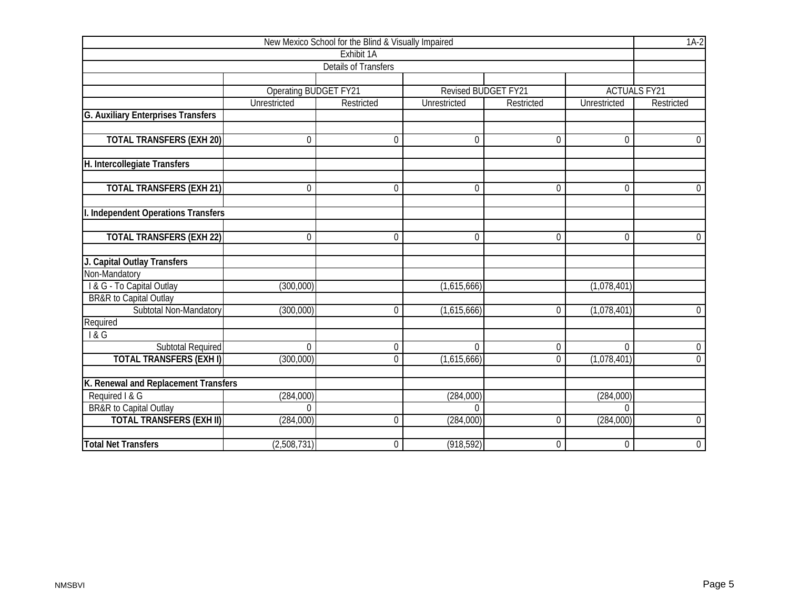|                                                                      |                              | New Mexico School for the Blind & Visually Impaired |                       |                |                        | $1A-2$              |
|----------------------------------------------------------------------|------------------------------|-----------------------------------------------------|-----------------------|----------------|------------------------|---------------------|
|                                                                      |                              | Exhibit 1A                                          |                       |                |                        |                     |
|                                                                      |                              | <b>Details of Transfers</b>                         |                       |                |                        |                     |
|                                                                      |                              |                                                     |                       |                |                        |                     |
|                                                                      | <b>Operating BUDGET FY21</b> |                                                     | Revised BUDGET FY21   |                |                        | <b>ACTUALS FY21</b> |
|                                                                      | Unrestricted                 | Restricted                                          | Unrestricted          | Restricted     | Unrestricted           | Restricted          |
| <b>G. Auxiliary Enterprises Transfers</b>                            |                              |                                                     |                       |                |                        |                     |
|                                                                      |                              |                                                     |                       |                |                        |                     |
| <b>TOTAL TRANSFERS (EXH 20)</b>                                      | $\Omega$                     | $\Omega$                                            | $\Omega$              | $\Omega$       | $\Omega$               | $\mathbf 0$         |
|                                                                      |                              |                                                     |                       |                |                        |                     |
| H. Intercollegiate Transfers                                         |                              |                                                     |                       |                |                        |                     |
| <b>TOTAL TRANSFERS (EXH 21)</b>                                      | $\mathbf 0$                  | $\mathbf 0$                                         | $\mathbf 0$           | $\mathbf 0$    | $\overline{0}$         | $\overline{0}$      |
|                                                                      |                              |                                                     |                       |                |                        |                     |
| I. Independent Operations Transfers                                  |                              |                                                     |                       |                |                        |                     |
|                                                                      |                              |                                                     |                       |                |                        |                     |
| <b>TOTAL TRANSFERS (EXH 22)</b>                                      | $\Omega$                     | $\Omega$                                            | 0                     | $\mathbf 0$    | $\overline{0}$         | $\mathbf 0$         |
|                                                                      |                              |                                                     |                       |                |                        |                     |
| J. Capital Outlay Transfers                                          |                              |                                                     |                       |                |                        |                     |
| Non-Mandatory                                                        |                              |                                                     |                       |                |                        |                     |
| I & G - To Capital Outlay                                            | (300,000)                    |                                                     | (1,615,666)           |                | (1,078,401)            |                     |
| BR&R to Capital Outlay                                               |                              |                                                     |                       |                |                        |                     |
| Subtotal Non-Mandatory                                               | (300,000)                    | $\Omega$                                            | (1,615,666)           | $\overline{0}$ | (1,078,401)            | $\overline{0}$      |
| Required                                                             |                              |                                                     |                       |                |                        |                     |
| 18G                                                                  |                              |                                                     |                       |                |                        |                     |
| <b>Subtotal Required</b>                                             | $\overline{0}$               | $\mathbf 0$                                         | $\overline{0}$        | $\overline{0}$ | $\overline{0}$         | $\overline{0}$      |
| <b>TOTAL TRANSFERS (EXHI)</b>                                        | (300,000)                    | $\mathbf 0$                                         | (1,615,666)           | $\overline{0}$ | (1,078,401)            | $\mathbf 0$         |
|                                                                      |                              |                                                     |                       |                |                        |                     |
| K. Renewal and Replacement Transfers                                 |                              |                                                     |                       |                |                        |                     |
| Required I & G                                                       | (284,000)<br>$\Omega$        |                                                     | (284,000)<br>$\Omega$ |                | (284,000)              |                     |
| <b>BR&amp;R</b> to Capital Outlay<br><b>TOTAL TRANSFERS (EXH II)</b> | (284,000)                    | $\Omega$                                            |                       | 0              | $\Omega$<br>(284, 000) | $\boldsymbol{0}$    |
|                                                                      |                              |                                                     | (284,000)             |                |                        |                     |
| <b>Total Net Transfers</b>                                           | (2,508,731)                  | $\boldsymbol{0}$                                    | (918, 592)            | $\overline{0}$ | $\overline{0}$         | $\overline{0}$      |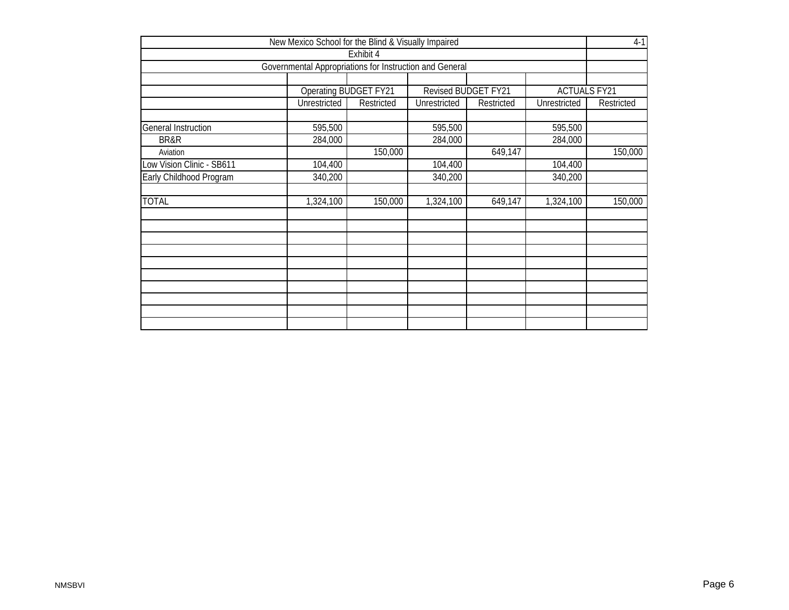| New Mexico School for the Blind & Visually Impaired |                                                         |                       |                     |            |                     |            |  |  |  |  |  |
|-----------------------------------------------------|---------------------------------------------------------|-----------------------|---------------------|------------|---------------------|------------|--|--|--|--|--|
|                                                     |                                                         | Exhibit 4             |                     |            |                     |            |  |  |  |  |  |
|                                                     | Governmental Appropriations for Instruction and General |                       |                     |            |                     |            |  |  |  |  |  |
|                                                     |                                                         |                       |                     |            |                     |            |  |  |  |  |  |
|                                                     |                                                         | Operating BUDGET FY21 | Revised BUDGET FY21 |            | <b>ACTUALS FY21</b> |            |  |  |  |  |  |
|                                                     | Unrestricted                                            | Restricted            | Unrestricted        | Restricted | Unrestricted        | Restricted |  |  |  |  |  |
| General Instruction                                 | 595,500                                                 |                       | 595,500             |            | 595,500             |            |  |  |  |  |  |
| BR&R                                                | 284,000                                                 |                       | 284,000             |            | 284,000             |            |  |  |  |  |  |
| Aviation                                            |                                                         | 150,000               |                     | 649,147    |                     | 150,000    |  |  |  |  |  |
| Low Vision Clinic - SB611                           | 104,400                                                 |                       | 104,400             |            | 104,400             |            |  |  |  |  |  |
| Early Childhood Program                             | 340,200                                                 |                       | 340,200             |            | 340,200             |            |  |  |  |  |  |
| <b>TOTAL</b>                                        | 1,324,100                                               | 150,000               | 1,324,100           | 649,147    | 1,324,100           | 150,000    |  |  |  |  |  |
|                                                     |                                                         |                       |                     |            |                     |            |  |  |  |  |  |
|                                                     |                                                         |                       |                     |            |                     |            |  |  |  |  |  |
|                                                     |                                                         |                       |                     |            |                     |            |  |  |  |  |  |
|                                                     |                                                         |                       |                     |            |                     |            |  |  |  |  |  |
|                                                     |                                                         |                       |                     |            |                     |            |  |  |  |  |  |
|                                                     |                                                         |                       |                     |            |                     |            |  |  |  |  |  |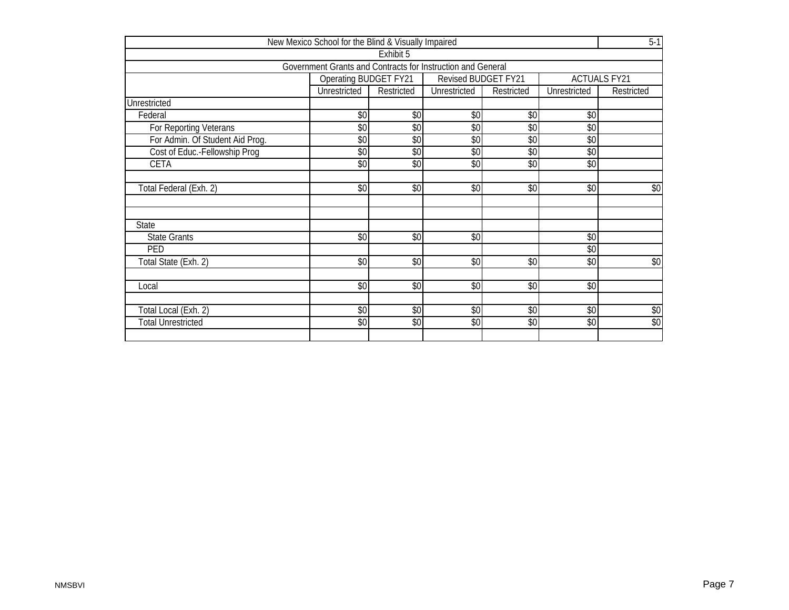|                                 | New Mexico School for the Blind & Visually Impaired         |            |                            |            |                     | $5-1$      |
|---------------------------------|-------------------------------------------------------------|------------|----------------------------|------------|---------------------|------------|
|                                 |                                                             | Exhibit 5  |                            |            |                     |            |
|                                 | Government Grants and Contracts for Instruction and General |            |                            |            |                     |            |
|                                 | <b>Operating BUDGET FY21</b>                                |            | <b>Revised BUDGET FY21</b> |            | <b>ACTUALS FY21</b> |            |
|                                 | Unrestricted                                                | Restricted | Unrestricted               | Restricted | Unrestricted        | Restricted |
| Unrestricted                    |                                                             |            |                            |            |                     |            |
| Federal                         | \$0                                                         | \$0        | \$0                        | \$0        | \$0                 |            |
| For Reporting Veterans          | \$0                                                         | \$0        | \$0                        | \$0        | \$0                 |            |
| For Admin. Of Student Aid Prog. | \$0                                                         | $\sqrt{6}$ | $\overline{50}$            | $\sqrt{6}$ | \$0                 |            |
| Cost of Educ.-Fellowship Prog   | \$0                                                         | \$0        | \$0                        | \$0        | \$0                 |            |
| CETA                            | \$0                                                         | \$0        | \$0                        | \$0        | \$0                 |            |
|                                 |                                                             |            |                            |            |                     |            |
| Total Federal (Exh. 2)          | \$0                                                         | \$0        | \$0                        | \$0        | \$0                 | \$0        |
|                                 |                                                             |            |                            |            |                     |            |
|                                 |                                                             |            |                            |            |                     |            |
| <b>State</b>                    |                                                             |            |                            |            |                     |            |
| <b>State Grants</b>             | \$0                                                         | $\sqrt{6}$ | \$0                        |            | $\sqrt{0}$          |            |
| PED                             |                                                             |            |                            |            | \$0                 |            |
| Total State (Exh. 2)            | \$0                                                         | \$0        | \$0                        | \$0        | \$0                 | \$0        |
|                                 |                                                             |            |                            |            |                     |            |
| Local                           | \$0                                                         | \$0        | \$0                        | \$0        | \$0                 |            |
|                                 |                                                             |            |                            |            |                     |            |
| Total Local (Exh. 2)            | \$0                                                         | $\sqrt{6}$ | \$0                        | $\sqrt{6}$ | $\sqrt{6}$          | \$0        |
| <b>Total Unrestricted</b>       | \$0                                                         | \$0        | \$0                        | \$0        | \$0                 | $\sqrt{6}$ |
|                                 |                                                             |            |                            |            |                     |            |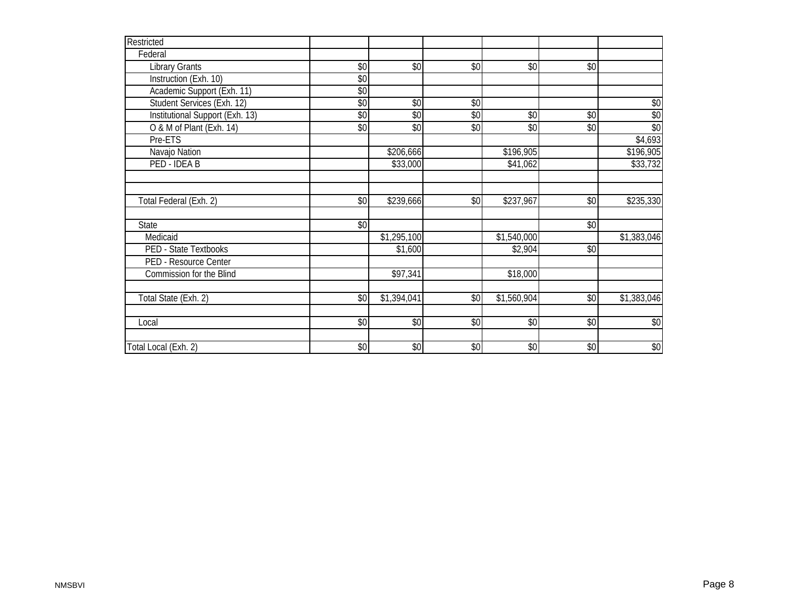| Restricted                      |     |             |            |             |            |             |
|---------------------------------|-----|-------------|------------|-------------|------------|-------------|
| Federal                         |     |             |            |             |            |             |
| <b>Library Grants</b>           | \$0 | $\sqrt{6}$  | $\sqrt{6}$ | $\sqrt{6}$  | $\sqrt{6}$ |             |
| Instruction (Exh. 10)           | \$0 |             |            |             |            |             |
| Academic Support (Exh. 11)      | \$0 |             |            |             |            |             |
| Student Services (Exh. 12)      | \$0 | $\sqrt{6}$  | \$0        |             |            | \$0         |
| Institutional Support (Exh. 13) | \$0 | \$0         | $\sqrt{6}$ | \$0         | \$0        | \$0         |
| O & M of Plant (Exh. 14)        | \$0 | \$0         | \$0        | \$0         | \$0        | \$0         |
| Pre-ETS                         |     |             |            |             |            | \$4,693     |
| Navajo Nation                   |     | \$206,666   |            | \$196,905   |            | \$196,905   |
| PED - IDEA B                    |     | \$33,000    |            | \$41,062    |            | \$33,732    |
|                                 |     |             |            |             |            |             |
|                                 |     |             |            |             |            |             |
| Total Federal (Exh. 2)          | \$0 | \$239,666   | \$0        | \$237,967   | \$0        | \$235,330   |
|                                 |     |             |            |             |            |             |
| State                           | \$0 |             |            |             | \$0        |             |
| Medicaid                        |     | \$1,295,100 |            | \$1,540,000 |            | \$1,383,046 |
| <b>PED - State Textbooks</b>    |     | \$1,600     |            | \$2,904     | \$0        |             |
| PED - Resource Center           |     |             |            |             |            |             |
| <b>Commission for the Blind</b> |     | \$97,341    |            | \$18,000    |            |             |
|                                 |     |             |            |             |            |             |
| Total State (Exh. 2)            | \$0 | \$1,394,041 | \$0        | \$1,560,904 | \$0        | \$1,383,046 |
|                                 |     |             |            |             |            |             |
| Local                           | \$0 | \$0         | \$0        | \$0         | \$0        | \$0         |
|                                 |     |             |            |             |            |             |
| Total Local (Exh. 2)            | \$0 | \$0         | $\sqrt{6}$ | \$0         | $\sqrt{6}$ | \$0         |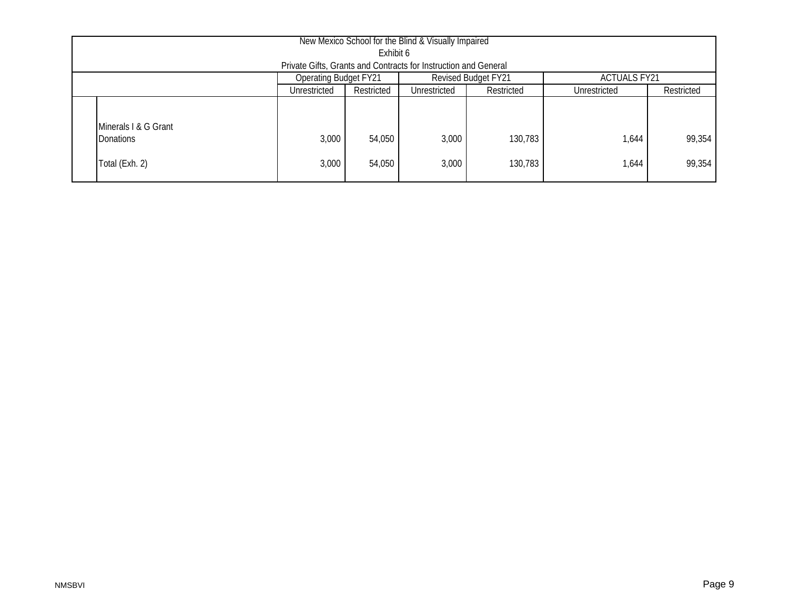| New Mexico School for the Blind & Visually Impaired             |                                                                            |                  |                |                    |                |                  |  |  |  |  |  |
|-----------------------------------------------------------------|----------------------------------------------------------------------------|------------------|----------------|--------------------|----------------|------------------|--|--|--|--|--|
| Exhibit 6                                                       |                                                                            |                  |                |                    |                |                  |  |  |  |  |  |
| Private Gifts, Grants and Contracts for Instruction and General |                                                                            |                  |                |                    |                |                  |  |  |  |  |  |
|                                                                 | Revised Budget FY21<br><b>Operating Budget FY21</b><br><b>ACTUALS FY21</b> |                  |                |                    |                |                  |  |  |  |  |  |
|                                                                 | Unrestricted                                                               | Restricted       | Unrestricted   | Restricted         | Unrestricted   | Restricted       |  |  |  |  |  |
| Minerals I & G Grant<br><b>Donations</b><br>Total (Exh. 2)      | 3,000<br>3,000                                                             | 54,050<br>54,050 | 3,000<br>3,000 | 130,783<br>130,783 | 1,644<br>1,644 | 99,354<br>99,354 |  |  |  |  |  |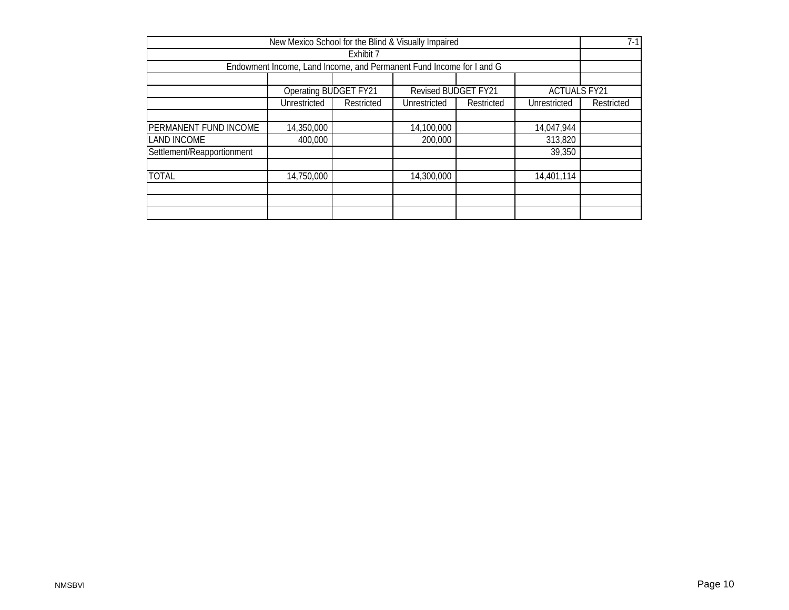|                                                                                   |                                                                      |            | New Mexico School for the Blind & Visually Impaired |            |              | $7-1$      |  |  |  |  |
|-----------------------------------------------------------------------------------|----------------------------------------------------------------------|------------|-----------------------------------------------------|------------|--------------|------------|--|--|--|--|
|                                                                                   |                                                                      | Exhibit 7  |                                                     |            |              |            |  |  |  |  |
|                                                                                   | Endowment Income, Land Income, and Permanent Fund Income for I and G |            |                                                     |            |              |            |  |  |  |  |
|                                                                                   |                                                                      |            |                                                     |            |              |            |  |  |  |  |
| <b>Revised BUDGET FY21</b><br><b>Operating BUDGET FY21</b><br><b>ACTUALS FY21</b> |                                                                      |            |                                                     |            |              |            |  |  |  |  |
|                                                                                   | Unrestricted                                                         | Restricted | Unrestricted                                        | Restricted | Unrestricted | Restricted |  |  |  |  |
|                                                                                   |                                                                      |            |                                                     |            |              |            |  |  |  |  |
| PERMANENT FUND INCOME                                                             | 14,350,000                                                           |            | 14,100,000                                          |            | 14,047,944   |            |  |  |  |  |
| <b>LAND INCOME</b>                                                                | 400,000                                                              |            | 200,000                                             |            | 313,820      |            |  |  |  |  |
| Settlement/Reapportionment                                                        |                                                                      |            |                                                     |            | 39,350       |            |  |  |  |  |
|                                                                                   |                                                                      |            |                                                     |            |              |            |  |  |  |  |
| <b>TOTAL</b>                                                                      | 14,750,000                                                           |            | 14,300,000                                          |            | 14,401,114   |            |  |  |  |  |
|                                                                                   |                                                                      |            |                                                     |            |              |            |  |  |  |  |
|                                                                                   |                                                                      |            |                                                     |            |              |            |  |  |  |  |
|                                                                                   |                                                                      |            |                                                     |            |              |            |  |  |  |  |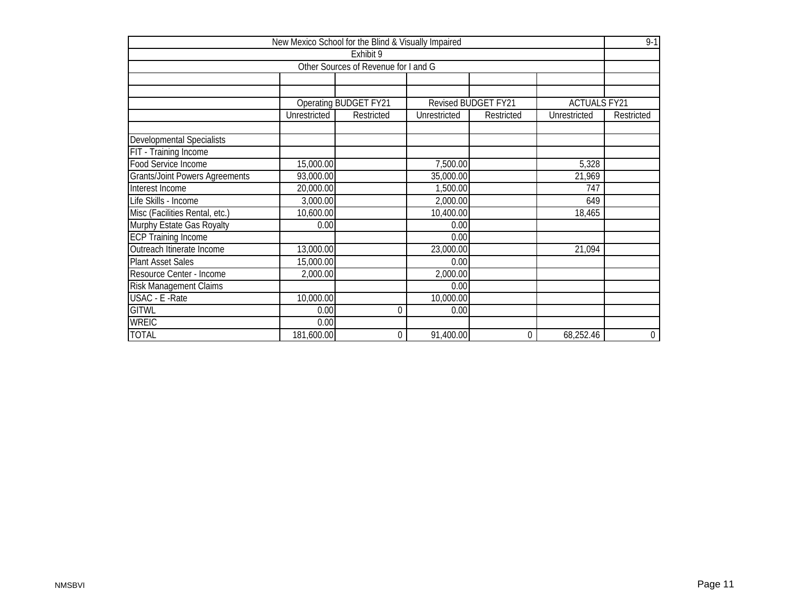|                                       | New Mexico School for the Blind & Visually Impaired |                                      |              |                            |                     | $9 - 1$          |  |  |  |  |
|---------------------------------------|-----------------------------------------------------|--------------------------------------|--------------|----------------------------|---------------------|------------------|--|--|--|--|
|                                       |                                                     | Exhibit 9                            |              |                            |                     |                  |  |  |  |  |
|                                       |                                                     | Other Sources of Revenue for I and G |              |                            |                     |                  |  |  |  |  |
|                                       |                                                     |                                      |              |                            |                     |                  |  |  |  |  |
|                                       |                                                     |                                      |              |                            |                     |                  |  |  |  |  |
|                                       |                                                     | <b>Operating BUDGET FY21</b>         |              | <b>Revised BUDGET FY21</b> | <b>ACTUALS FY21</b> |                  |  |  |  |  |
|                                       | Unrestricted                                        | Restricted                           | Unrestricted | Restricted                 | Unrestricted        | Restricted       |  |  |  |  |
|                                       |                                                     |                                      |              |                            |                     |                  |  |  |  |  |
| <b>Developmental Specialists</b>      |                                                     |                                      |              |                            |                     |                  |  |  |  |  |
| FIT - Training Income                 |                                                     |                                      |              |                            |                     |                  |  |  |  |  |
| <b>Food Service Income</b>            |                                                     | 15,000.00<br>5,328<br>7,500.00       |              |                            |                     |                  |  |  |  |  |
| <b>Grants/Joint Powers Agreements</b> | 93,000.00<br>35,000.00<br>21,969                    |                                      |              |                            |                     |                  |  |  |  |  |
| Interest Income                       | 20,000.00                                           |                                      | 1,500.00     |                            | 747                 |                  |  |  |  |  |
| Life Skills - Income                  | 3,000.00                                            |                                      | 2,000.00     |                            | 649                 |                  |  |  |  |  |
| Misc (Facilities Rental, etc.)        | 10,600.00                                           |                                      | 10,400.00    |                            | 18,465              |                  |  |  |  |  |
| Murphy Estate Gas Royalty             | 0.00                                                |                                      | 0.00         |                            |                     |                  |  |  |  |  |
| <b>ECP Training Income</b>            |                                                     |                                      | 0.00         |                            |                     |                  |  |  |  |  |
| Outreach Itinerate Income             | 13,000.00                                           |                                      | 23,000.00    |                            | 21,094              |                  |  |  |  |  |
| <b>Plant Asset Sales</b>              | 15,000.00                                           |                                      | 0.00         |                            |                     |                  |  |  |  |  |
| Resource Center - Income              | 2,000.00                                            |                                      | 2,000.00     |                            |                     |                  |  |  |  |  |
| Risk Management Claims                |                                                     |                                      | 0.00         |                            |                     |                  |  |  |  |  |
| USAC - E - Rate                       | 10,000.00                                           |                                      | 10,000.00    |                            |                     |                  |  |  |  |  |
| <b>GITWL</b>                          | $\mathbf 0$<br>0.00<br>0.00                         |                                      |              |                            |                     |                  |  |  |  |  |
| <b>WREIC</b>                          | 0.00                                                |                                      |              |                            |                     |                  |  |  |  |  |
| <b>TOTAL</b>                          | 181,600.00                                          | $\Omega$                             | 91,400.00    | 0                          | 68,252.46           | $\boldsymbol{0}$ |  |  |  |  |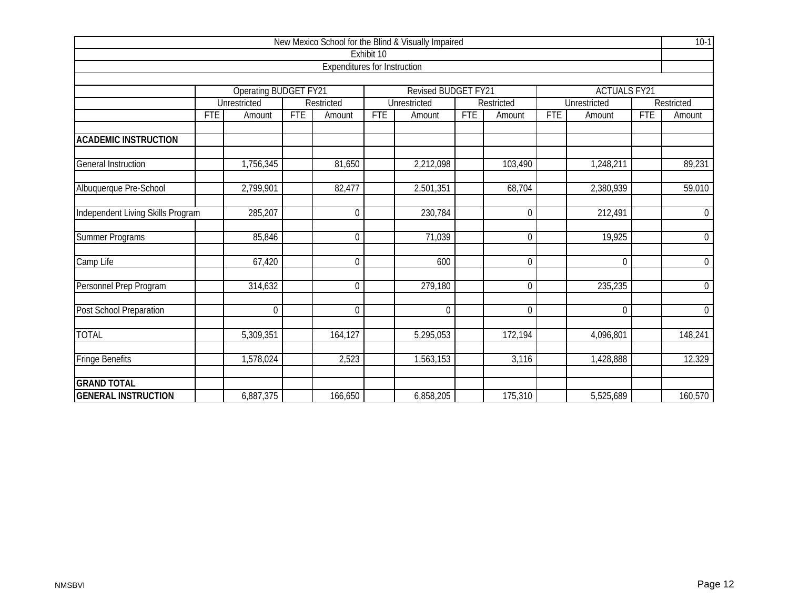|                                   |            |                       |            |                                     |                            | New Mexico School for the Blind & Visually Impaired |            |             |                     |                     |            | $10-1$         |
|-----------------------------------|------------|-----------------------|------------|-------------------------------------|----------------------------|-----------------------------------------------------|------------|-------------|---------------------|---------------------|------------|----------------|
|                                   |            |                       |            |                                     | Exhibit 10                 |                                                     |            |             |                     |                     |            |                |
|                                   |            |                       |            | <b>Expenditures for Instruction</b> |                            |                                                     |            |             |                     |                     |            |                |
|                                   |            |                       |            |                                     |                            |                                                     |            |             |                     |                     |            |                |
|                                   |            | Operating BUDGET FY21 |            |                                     | <b>Revised BUDGET FY21</b> |                                                     |            |             | <b>ACTUALS FY21</b> |                     |            |                |
|                                   |            | <b>Unrestricted</b>   |            | Restricted                          |                            | <b>Unrestricted</b>                                 |            | Restricted  |                     | <b>Unrestricted</b> |            | Restricted     |
|                                   | <b>FTE</b> | Amount                | <b>FTE</b> | Amount                              | <b>FTE</b>                 | Amount                                              | <b>FTE</b> | Amount      | <b>FTE</b>          | Amount              | <b>FTE</b> | Amount         |
| <b>ACADEMIC INSTRUCTION</b>       |            |                       |            |                                     |                            |                                                     |            |             |                     |                     |            |                |
|                                   |            |                       |            |                                     |                            |                                                     |            |             |                     |                     |            |                |
| <b>General Instruction</b>        |            | 1,756,345             |            | 81,650                              |                            | 2,212,098                                           |            | 103,490     |                     | 1,248,211           |            | 89,231         |
| Albuquerque Pre-School            |            | 2,799,901             |            | 82,477                              |                            | 2,501,351                                           |            | 68,704      |                     | 2,380,939           |            | 59,010         |
|                                   |            |                       |            |                                     |                            |                                                     |            |             |                     |                     |            |                |
| Independent Living Skills Program |            | 285,207               |            | 0                                   |                            | 230,784                                             |            | $\mathbf 0$ |                     | 212,491             |            | $\overline{0}$ |
| Summer Programs                   |            | 85,846                |            | 0                                   |                            | 71,039                                              |            | $\mathbf 0$ |                     | 19,925              |            | $\overline{0}$ |
| Camp Life                         |            | 67,420                |            | $\mathbf 0$                         |                            | 600                                                 |            | $\mathbf 0$ |                     | $\mathbf 0$         |            | $\mathbf 0$    |
| Personnel Prep Program            |            | 314,632               |            | 0                                   |                            | 279,180                                             |            | $\mathbf 0$ |                     | 235,235             |            | $\overline{0}$ |
| Post School Preparation           |            | $\theta$              |            | $\overline{0}$                      |                            | $\boldsymbol{0}$                                    |            | $\mathbf 0$ |                     | $\mathbf 0$         |            | $\overline{0}$ |
| <b>TOTAL</b>                      |            | 5,309,351             |            | 164,127                             |                            | 5,295,053                                           |            | 172,194     |                     | 4,096,801           |            | 148,241        |
| <b>Fringe Benefits</b>            |            | 1,578,024             |            | 2,523                               |                            | 1,563,153                                           |            | 3,116       |                     | 1,428,888           |            | 12,329         |
| <b>GRAND TOTAL</b>                |            |                       |            |                                     |                            |                                                     |            |             |                     |                     |            |                |
| <b>GENERAL INSTRUCTION</b>        |            | 6,887,375             |            | 166,650                             |                            | 6,858,205                                           |            | 175,310     |                     | 5,525,689           |            | 160,570        |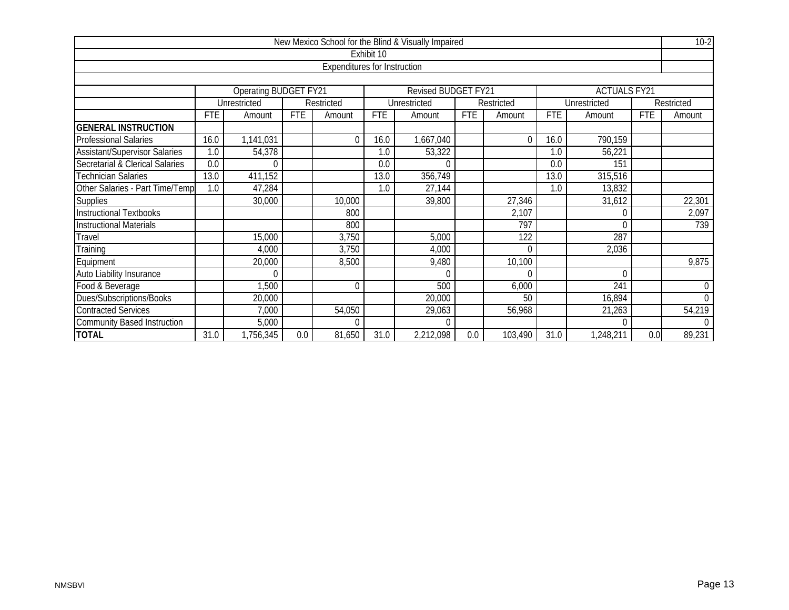|                                                                            |                                           |                                               |            |                                     |            | New Mexico School for the Blind & Visually Impaired |            |            |            |              |            | $10-2$           |  |
|----------------------------------------------------------------------------|-------------------------------------------|-----------------------------------------------|------------|-------------------------------------|------------|-----------------------------------------------------|------------|------------|------------|--------------|------------|------------------|--|
|                                                                            |                                           |                                               |            |                                     | Exhibit 10 |                                                     |            |            |            |              |            |                  |  |
|                                                                            |                                           |                                               |            | <b>Expenditures for Instruction</b> |            |                                                     |            |            |            |              |            |                  |  |
|                                                                            |                                           |                                               |            |                                     |            |                                                     |            |            |            |              |            |                  |  |
| <b>Operating BUDGET FY21</b><br>Revised BUDGET FY21<br><b>ACTUALS FY21</b> |                                           |                                               |            |                                     |            |                                                     |            |            |            |              |            |                  |  |
|                                                                            |                                           | Unrestricted                                  |            | Restricted                          |            | Unrestricted                                        |            | Restricted |            | Unrestricted |            | Restricted       |  |
|                                                                            | <b>FTE</b>                                | Amount                                        | <b>FTE</b> | Amount                              | <b>FTE</b> | Amount                                              | <b>FTE</b> | Amount     | <b>FTE</b> | Amount       | <b>FTE</b> | Amount           |  |
| <b>GENERAL INSTRUCTION</b>                                                 |                                           |                                               |            |                                     |            |                                                     |            |            |            |              |            |                  |  |
| <b>Professional Salaries</b>                                               | 16.0                                      | 1,141,031                                     |            | $\Omega$                            | 16.0       | 1,667,040                                           |            | $\Omega$   | 16.0       | 790,159      |            |                  |  |
| <b>Assistant/Supervisor Salaries</b>                                       | 1.0                                       | 54,378                                        |            |                                     | 1.0        | 53,322                                              |            |            | 1.0        | 56,221       |            |                  |  |
| Secretarial & Clerical Salaries                                            | 0.0                                       | 0.0<br>151<br>0.0<br>$\cap$<br>$\Omega$       |            |                                     |            |                                                     |            |            |            |              |            |                  |  |
| <b>Technician Salaries</b>                                                 | 13.0                                      | 411,152<br>356,749<br>315,516<br>13.0<br>13.0 |            |                                     |            |                                                     |            |            |            |              |            |                  |  |
| Other Salaries - Part Time/Temp                                            | 1.0                                       | 47,284                                        |            |                                     | 1.0        | 27,144                                              |            |            | 1.0        | 13,832       |            |                  |  |
| <b>Supplies</b>                                                            |                                           | 30,000                                        |            | 10,000                              |            | 39,800                                              |            | 27,346     |            | 31,612       |            | 22,301           |  |
| <b>Instructional Textbooks</b>                                             |                                           |                                               |            | 800                                 |            |                                                     |            | 2,107      |            | $\Omega$     |            | 2,097            |  |
| <b>Instructional Materials</b>                                             |                                           |                                               |            | 800                                 |            |                                                     |            | 797        |            | $\Omega$     |            | 739              |  |
| Travel                                                                     |                                           | 15,000                                        |            | 3,750                               |            | 5,000                                               |            | 122        |            | 287          |            |                  |  |
| Training                                                                   |                                           | 4,000                                         |            | 3,750                               |            | 4,000                                               |            | $\Omega$   |            | 2,036        |            |                  |  |
| Equipment                                                                  |                                           | 20,000                                        |            | 8,500                               |            | 9,480                                               |            | 10,100     |            |              |            | 9,875            |  |
| <b>Auto Liability Insurance</b>                                            |                                           | $\Omega$                                      |            |                                     |            | $\Omega$                                            |            | $\Omega$   |            | $\Omega$     |            |                  |  |
| Food & Beverage                                                            |                                           | 1,500                                         |            | $\theta$                            |            | 500                                                 |            | 6,000      |            | 241          |            | $\boldsymbol{0}$ |  |
| Dues/Subscriptions/Books                                                   |                                           | 20,000                                        |            |                                     |            | 20,000                                              |            | 50         |            | 16,894       |            | $\overline{0}$   |  |
| <b>Contracted Services</b>                                                 |                                           | 7,000                                         |            | 54,050                              |            | 29,063                                              |            | 56,968     |            | 21,263       |            | 54,219           |  |
| <b>Community Based Instruction</b>                                         | 5,000<br>$\theta$<br>$\Omega$<br>$\Omega$ |                                               |            |                                     |            |                                                     |            |            |            | $\Omega$     |            |                  |  |
| <b>TOTAL</b>                                                               | 31.0                                      | 1,756,345                                     | 0.0        | 81,650                              | 31.0       | 2,212,098                                           | 0.0        | 103,490    | 31.0       | 1,248,211    | 0.0        | 89,231           |  |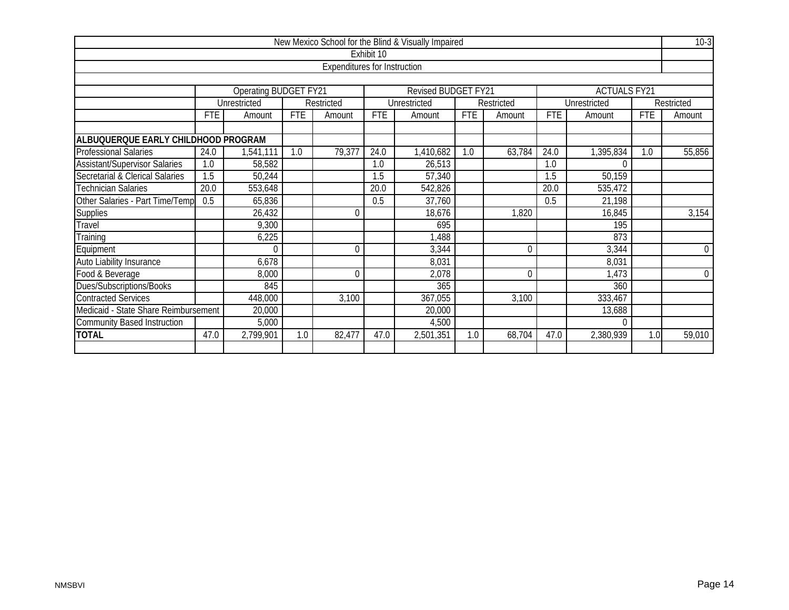|                                      |                                                |                       |            |                                     |            | New Mexico School for the Blind & Visually Impaired |            |            |            |                     |            | $10-3$      |
|--------------------------------------|------------------------------------------------|-----------------------|------------|-------------------------------------|------------|-----------------------------------------------------|------------|------------|------------|---------------------|------------|-------------|
|                                      |                                                |                       |            |                                     | Exhibit 10 |                                                     |            |            |            |                     |            |             |
|                                      |                                                |                       |            | <b>Expenditures for Instruction</b> |            |                                                     |            |            |            |                     |            |             |
|                                      |                                                |                       |            |                                     |            |                                                     |            |            |            |                     |            |             |
|                                      |                                                | Operating BUDGET FY21 |            |                                     |            | Revised BUDGET FY21                                 |            |            |            | <b>ACTUALS FY21</b> |            |             |
|                                      |                                                | Unrestricted          |            | Restricted                          |            | Unrestricted                                        |            | Restricted |            | Unrestricted        |            | Restricted  |
|                                      | <b>FTE</b>                                     | Amount                | <b>FTE</b> | Amount                              | <b>FTE</b> | Amount                                              | <b>FTE</b> | Amount     | <b>FTE</b> | Amount              | <b>FTE</b> | Amount      |
|                                      |                                                |                       |            |                                     |            |                                                     |            |            |            |                     |            |             |
| ALBUQUERQUE EARLY CHILDHOOD PROGRAM  |                                                |                       |            |                                     |            |                                                     |            |            |            |                     |            |             |
| <b>Professional Salaries</b>         | 24.0                                           | 1,541,111             | 1.0        | 79,377                              | 24.0       | 1,410,682                                           | 1.0        | 63,784     | 24.0       | 1,395,834           | 1.0        | 55,856      |
| <b>Assistant/Supervisor Salaries</b> | 1.0                                            | 58,582                |            |                                     | 1.0        | 26,513                                              |            |            | 1.0        | $\Omega$            |            |             |
| Secretarial & Clerical Salaries      | 1.5                                            | 50,244                |            |                                     | 1.5        | 57,340                                              |            |            | 1.5        | 50,159              |            |             |
| <b>Technician Salaries</b>           | 20.0                                           | 553,648               |            |                                     | 20.0       | 542,826                                             |            |            | 20.0       | 535,472             |            |             |
| Other Salaries - Part Time/Temp      | 0.5                                            | 65,836                |            |                                     | 0.5        | 37,760                                              |            |            | 0.5        | 21,198              |            |             |
| <b>Supplies</b>                      |                                                | 26,432                |            | 0                                   |            | 18,676                                              |            | 1,820      |            | 16,845              |            | 3,154       |
| Travel                               |                                                | 9,300                 |            |                                     |            | 695                                                 |            |            |            | 195                 |            |             |
| Training                             |                                                | 6,225                 |            |                                     |            | 1,488                                               |            |            |            | 873                 |            |             |
| Equipment                            |                                                | $\Omega$              |            | $\Omega$                            |            | 3,344                                               |            | 0          |            | 3,344               |            | $\mathbf 0$ |
| Auto Liability Insurance             |                                                | 6,678                 |            |                                     |            | 8,031                                               |            |            |            | 8,031               |            |             |
| Food & Beverage                      |                                                | 8,000                 |            | 0                                   |            | 2,078                                               |            | 0          |            | 1,473               |            | $\mathbf 0$ |
| Dues/Subscriptions/Books             |                                                | 845                   |            |                                     |            | 365                                                 |            |            |            | 360                 |            |             |
| <b>Contracted Services</b>           |                                                | 448,000               |            | 3,100                               |            | 367,055                                             |            | 3,100      |            | 333,467             |            |             |
|                                      | Medicaid - State Share Reimbursement<br>20,000 |                       |            |                                     |            | 20,000                                              |            |            |            | 13,688              |            |             |
| <b>Community Based Instruction</b>   |                                                | 5,000                 |            |                                     |            | 4,500                                               |            |            |            | $\Omega$            |            |             |
| <b>TOTAL</b>                         | 47.0                                           | 2,799,901             | 1.0        | 82,477                              | 47.0       | 2,501,351                                           | 1.0        | 68,704     | 47.0       | 2,380,939           | 1.0        | 59,010      |
|                                      |                                                |                       |            |                                     |            |                                                     |            |            |            |                     |            |             |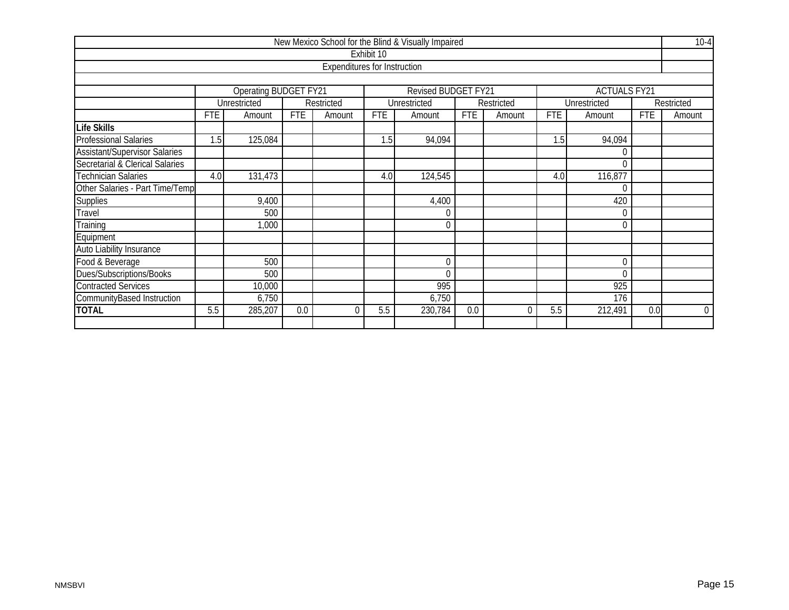|                                             |                       |                                             |            |                                     |            | New Mexico School for the Blind & Visually Impaired |            |            |            |                     |            | $10-4$         |  |  |
|---------------------------------------------|-----------------------|---------------------------------------------|------------|-------------------------------------|------------|-----------------------------------------------------|------------|------------|------------|---------------------|------------|----------------|--|--|
|                                             |                       |                                             |            |                                     | Exhibit 10 |                                                     |            |            |            |                     |            |                |  |  |
|                                             |                       |                                             |            | <b>Expenditures for Instruction</b> |            |                                                     |            |            |            |                     |            |                |  |  |
|                                             |                       |                                             |            |                                     |            |                                                     |            |            |            |                     |            |                |  |  |
|                                             |                       | Operating BUDGET FY21                       |            |                                     |            | <b>Revised BUDGET FY21</b>                          |            |            |            | <b>ACTUALS FY21</b> |            |                |  |  |
|                                             |                       | Unrestricted                                |            | Restricted                          |            | Unrestricted                                        |            | Restricted |            | Unrestricted        |            | Restricted     |  |  |
|                                             | <b>FTE</b>            | Amount                                      | <b>FTE</b> | Amount                              | FTE        | Amount                                              | <b>FTE</b> | Amount     | <b>FTE</b> | Amount              | <b>FTE</b> | Amount         |  |  |
| <b>Life Skills</b>                          |                       |                                             |            |                                     |            |                                                     |            |            |            |                     |            |                |  |  |
| <b>Professional Salaries</b>                | 1.5                   | 125,084<br>1.5<br>94,094<br>1.5<br>94,094   |            |                                     |            |                                                     |            |            |            |                     |            |                |  |  |
| <b>Assistant/Supervisor Salaries</b>        | 0                     |                                             |            |                                     |            |                                                     |            |            |            |                     |            |                |  |  |
| Secretarial & Clerical Salaries<br>$\Omega$ |                       |                                             |            |                                     |            |                                                     |            |            |            |                     |            |                |  |  |
| <b>Technician Salaries</b>                  | 4.0                   | 131,473<br>124,545<br>116,877<br>4.0<br>4.0 |            |                                     |            |                                                     |            |            |            |                     |            |                |  |  |
| Other Salaries - Part Time/Temp             |                       | $\Omega$                                    |            |                                     |            |                                                     |            |            |            |                     |            |                |  |  |
| Supplies                                    |                       | 9,400                                       |            |                                     |            | 4,400                                               |            |            |            | 420                 |            |                |  |  |
| Travel                                      |                       | 500                                         |            |                                     |            | $\Omega$                                            |            |            |            | 0                   |            |                |  |  |
| Training                                    |                       | 1,000                                       |            |                                     |            | $\mathbf{0}$                                        |            |            |            | $\mathbf 0$         |            |                |  |  |
| Equipment                                   |                       |                                             |            |                                     |            |                                                     |            |            |            |                     |            |                |  |  |
| Auto Liability Insurance                    |                       |                                             |            |                                     |            |                                                     |            |            |            |                     |            |                |  |  |
| Food & Beverage                             |                       | 500                                         |            |                                     |            | $\theta$                                            |            |            |            | $\theta$            |            |                |  |  |
| Dues/Subscriptions/Books                    | 500<br>$\Omega$<br>0  |                                             |            |                                     |            |                                                     |            |            |            |                     |            |                |  |  |
| <b>Contracted Services</b>                  | 995<br>925<br>10,000  |                                             |            |                                     |            |                                                     |            |            |            |                     |            |                |  |  |
| CommunityBased Instruction                  | 6,750<br>6,750<br>176 |                                             |            |                                     |            |                                                     |            |            |            |                     |            |                |  |  |
| <b>TOTAL</b>                                | 5.5                   | 285,207                                     | 0.0        | $\Omega$                            | 5.5        | 230,784                                             | 0.0        | $\Omega$   | 5.5        | 212,491             | 0.0        | $\overline{0}$ |  |  |
|                                             |                       |                                             |            |                                     |            |                                                     |            |            |            |                     |            |                |  |  |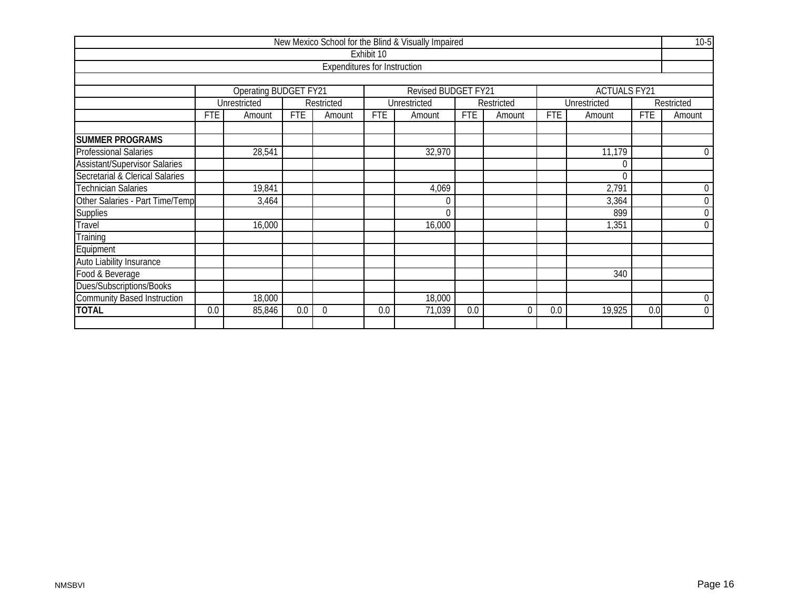|                                      |                            |                              |            |                                     |            | New Mexico School for the Blind & Visually Impaired |            |            |            |                     |                  | $10-5$           |  |  |
|--------------------------------------|----------------------------|------------------------------|------------|-------------------------------------|------------|-----------------------------------------------------|------------|------------|------------|---------------------|------------------|------------------|--|--|
|                                      |                            |                              |            |                                     | Exhibit 10 |                                                     |            |            |            |                     |                  |                  |  |  |
|                                      |                            |                              |            | <b>Expenditures for Instruction</b> |            |                                                     |            |            |            |                     |                  |                  |  |  |
|                                      |                            |                              |            |                                     |            |                                                     |            |            |            |                     |                  |                  |  |  |
|                                      |                            | <b>Operating BUDGET FY21</b> |            |                                     |            | Revised BUDGET FY21                                 |            |            |            | <b>ACTUALS FY21</b> |                  |                  |  |  |
|                                      |                            | Unrestricted                 |            | Restricted                          |            | Unrestricted                                        |            | Restricted |            | Unrestricted        |                  | Restricted       |  |  |
|                                      | FTE                        | Amount                       | <b>FTE</b> | Amount                              | FTE        | Amount                                              | <b>FTE</b> | Amount     | <b>FTE</b> | Amount              | <b>FTE</b>       | Amount           |  |  |
|                                      |                            |                              |            |                                     |            |                                                     |            |            |            |                     |                  |                  |  |  |
| <b>SUMMER PROGRAMS</b>               |                            |                              |            |                                     |            |                                                     |            |            |            |                     |                  |                  |  |  |
| <b>Professional Salaries</b>         | 32,970<br>28,541<br>11,179 |                              |            |                                     |            |                                                     |            |            |            |                     |                  |                  |  |  |
| <b>Assistant/Supervisor Salaries</b> | 0                          |                              |            |                                     |            |                                                     |            |            |            |                     |                  |                  |  |  |
| Secretarial & Clerical Salaries      | $\Omega$                   |                              |            |                                     |            |                                                     |            |            |            |                     |                  |                  |  |  |
| <b>Technician Salaries</b>           |                            | 19,841                       |            |                                     |            | 4,069                                               |            |            |            | 2,791               |                  | $\boldsymbol{0}$ |  |  |
| Other Salaries - Part Time/Temp      |                            | 3,464                        |            |                                     |            | 0                                                   |            |            |            | 3,364               |                  | $\boldsymbol{0}$ |  |  |
| <b>Supplies</b>                      |                            |                              |            |                                     |            | $\Omega$                                            |            |            |            | 899                 |                  | $\boldsymbol{0}$ |  |  |
| Travel                               |                            | 16,000                       |            |                                     |            | 16,000                                              |            |            |            | 1,351               |                  | $\mathbf 0$      |  |  |
| Training                             |                            |                              |            |                                     |            |                                                     |            |            |            |                     |                  |                  |  |  |
| Equipment                            |                            |                              |            |                                     |            |                                                     |            |            |            |                     |                  |                  |  |  |
| Auto Liability Insurance             |                            |                              |            |                                     |            |                                                     |            |            |            |                     |                  |                  |  |  |
| Food & Beverage                      |                            |                              |            |                                     |            |                                                     |            |            |            | 340                 |                  |                  |  |  |
| Dues/Subscriptions/Books             |                            |                              |            |                                     |            |                                                     |            |            |            |                     |                  |                  |  |  |
| <b>Community Based Instruction</b>   | 18,000<br>18,000           |                              |            |                                     |            |                                                     |            |            |            |                     | $\boldsymbol{0}$ |                  |  |  |
| <b>TOTAL</b>                         | 0.0                        | 85,846                       | 0.0        | $\theta$                            | 0.0        | 71,039                                              | 0.0        | $\Omega$   | 0.0        | 19,925              | 0.0              | $\overline{0}$   |  |  |
|                                      |                            |                              |            |                                     |            |                                                     |            |            |            |                     |                  |                  |  |  |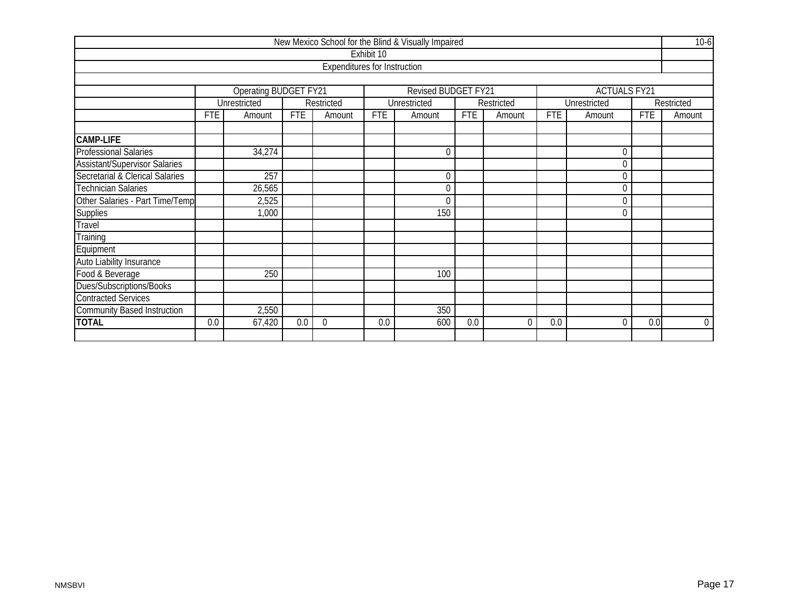|                                      |                            |                              |            |                                     |            | New Mexico School for the Blind & Visually Impaired |            |            |            |                     |            | $10-6$         |  |
|--------------------------------------|----------------------------|------------------------------|------------|-------------------------------------|------------|-----------------------------------------------------|------------|------------|------------|---------------------|------------|----------------|--|
|                                      |                            |                              |            |                                     | Exhibit 10 |                                                     |            |            |            |                     |            |                |  |
|                                      |                            |                              |            | <b>Expenditures for Instruction</b> |            |                                                     |            |            |            |                     |            |                |  |
|                                      |                            |                              |            |                                     |            |                                                     |            |            |            |                     |            |                |  |
|                                      |                            | <b>Operating BUDGET FY21</b> |            |                                     |            | Revised BUDGET FY21                                 |            |            |            | <b>ACTUALS FY21</b> |            |                |  |
|                                      |                            | Unrestricted                 |            | Restricted                          |            | Unrestricted                                        |            | Restricted |            | Unrestricted        |            | Restricted     |  |
|                                      | <b>FTE</b>                 | Amount                       | <b>FTE</b> | Amount                              | <b>FTE</b> | Amount                                              | <b>FTE</b> | Amount     | <b>FTE</b> | Amount              | <b>FTE</b> | Amount         |  |
|                                      |                            |                              |            |                                     |            |                                                     |            |            |            |                     |            |                |  |
| <b>CAMP-LIFE</b>                     |                            |                              |            |                                     |            |                                                     |            |            |            |                     |            |                |  |
| <b>Professional Salaries</b>         | 34,274<br>$\mathbf 0$<br>0 |                              |            |                                     |            |                                                     |            |            |            |                     |            |                |  |
| <b>Assistant/Supervisor Salaries</b> | $\overline{0}$             |                              |            |                                     |            |                                                     |            |            |            |                     |            |                |  |
| Secretarial & Clerical Salaries      |                            | 257<br>$\mathbf 0$<br>0      |            |                                     |            |                                                     |            |            |            |                     |            |                |  |
| Technician Salaries                  |                            | 26,565<br>$\mathbf 0$<br>0   |            |                                     |            |                                                     |            |            |            |                     |            |                |  |
| Other Salaries - Part Time/Temp      |                            | 2,525                        |            |                                     |            | 0                                                   |            |            |            | $\mathbf 0$         |            |                |  |
| <b>Supplies</b>                      |                            | 1,000                        |            |                                     |            | 150                                                 |            |            |            | $\theta$            |            |                |  |
| Travel                               |                            |                              |            |                                     |            |                                                     |            |            |            |                     |            |                |  |
| Training                             |                            |                              |            |                                     |            |                                                     |            |            |            |                     |            |                |  |
| Equipment                            |                            |                              |            |                                     |            |                                                     |            |            |            |                     |            |                |  |
| Auto Liability Insurance             |                            |                              |            |                                     |            |                                                     |            |            |            |                     |            |                |  |
| Food & Beverage                      |                            | 250                          |            |                                     |            | 100                                                 |            |            |            |                     |            |                |  |
| Dues/Subscriptions/Books             |                            |                              |            |                                     |            |                                                     |            |            |            |                     |            |                |  |
| <b>Contracted Services</b>           |                            |                              |            |                                     |            |                                                     |            |            |            |                     |            |                |  |
| <b>Community Based Instruction</b>   |                            | 2,550                        |            |                                     |            | 350                                                 |            |            |            |                     |            |                |  |
| <b>TOTAL</b>                         | 0.0                        | 67,420                       | 0.0        | 0                                   | 0.0        | 600                                                 | 0.0        | $\Omega$   | 0.0        | $\mathbf 0$         | 0.0        | $\overline{0}$ |  |
|                                      |                            |                              |            |                                     |            |                                                     |            |            |            |                     |            |                |  |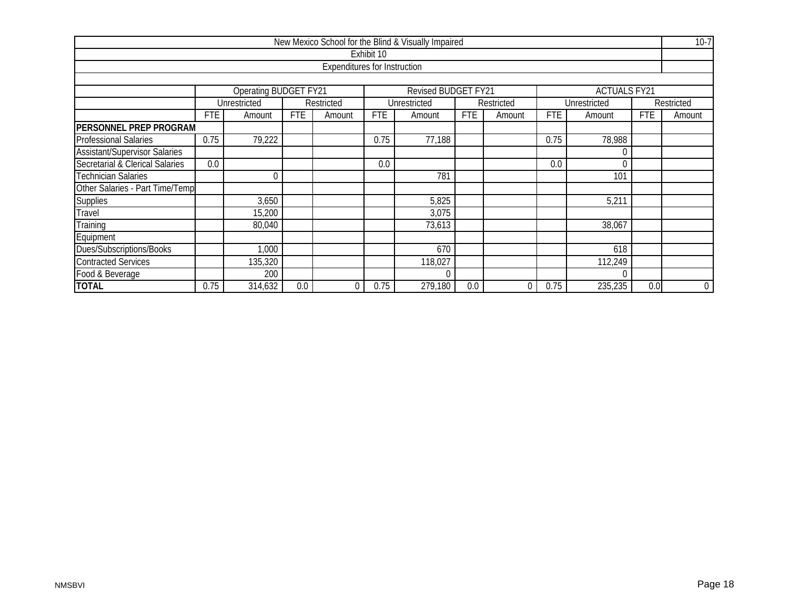|                                      |                               |                                            |            |                                     |            | New Mexico School for the Blind & Visually Impaired |            |             |            |                     |            | $10-7$     |  |
|--------------------------------------|-------------------------------|--------------------------------------------|------------|-------------------------------------|------------|-----------------------------------------------------|------------|-------------|------------|---------------------|------------|------------|--|
|                                      |                               |                                            |            |                                     | Exhibit 10 |                                                     |            |             |            |                     |            |            |  |
|                                      |                               |                                            |            | <b>Expenditures for Instruction</b> |            |                                                     |            |             |            |                     |            |            |  |
|                                      |                               |                                            |            |                                     |            |                                                     |            |             |            |                     |            |            |  |
|                                      |                               | <b>Operating BUDGET FY21</b>               |            |                                     |            | Revised BUDGET FY21                                 |            |             |            | <b>ACTUALS FY21</b> |            |            |  |
|                                      |                               | Unrestricted                               |            | Restricted                          |            | Unrestricted                                        |            | Restricted  |            | Unrestricted        |            | Restricted |  |
|                                      | FTE                           | Amount                                     | <b>FTE</b> | Amount                              | <b>FTE</b> | Amount                                              | <b>FTE</b> | Amount      | <b>FTE</b> | Amount              | <b>FTE</b> | Amount     |  |
| <b>PERSONNEL PREP PROGRAM</b>        |                               |                                            |            |                                     |            |                                                     |            |             |            |                     |            |            |  |
| <b>Professional Salaries</b>         | 0.75                          | 79,222<br>77,188<br>0.75<br>0.75<br>78,988 |            |                                     |            |                                                     |            |             |            |                     |            |            |  |
| <b>Assistant/Supervisor Salaries</b> |                               |                                            |            |                                     |            |                                                     |            |             |            |                     |            |            |  |
| Secretarial & Clerical Salaries      | 0.0                           | 0.0<br>0.0                                 |            |                                     |            |                                                     |            |             |            |                     |            |            |  |
| <b>Technician Salaries</b>           |                               | $\Omega$                                   |            |                                     |            | 781                                                 |            |             |            | 101                 |            |            |  |
| Other Salaries - Part Time/Temp      |                               |                                            |            |                                     |            |                                                     |            |             |            |                     |            |            |  |
| <b>Supplies</b>                      |                               | 3,650                                      |            |                                     |            | 5,825                                               |            |             |            | 5,211               |            |            |  |
| Travel                               |                               | 15,200                                     |            |                                     |            | 3,075                                               |            |             |            |                     |            |            |  |
| Training                             |                               | 80,040                                     |            |                                     |            | 73,613                                              |            |             |            | 38,067              |            |            |  |
| Equipment                            |                               |                                            |            |                                     |            |                                                     |            |             |            |                     |            |            |  |
| Dues/Subscriptions/Books             | 670<br>1,000<br>618           |                                            |            |                                     |            |                                                     |            |             |            |                     |            |            |  |
| <b>Contracted Services</b>           | 135,320<br>118,027<br>112,249 |                                            |            |                                     |            |                                                     |            |             |            |                     |            |            |  |
| Food & Beverage                      |                               | 200                                        |            |                                     |            |                                                     |            |             |            |                     |            |            |  |
| <b>TOTAL</b>                         | 0.75                          | 314,632                                    | 0.0        | 0                                   | 0.75       | 279,180                                             | 0.0        | $\mathbf 0$ | 0.75       | 235,235             | 0.0        | $\pmb{0}$  |  |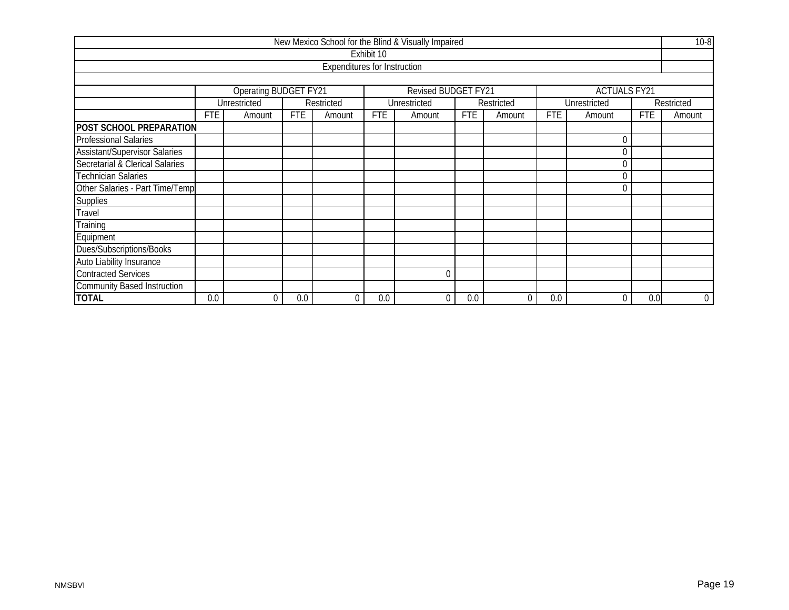|                                      |             |                              |            |                                     |            | New Mexico School for the Blind & Visually Impaired |            |             |            |                     |            | $10-8$      |
|--------------------------------------|-------------|------------------------------|------------|-------------------------------------|------------|-----------------------------------------------------|------------|-------------|------------|---------------------|------------|-------------|
|                                      |             |                              |            |                                     | Exhibit 10 |                                                     |            |             |            |                     |            |             |
|                                      |             |                              |            | <b>Expenditures for Instruction</b> |            |                                                     |            |             |            |                     |            |             |
|                                      |             |                              |            |                                     |            |                                                     |            |             |            |                     |            |             |
|                                      |             | <b>Operating BUDGET FY21</b> |            |                                     |            | Revised BUDGET FY21                                 |            |             |            | <b>ACTUALS FY21</b> |            |             |
|                                      |             | Unrestricted                 |            | Restricted                          |            | Unrestricted                                        |            | Restricted  |            | Unrestricted        |            | Restricted  |
|                                      | <b>FTE</b>  | Amount                       | <b>FTE</b> | Amount                              | <b>FTE</b> | Amount                                              | <b>FTE</b> | Amount      | <b>FTE</b> | Amount              | <b>FTE</b> | Amount      |
| <b>POST SCHOOL PREPARATION</b>       |             |                              |            |                                     |            |                                                     |            |             |            |                     |            |             |
| <b>Professional Salaries</b>         | $\mathbf 0$ |                              |            |                                     |            |                                                     |            |             |            |                     |            |             |
| <b>Assistant/Supervisor Salaries</b> | C           |                              |            |                                     |            |                                                     |            |             |            |                     |            |             |
| Secretarial & Clerical Salaries      | 0           |                              |            |                                     |            |                                                     |            |             |            |                     |            |             |
| <b>Technician Salaries</b>           |             | $\Omega$                     |            |                                     |            |                                                     |            |             |            |                     |            |             |
| Other Salaries - Part Time/Temp      |             |                              |            |                                     |            |                                                     |            |             |            | 0                   |            |             |
| <b>Supplies</b>                      |             |                              |            |                                     |            |                                                     |            |             |            |                     |            |             |
| Travel                               |             |                              |            |                                     |            |                                                     |            |             |            |                     |            |             |
| Training                             |             |                              |            |                                     |            |                                                     |            |             |            |                     |            |             |
| Equipment                            |             |                              |            |                                     |            |                                                     |            |             |            |                     |            |             |
| Dues/Subscriptions/Books             |             |                              |            |                                     |            |                                                     |            |             |            |                     |            |             |
| Auto Liability Insurance             |             |                              |            |                                     |            |                                                     |            |             |            |                     |            |             |
| <b>Contracted Services</b>           |             |                              |            |                                     |            | $\Omega$                                            |            |             |            |                     |            |             |
| <b>Community Based Instruction</b>   |             |                              |            |                                     |            |                                                     |            |             |            |                     |            |             |
| <b>TOTAL</b>                         | 0.0         | 0                            | 0.0        | 0                                   | 0.0        | 0                                                   | 0.0        | $\mathbf 0$ | 0.0        | 0                   | 0.0        | $\mathbf 0$ |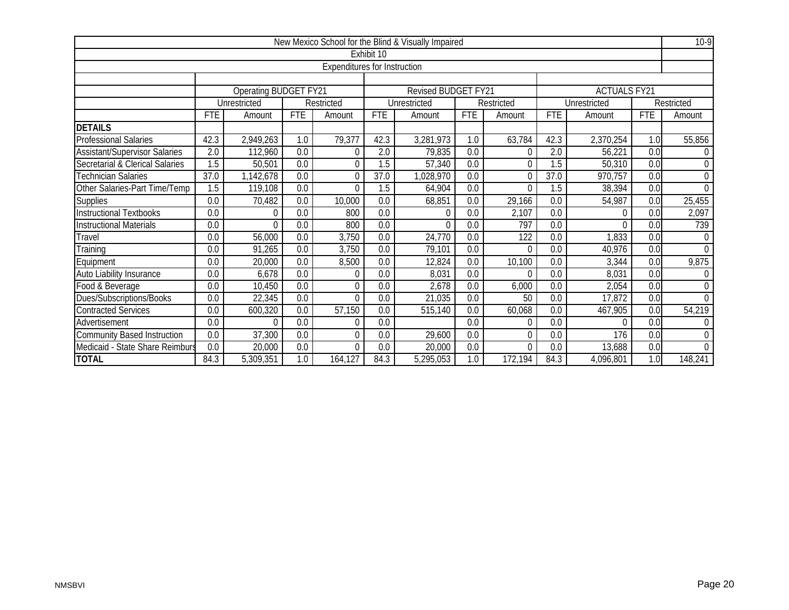|                                    |                  |                       |                  |                                     |                  | New Mexico School for the Blind & Visually Impaired |                  |                  |                  |                     |                  | $10-9$         |
|------------------------------------|------------------|-----------------------|------------------|-------------------------------------|------------------|-----------------------------------------------------|------------------|------------------|------------------|---------------------|------------------|----------------|
|                                    |                  |                       |                  |                                     | Exhibit 10       |                                                     |                  |                  |                  |                     |                  |                |
|                                    |                  |                       |                  | <b>Expenditures for Instruction</b> |                  |                                                     |                  |                  |                  |                     |                  |                |
|                                    |                  |                       |                  |                                     |                  |                                                     |                  |                  |                  |                     |                  |                |
|                                    |                  | Operating BUDGET FY21 |                  |                                     |                  | Revised BUDGET FY21                                 |                  |                  |                  | <b>ACTUALS FY21</b> |                  |                |
|                                    |                  | Unrestricted          |                  | Restricted                          |                  | Unrestricted                                        |                  | Restricted       |                  | Unrestricted        |                  | Restricted     |
|                                    | <b>FTE</b>       | Amount                | <b>FTE</b>       | Amount                              | <b>FTE</b>       | Amount                                              | <b>FTE</b>       | Amount           | <b>FTE</b>       | Amount              | <b>FTE</b>       | Amount         |
| <b>DETAILS</b>                     |                  |                       |                  |                                     |                  |                                                     |                  |                  |                  |                     |                  |                |
| <b>Professional Salaries</b>       | 42.3             | 2,949,263             | 1.0              | 79,377                              | 42.3             | 3,281,973                                           | 1.0              | 63,784           | 42.3             | 2,370,254           | 1.0              | 55,856         |
| Assistant/Supervisor Salaries      | 2.0              | 112,960               | 0.0              | 0                                   | 2.0              | 79,835                                              | 0.0              | 0                | 2.0              | 56,221              | 0.0              | $\Omega$       |
| Secretarial & Clerical Salaries    | 1.5              | 50,501                | 0.0              | $\theta$                            | 1.5              | 57,340                                              | 0.0              | 0                | 1.5              | 50,310              | 0.0              | $\overline{0}$ |
| Technician Salaries                | 37.0             | 1,142,678             | 0.0              | 0                                   | 37.0             | 1,028,970                                           | 0.0              | $\Omega$         | 37.0             | 970,757             | 0.0              | $\mathbf 0$    |
| Other Salaries-Part Time/Temp      | 1.5              | 119,108               | 0.0              | $\Omega$                            | 1.5              | 64,904                                              | 0.0              | $\Omega$         | 1.5              | 38,394              | 0.0              | $\Omega$       |
| Supplies                           | 0.0              | 70,482                | 0.0              | 10,000                              | 0.0              | 68,851                                              | 0.0              | 29,166           | 0.0              | 54,987              | 0.0              | 25,455         |
| <b>Instructional Textbooks</b>     | $\overline{0.0}$ | $\theta$              | $\overline{0.0}$ | 800                                 | $\overline{0.0}$ | $\theta$                                            | $\overline{0.0}$ | 2,107            | $\overline{0.0}$ | 0                   | $\overline{0.0}$ | 2,097          |
| <b>Instructional Materials</b>     | 0.0              | $\Omega$              | 0.0              | 800                                 | 0.0              | $\Omega$                                            | 0.0              | 797              | 0.0              | $\Omega$            | 0.0              | 739            |
| Travel                             | 0.0              | 56,000                | 0.0              | 3,750                               | 0.0              | 24,770                                              | 0.0              | $\overline{122}$ | 0.0              | 1,833               | 0.0              | $\Omega$       |
| Training                           | 0.0              | 91,265                | 0.0              | 3,750                               | $\overline{0.0}$ | 79,101                                              | 0.0              | $\Omega$         | 0.0              | 40,976              | 0.0              | $\Omega$       |
| Equipment                          | 0.0              | 20,000                | 0.0              | 8,500                               | 0.0              | 12,824                                              | 0.0              | 10,100           | 0.0              | 3,344               | 0.0              | 9,875          |
| Auto Liability Insurance           | 0.0              | 6,678                 | 0.0              | $\Omega$                            | 0.0              | 8,031                                               | 0.0              | $\Omega$         | 0.0              | 8,031               | $\overline{0.0}$ | $\mathbf 0$    |
| Food & Beverage                    | 0.0              | 10,450                | 0.0              | $\theta$                            | 0.0              | 2,678                                               | 0.0              | 6,000            | 0.0              | 2,054               | 0.0              | $\mathbf 0$    |
| Dues/Subscriptions/Books           | 0.0              | 22,345                | 0.0              | 0                                   | 0.0              | 21,035                                              | 0.0              | 50               | 0.0              | 17,872              | 0.0              | $\Omega$       |
| <b>Contracted Services</b>         | 0.0              | 600,320               | 0.0              | 57,150                              | 0.0              | 515,140                                             | 0.0              | 60,068           | 0.0              | 467,905             | 0.0              | 54,219         |
| Advertisement                      | 0.0              | $\Omega$              | 0.0              | $\Omega$                            | 0.0              |                                                     | 0.0              | $\Omega$         | 0.0              | 0                   | 0.0              | $\theta$       |
| <b>Community Based Instruction</b> | 0.0              | 37,300                | 0.0              | $\Omega$                            | 0.0              | 29,600                                              | 0.0              | $\theta$         | 0.0              | 176                 | 0.0              | $\Omega$       |
| Medicaid - State Share Reimburs    | 0.0              | 20,000                | 0.0              | $\theta$                            | 0.0              | 20,000                                              | 0.0              | $\Omega$         | 0.0              | 13,688              | 0.0              | $\Omega$       |
| <b>TOTAL</b>                       | 84.3             | 5,309,351             | 1.0              | 164,127                             | 84.3             | 5,295,053                                           | 1.0              | 172,194          | 84.3             | 4,096,801           | 1.0              | 148,241        |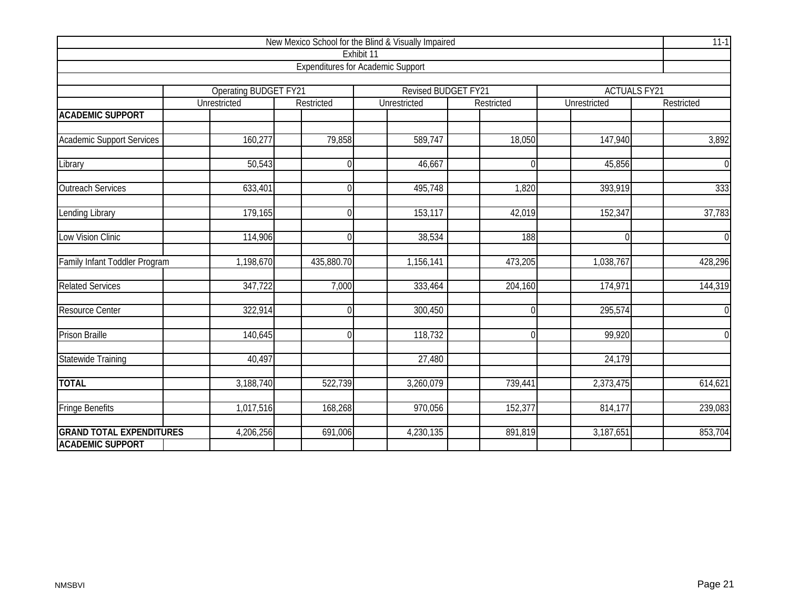| New Mexico School for the Blind & Visually Impaired |                                              |                  |                                          |            |                                            |                |  |  |  |  |  |  |
|-----------------------------------------------------|----------------------------------------------|------------------|------------------------------------------|------------|--------------------------------------------|----------------|--|--|--|--|--|--|
|                                                     |                                              |                  | Exhibit 11                               |            |                                            |                |  |  |  |  |  |  |
|                                                     |                                              |                  | <b>Expenditures for Academic Support</b> |            |                                            |                |  |  |  |  |  |  |
|                                                     |                                              |                  |                                          |            |                                            |                |  |  |  |  |  |  |
|                                                     | <b>Operating BUDGET FY21</b><br>Unrestricted | Restricted       | Revised BUDGET FY21<br>Unrestricted      | Restricted | <b>ACTUALS FY21</b><br><b>Unrestricted</b> | Restricted     |  |  |  |  |  |  |
| <b>ACADEMIC SUPPORT</b>                             |                                              |                  |                                          |            |                                            |                |  |  |  |  |  |  |
|                                                     |                                              |                  |                                          |            |                                            |                |  |  |  |  |  |  |
| <b>Academic Support Services</b>                    | 160,277                                      | 79,858           | 589,747                                  | 18,050     | 147,940                                    | 3,892          |  |  |  |  |  |  |
| Library                                             | $\overline{50,}543$                          | $\Omega$         | 46,667                                   | $\Omega$   | 45,856                                     | $\mathbf 0$    |  |  |  |  |  |  |
| <b>Outreach Services</b>                            | 633,401                                      | $\overline{0}$   | 495,748                                  | 1,820      | 393,919                                    | 333            |  |  |  |  |  |  |
| <b>Lending Library</b>                              | 179,165                                      | $\boldsymbol{0}$ | 153,117                                  | 42,019     | 152,347                                    | 37,783         |  |  |  |  |  |  |
| Low Vision Clinic                                   | 114,906                                      | $\Omega$         | 38,534                                   | 188        | $\Omega$                                   | $\overline{0}$ |  |  |  |  |  |  |
| Family Infant Toddler Program                       | 1,198,670                                    | 435,880.70       | 1,156,141                                | 473,205    | 1,038,767                                  | 428,296        |  |  |  |  |  |  |
| <b>Related Services</b>                             | 347,722                                      | 7,000            | 333,464                                  | 204,160    | 174,971                                    | 144,319        |  |  |  |  |  |  |
| <b>Resource Center</b>                              | 322,914                                      | $\Omega$         | 300,450                                  | $\Omega$   | 295,574                                    | $\overline{0}$ |  |  |  |  |  |  |
| <b>Prison Braille</b>                               | 140,645                                      | $\Omega$         | 118,732                                  | $\Omega$   | 99,920                                     | $\overline{0}$ |  |  |  |  |  |  |
| Statewide Training                                  | 40,497                                       |                  | 27,480                                   |            | 24,179                                     |                |  |  |  |  |  |  |
| <b>TOTAL</b>                                        | 3,188,740                                    | 522,739          | 3,260,079                                | 739,441    | 2,373,475                                  | 614,621        |  |  |  |  |  |  |
| <b>Fringe Benefits</b>                              | 1,017,516                                    | 168,268          | 970,056                                  | 152,377    | 814,177                                    | 239,083        |  |  |  |  |  |  |
| <b>GRAND TOTAL EXPENDITURES</b>                     | 4,206,256                                    | 691,006          | 4,230,135                                | 891,819    | 3,187,651                                  | 853,704        |  |  |  |  |  |  |
| <b>ACADEMIC SUPPORT</b>                             |                                              |                  |                                          |            |                                            |                |  |  |  |  |  |  |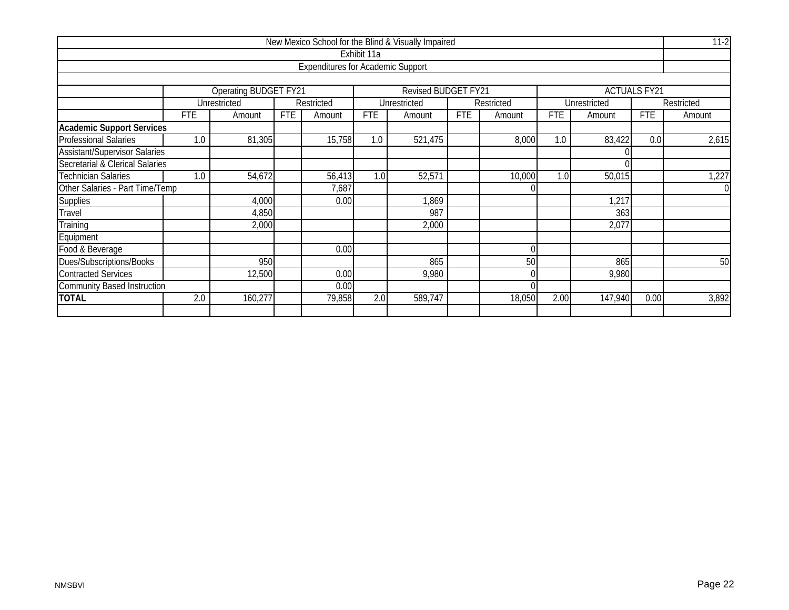|                                      |                                  |                                                              |            |                                          |             | New Mexico School for the Blind & Visually Impaired |            |            |            |              |                     | $11-2$     |
|--------------------------------------|----------------------------------|--------------------------------------------------------------|------------|------------------------------------------|-------------|-----------------------------------------------------|------------|------------|------------|--------------|---------------------|------------|
|                                      |                                  |                                                              |            |                                          | Exhibit 11a |                                                     |            |            |            |              |                     |            |
|                                      |                                  |                                                              |            | <b>Expenditures for Academic Support</b> |             |                                                     |            |            |            |              |                     |            |
|                                      |                                  |                                                              |            |                                          |             |                                                     |            |            |            |              |                     |            |
|                                      |                                  | <b>Operating BUDGET FY21</b>                                 |            |                                          |             | Revised BUDGET FY21                                 |            |            |            |              | <b>ACTUALS FY21</b> |            |
|                                      |                                  | Unrestricted                                                 |            | Restricted                               |             | Unrestricted                                        |            | Restricted |            | Unrestricted |                     | Restricted |
|                                      | <b>FTE</b>                       | Amount                                                       | <b>FTE</b> | Amount                                   | <b>FTE</b>  | Amount                                              | <b>FTE</b> | Amount     | <b>FTE</b> | Amount       | <b>FTE</b>          | Amount     |
| <b>Academic Support Services</b>     |                                  |                                                              |            |                                          |             |                                                     |            |            |            |              |                     |            |
| <b>Professional Salaries</b>         | 1.0                              | 81,305                                                       |            | 15,758                                   | 1.0         | 521,475                                             |            | 8,000      | 1.0        | 83,422       | 0.0                 | 2,615      |
| <b>Assistant/Supervisor Salaries</b> |                                  |                                                              |            |                                          |             |                                                     |            |            |            |              |                     |            |
| Secretarial & Clerical Salaries      |                                  |                                                              |            |                                          |             |                                                     |            |            |            |              |                     |            |
| Technician Salaries                  | 1.0                              | 54,672<br>1.0<br>52,571<br>10,000<br>56,413<br>1.0<br>50,015 |            |                                          |             |                                                     |            |            |            |              |                     | 1,227      |
| Other Salaries - Part Time/Temp      |                                  |                                                              |            | 7,687                                    |             |                                                     |            |            |            |              |                     | $\Omega$   |
| <b>Supplies</b>                      |                                  | 4,000                                                        |            | 0.00                                     |             | 1,869                                               |            |            |            | 1,217        |                     |            |
| Travel                               |                                  | 4,850                                                        |            |                                          |             | 987                                                 |            |            |            | 363          |                     |            |
| Training                             |                                  | 2,000                                                        |            |                                          |             | 2,000                                               |            |            |            | 2,077        |                     |            |
| Equipment                            |                                  |                                                              |            |                                          |             |                                                     |            |            |            |              |                     |            |
| Food & Beverage                      |                                  |                                                              |            | 0.00                                     |             |                                                     |            | $\Omega$   |            |              |                     |            |
| Dues/Subscriptions/Books             | 950<br>865<br>50                 |                                                              |            |                                          |             |                                                     |            |            | 865        |              | 50                  |            |
| <b>Contracted Services</b>           | 12,500<br>0.00<br>9,980<br>9,980 |                                                              |            |                                          |             |                                                     |            |            |            |              |                     |            |
| <b>Community Based Instruction</b>   | 0.00                             |                                                              |            |                                          |             |                                                     |            |            |            |              |                     |            |
| <b>TOTAL</b>                         | 2.0                              | 160,277                                                      |            | 79,858                                   | 2.0         | 589,747                                             |            | 18,050     | 2.00       | 147,940      | 0.00                | 3,892      |
|                                      |                                  |                                                              |            |                                          |             |                                                     |            |            |            |              |                     |            |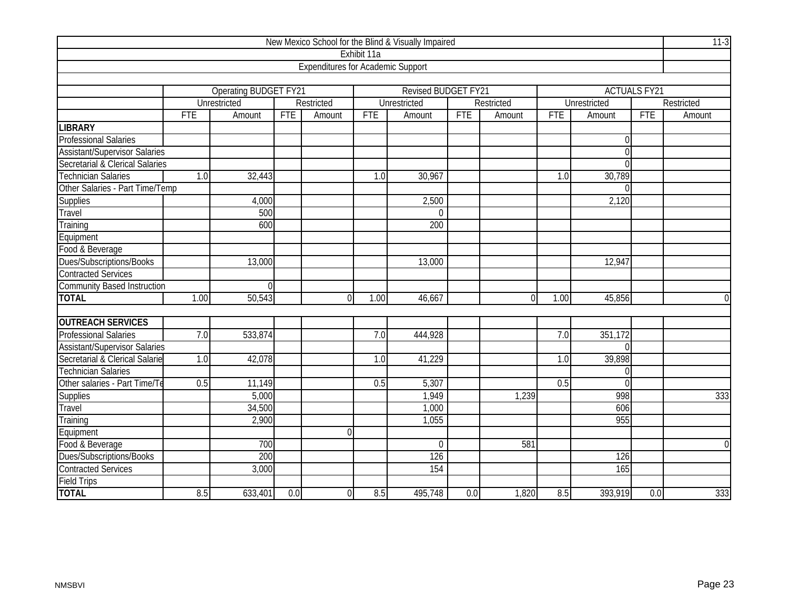|                                      |                         |                       |            |                                          |                  | New Mexico School for the Blind & Visually Impaired |            |            |            |                  |                     | $11-3$         |
|--------------------------------------|-------------------------|-----------------------|------------|------------------------------------------|------------------|-----------------------------------------------------|------------|------------|------------|------------------|---------------------|----------------|
|                                      |                         |                       |            |                                          | Exhibit 11a      |                                                     |            |            |            |                  |                     |                |
|                                      |                         |                       |            | <b>Expenditures for Academic Support</b> |                  |                                                     |            |            |            |                  |                     |                |
|                                      |                         |                       |            |                                          |                  |                                                     |            |            |            |                  |                     |                |
|                                      |                         | Operating BUDGET FY21 |            |                                          |                  | <b>Revised BUDGET FY21</b>                          |            |            |            |                  | <b>ACTUALS FY21</b> |                |
|                                      |                         | Unrestricted          |            | Restricted                               |                  | Unrestricted                                        |            | Restricted |            | Unrestricted     |                     | Restricted     |
|                                      | <b>FTE</b>              | Amount                | <b>FTE</b> | Amount                                   | <b>FTE</b>       | Amount                                              | <b>FTE</b> | Amount     | <b>FTE</b> | Amount           | <b>FTE</b>          | Amount         |
| <b>LIBRARY</b>                       |                         |                       |            |                                          |                  |                                                     |            |            |            |                  |                     |                |
| <b>Professional Salaries</b>         |                         |                       |            |                                          |                  |                                                     |            |            |            | $\boldsymbol{0}$ |                     |                |
| <b>Assistant/Supervisor Salaries</b> |                         |                       |            |                                          |                  |                                                     |            |            |            | $\overline{0}$   |                     |                |
| Secretarial & Clerical Salaries      |                         |                       |            |                                          |                  |                                                     |            |            |            | $\Omega$         |                     |                |
| <b>Technician Salaries</b>           | 1.0                     | 32,443                |            |                                          | $\overline{1.0}$ | 30,967                                              |            |            | 1.0        | 30,789           |                     |                |
| Other Salaries - Part Time/Temp      |                         |                       |            |                                          |                  |                                                     |            |            |            | $\Omega$         |                     |                |
| <b>Supplies</b>                      | 2,500<br>2,120<br>4,000 |                       |            |                                          |                  |                                                     |            |            |            |                  |                     |                |
| Travel                               |                         | 500<br>$\Omega$       |            |                                          |                  |                                                     |            |            |            |                  |                     |                |
| Training                             |                         | 600<br>200            |            |                                          |                  |                                                     |            |            |            |                  |                     |                |
| Equipment                            |                         |                       |            |                                          |                  |                                                     |            |            |            |                  |                     |                |
| Food & Beverage                      |                         |                       |            |                                          |                  |                                                     |            |            |            |                  |                     |                |
| Dues/Subscriptions/Books             |                         | 13,000                |            |                                          |                  | 13,000                                              |            |            |            | 12,947           |                     |                |
| <b>Contracted Services</b>           |                         |                       |            |                                          |                  |                                                     |            |            |            |                  |                     |                |
| <b>Community Based Instruction</b>   |                         | $\Omega$              |            |                                          |                  |                                                     |            |            |            |                  |                     |                |
| <b>TOTAL</b>                         | 1.00                    | 50,543                |            | $\Omega$                                 | 1.00             | 46,667                                              |            | $\Omega$   | 1.00       | 45,856           |                     | $\overline{0}$ |
|                                      |                         |                       |            |                                          |                  |                                                     |            |            |            |                  |                     |                |
| <b>OUTREACH SERVICES</b>             |                         |                       |            |                                          |                  |                                                     |            |            |            |                  |                     |                |
| <b>Professional Salaries</b>         | 7.0                     | 533,874               |            |                                          | 7.0              | 444,928                                             |            |            | 7.0        | 351,172          |                     |                |
| <b>Assistant/Supervisor Salaries</b> |                         |                       |            |                                          |                  |                                                     |            |            |            | $\Omega$         |                     |                |
| Secretarial & Clerical Salarie       | 1.0                     | 42,078                |            |                                          | 1.0              | 41,229                                              |            |            | 1.0        | 39,898           |                     |                |
| <b>Technician Salaries</b>           |                         |                       |            |                                          |                  |                                                     |            |            |            | $\theta$         |                     |                |
| Other salaries - Part Time/Te        | 0.5                     | 11,149                |            |                                          | 0.5              | 5,307                                               |            |            | 0.5        | $\overline{0}$   |                     |                |
| Supplies                             |                         | 5,000                 |            |                                          |                  | 1,949                                               |            | 1,239      |            | 998              |                     | 333            |
| Travel                               |                         | 34,500                |            |                                          |                  | 1,000                                               |            |            |            | 606              |                     |                |
| Training                             |                         | 2,900                 |            |                                          |                  | 1,055                                               |            |            |            | 955              |                     |                |
| Equipment                            |                         |                       |            | $\overline{0}$                           |                  |                                                     |            |            |            |                  |                     |                |
| Food & Beverage                      |                         | 700                   |            |                                          |                  | $\mathbf 0$                                         |            | 581        |            |                  |                     | $\overline{0}$ |
| Dues/Subscriptions/Books             |                         | 200                   |            |                                          |                  | 126                                                 |            |            |            | 126              |                     |                |
| <b>Contracted Services</b>           |                         | 3,000                 |            |                                          |                  | 154                                                 |            |            |            | 165              |                     |                |
| <b>Field Trips</b>                   |                         |                       |            |                                          |                  |                                                     |            |            |            |                  |                     |                |
| <b>TOTAL</b>                         | 8.5                     | 633,401               | 0.0        | $\overline{0}$                           | 8.5              | 495,748                                             | 0.0        | 1,820      | 8.5        | 393,919          | 0.0                 | 333            |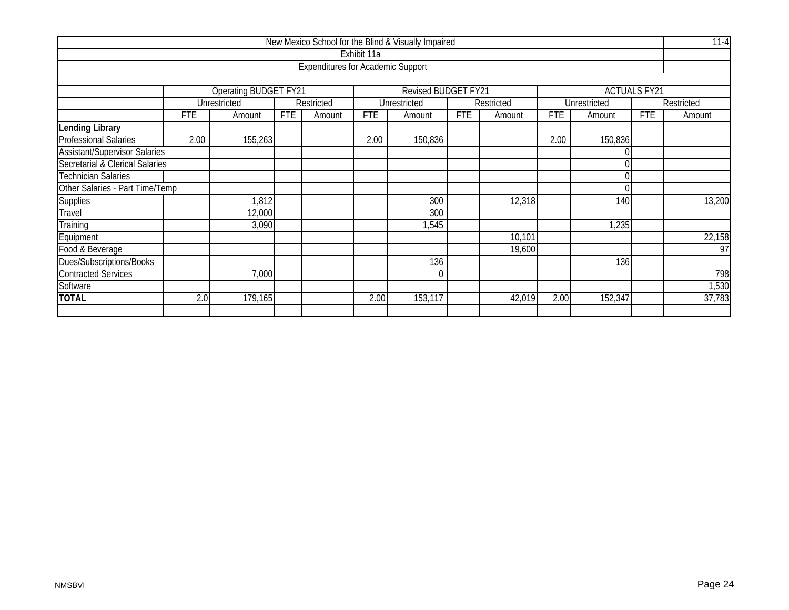|                                        |                      |                                                                |            |                                          |             | New Mexico School for the Blind & Visually Impaired |            |            |            |              |                     | $11 - 4$        |  |
|----------------------------------------|----------------------|----------------------------------------------------------------|------------|------------------------------------------|-------------|-----------------------------------------------------|------------|------------|------------|--------------|---------------------|-----------------|--|
|                                        |                      |                                                                |            |                                          | Exhibit 11a |                                                     |            |            |            |              |                     |                 |  |
|                                        |                      |                                                                |            | <b>Expenditures for Academic Support</b> |             |                                                     |            |            |            |              |                     |                 |  |
|                                        |                      |                                                                |            |                                          |             |                                                     |            |            |            |              |                     |                 |  |
|                                        |                      | <b>Operating BUDGET FY21</b>                                   |            |                                          |             | Revised BUDGET FY21                                 |            |            |            |              | <b>ACTUALS FY21</b> |                 |  |
|                                        |                      | Unrestricted                                                   |            | Restricted                               |             | Unrestricted                                        |            | Restricted |            | Unrestricted |                     | Restricted      |  |
|                                        | <b>FTE</b>           | Amount                                                         | <b>FTE</b> | Amount                                   | <b>FTE</b>  | Amount                                              | <b>FTE</b> | Amount     | <b>FTE</b> | Amount       | <b>FTE</b>          | Amount          |  |
| Lending Library                        |                      |                                                                |            |                                          |             |                                                     |            |            |            |              |                     |                 |  |
| <b>Professional Salaries</b>           | 2.00                 | 155,263                                                        |            |                                          | 2.00        | 150,836                                             |            |            | 2.00       | 150,836      |                     |                 |  |
| <b>Assistant/Supervisor Salaries</b>   |                      |                                                                |            |                                          |             |                                                     |            |            |            |              |                     |                 |  |
| Secretarial & Clerical Salaries        |                      |                                                                |            |                                          |             |                                                     |            |            |            |              |                     |                 |  |
| Technician Salaries                    |                      |                                                                |            |                                          |             |                                                     |            |            |            |              |                     |                 |  |
| Other Salaries - Part Time/Temp        |                      |                                                                |            |                                          |             |                                                     |            |            |            |              |                     |                 |  |
| <b>Supplies</b>                        |                      | 1,812                                                          |            |                                          |             | 300                                                 |            | 12,318     |            | 140          |                     | 13,200          |  |
| Travel                                 |                      | 12,000                                                         |            |                                          |             | 300                                                 |            |            |            |              |                     |                 |  |
| Training                               |                      | 3,090                                                          |            |                                          |             | 1,545                                               |            |            |            | 1,235        |                     |                 |  |
| Equipment                              |                      |                                                                |            |                                          |             |                                                     |            | 10,101     |            |              |                     | 22,158          |  |
| Food & Beverage                        |                      |                                                                |            |                                          |             |                                                     |            | 19,600     |            |              |                     | $\overline{97}$ |  |
| Dues/Subscriptions/Books<br>136<br>136 |                      |                                                                |            |                                          |             |                                                     |            |            |            |              |                     |                 |  |
| <b>Contracted Services</b>             | 7,000<br>$\mathbf 0$ |                                                                |            |                                          |             |                                                     |            |            |            | 798          |                     |                 |  |
| Software                               |                      |                                                                |            |                                          |             |                                                     |            |            |            |              |                     | 1,530           |  |
| <b>TOTAL</b>                           |                      | 2.0<br>179,165<br>2.00<br>153,117<br>2.00<br>152,347<br>42,019 |            |                                          |             |                                                     |            |            |            |              |                     | 37,783          |  |
|                                        |                      |                                                                |            |                                          |             |                                                     |            |            |            |              |                     |                 |  |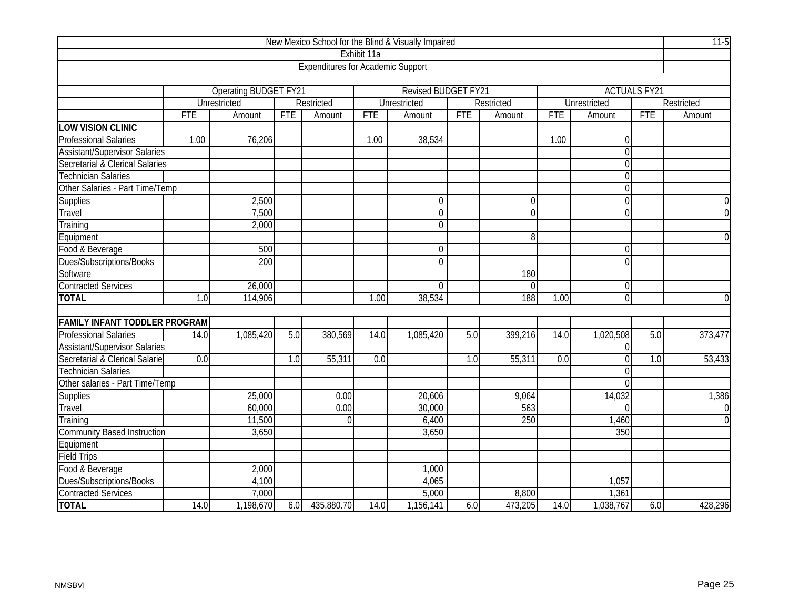| New Mexico School for the Blind & Visually Impaired |            |                              |            |                                          |             |                     |            |                  |            |                |                     |                |  |
|-----------------------------------------------------|------------|------------------------------|------------|------------------------------------------|-------------|---------------------|------------|------------------|------------|----------------|---------------------|----------------|--|
|                                                     |            |                              |            |                                          | Exhibit 11a |                     |            |                  |            |                |                     |                |  |
|                                                     |            |                              |            | <b>Expenditures for Academic Support</b> |             |                     |            |                  |            |                |                     |                |  |
|                                                     |            |                              |            |                                          |             |                     |            |                  |            |                |                     |                |  |
|                                                     |            | <b>Operating BUDGET FY21</b> |            |                                          |             | Revised BUDGET FY21 |            |                  |            |                | <b>ACTUALS FY21</b> |                |  |
|                                                     |            | Unrestricted                 |            | Restricted                               |             | Unrestricted        |            | Restricted       |            | Unrestricted   |                     | Restricted     |  |
|                                                     | <b>FTE</b> | Amount                       | <b>FTE</b> | Amount                                   | <b>FTE</b>  | Amount              | <b>FTE</b> | Amount           | <b>FTE</b> | Amount         | <b>FTE</b>          | Amount         |  |
| <b>LOW VISION CLINIC</b>                            |            |                              |            |                                          |             |                     |            |                  |            |                |                     |                |  |
| <b>Professional Salaries</b>                        | 1.00       | 76,206                       |            |                                          | 1.00        | 38,534              |            |                  | 1.00       | $\Omega$       |                     |                |  |
| <b>Assistant/Supervisor Salaries</b>                |            |                              |            |                                          |             |                     |            |                  |            | $\overline{0}$ |                     |                |  |
| Secretarial & Clerical Salaries                     |            |                              |            |                                          |             |                     |            |                  |            | $\theta$       |                     |                |  |
| <b>Technician Salaries</b>                          |            |                              |            |                                          |             |                     |            |                  |            | $\overline{0}$ |                     |                |  |
| Other Salaries - Part Time/Temp                     |            |                              |            |                                          |             |                     |            |                  |            | $\mathbf 0$    |                     |                |  |
| <b>Supplies</b>                                     |            | 2,500                        |            |                                          |             | $\boldsymbol{0}$    |            | $\Omega$         |            | $\Omega$       |                     | $\overline{0}$ |  |
| Travel                                              |            | 7,500                        |            |                                          |             | $\mathbf 0$         |            | $\Omega$         |            | $\Omega$       |                     | $\overline{0}$ |  |
| Training                                            |            | 2,000                        |            |                                          |             | $\overline{0}$      |            |                  |            |                |                     |                |  |
| Equipment                                           |            | 8                            |            |                                          |             |                     |            |                  |            |                |                     |                |  |
| Food & Beverage                                     |            | 500                          |            |                                          |             | $\mathbf 0$         |            |                  |            | $\theta$       |                     |                |  |
| Dues/Subscriptions/Books                            |            | 200                          |            |                                          |             | $\overline{0}$      |            |                  |            | $\overline{0}$ |                     |                |  |
| Software                                            |            |                              |            |                                          |             |                     |            | 180              |            |                |                     |                |  |
| <b>Contracted Services</b>                          |            | 26,000                       |            |                                          |             | $\overline{0}$      |            | $\Omega$         |            | $\overline{0}$ |                     |                |  |
| <b>TOTAL</b>                                        | 1.0        | 114,906                      |            |                                          | 1.00        | 38,534              |            | 188              | 1.00       | $\overline{0}$ |                     | $\overline{0}$ |  |
|                                                     |            |                              |            |                                          |             |                     |            |                  |            |                |                     |                |  |
| <b>FAMILY INFANT TODDLER PROGRAM</b>                |            |                              |            |                                          |             |                     |            |                  |            |                |                     |                |  |
| <b>Professional Salaries</b>                        | 14.0       | 1,085,420                    | 5.0        | 380,569                                  | 14.0        | 1,085,420           | 5.0        | 399,216          | 14.0       | 1,020,508      | 5.0                 | 373,477        |  |
| <b>Assistant/Supervisor Salaries</b>                |            |                              |            |                                          |             |                     |            |                  |            | $\Omega$       |                     |                |  |
| Secretarial & Clerical Salarie                      | 0.0        |                              | 1.0        | 55,311                                   | 0.0         |                     | 1.0        | 55,311           | 0.0        | $\Omega$       | 1.0                 | 53,433         |  |
| <b>Technician Salaries</b>                          |            |                              |            |                                          |             |                     |            |                  |            | $\theta$       |                     |                |  |
| Other salaries - Part Time/Temp                     |            |                              |            |                                          |             |                     |            |                  |            | $\Omega$       |                     |                |  |
| <b>Supplies</b>                                     |            | 25,000                       |            | 0.00                                     |             | 20,606              |            | 9,064            |            | 14,032         |                     | 1,386          |  |
| Travel                                              |            | 60,000                       |            | 0.00                                     |             | 30,000              |            | 563              |            | $\Omega$       |                     | $\overline{0}$ |  |
| Training                                            |            | 11,500                       |            | $\Omega$                                 |             | 6,400               |            | $\overline{250}$ |            | 1,460          |                     | $\overline{0}$ |  |
| <b>Community Based Instruction</b>                  |            | 3,650                        |            |                                          |             | 3,650               |            |                  |            | 350            |                     |                |  |
| Equipment                                           |            |                              |            |                                          |             |                     |            |                  |            |                |                     |                |  |
| <b>Field Trips</b>                                  |            |                              |            |                                          |             |                     |            |                  |            |                |                     |                |  |
| Food & Beverage                                     |            | 2,000                        |            |                                          |             | 1,000               |            |                  |            |                |                     |                |  |
| Dues/Subscriptions/Books                            |            | 4,100                        |            |                                          |             | 4,065               |            |                  |            | 1,057          |                     |                |  |
| <b>Contracted Services</b>                          |            | 7,000                        |            |                                          |             | 5,000               |            | 8,800            |            | 1,361          |                     |                |  |
| <b>TOTAL</b>                                        | 14.0       | 1,198,670                    |            | 6.0 435,880.70                           | 14.0        | 1,156,141           | 6.0        | 473,205          | 14.0       | 1,038,767      | 6.0                 | 428,296        |  |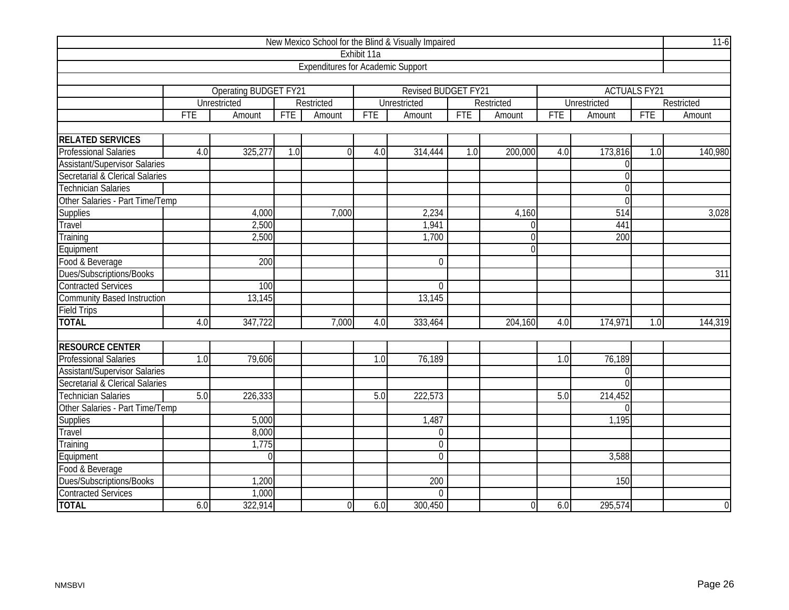| New Mexico School for the Blind & Visually Impaired |            |                              |            |                                          |                  |                            |            |            |            |                     |                     |                  |  |
|-----------------------------------------------------|------------|------------------------------|------------|------------------------------------------|------------------|----------------------------|------------|------------|------------|---------------------|---------------------|------------------|--|
|                                                     |            |                              |            |                                          | Exhibit 11a      |                            |            |            |            |                     |                     |                  |  |
|                                                     |            |                              |            | <b>Expenditures for Academic Support</b> |                  |                            |            |            |            |                     |                     |                  |  |
|                                                     |            |                              |            |                                          |                  |                            |            |            |            |                     |                     |                  |  |
|                                                     |            | <b>Operating BUDGET FY21</b> |            |                                          |                  | <b>Revised BUDGET FY21</b> |            |            |            |                     | <b>ACTUALS FY21</b> |                  |  |
|                                                     |            | <b>Unrestricted</b>          |            | Restricted                               |                  | Unrestricted               |            | Restricted |            | <b>Unrestricted</b> |                     | Restricted       |  |
|                                                     | <b>FTE</b> | Amount                       | <b>FTE</b> | Amount                                   | <b>FTE</b>       | Amount                     | <b>FTE</b> | Amount     | <b>FTE</b> | Amount              | <b>FTE</b>          | Amount           |  |
|                                                     |            |                              |            |                                          |                  |                            |            |            |            |                     |                     |                  |  |
| <b>RELATED SERVICES</b>                             |            |                              |            |                                          |                  |                            |            |            |            |                     |                     |                  |  |
| <b>Professional Salaries</b>                        | 4.0        | 325,277                      | 1.0        | $\Omega$                                 | 4.0              | 314,444                    | 1.0        | 200,000    | 4.0        | 173,816             | 1.0                 | 140,980          |  |
| <b>Assistant/Supervisor Salaries</b>                |            |                              |            |                                          |                  |                            |            |            |            | $\Omega$            |                     |                  |  |
| Secretarial & Clerical Salaries                     |            |                              |            |                                          |                  |                            |            |            |            | $\overline{0}$      |                     |                  |  |
| <b>Technician Salaries</b>                          |            |                              |            |                                          |                  |                            |            |            |            | $\overline{0}$      |                     |                  |  |
| Other Salaries - Part Time/Temp                     |            |                              |            |                                          |                  |                            |            |            |            | $\overline{0}$      |                     |                  |  |
| <b>Supplies</b>                                     |            | 4,000                        |            | 7,000                                    |                  | 2,234                      |            | 4,160      |            | 514                 |                     | 3,028            |  |
| Travel                                              |            | 2,500                        |            |                                          |                  | 1,941                      |            | $\Omega$   |            | 441                 |                     |                  |  |
| Training                                            |            | 2,500                        |            |                                          |                  | 1,700                      |            | $\Omega$   |            | 200                 |                     |                  |  |
| Equipment                                           |            |                              |            |                                          |                  |                            |            | $\Omega$   |            |                     |                     |                  |  |
| Food & Beverage                                     |            | 200                          |            |                                          |                  | $\mathbf 0$                |            |            |            |                     |                     |                  |  |
| Dues/Subscriptions/Books                            |            |                              |            |                                          |                  |                            |            |            |            |                     |                     | 311              |  |
| <b>Contracted Services</b>                          |            | 100                          |            |                                          |                  | $\overline{0}$             |            |            |            |                     |                     |                  |  |
| <b>Community Based Instruction</b>                  |            | 13,145                       |            |                                          |                  | 13,145                     |            |            |            |                     |                     |                  |  |
| <b>Field Trips</b>                                  |            |                              |            |                                          |                  |                            |            |            |            |                     |                     |                  |  |
| <b>TOTAL</b>                                        | 4.0        | 347,722                      |            | 7,000                                    | 4.0              | 333,464                    |            | 204,160    | 4.0        | 174,971             | 1.0                 | 144,319          |  |
|                                                     |            |                              |            |                                          |                  |                            |            |            |            |                     |                     |                  |  |
| <b>RESOURCE CENTER</b>                              |            |                              |            |                                          |                  |                            |            |            |            |                     |                     |                  |  |
| Professional Salaries                               | 1.0        | 79,606                       |            |                                          | $\overline{1.0}$ | 76,189                     |            |            | 1.0        | 76,189              |                     |                  |  |
| <b>Assistant/Supervisor Salaries</b>                |            |                              |            |                                          |                  |                            |            |            |            | $\Omega$            |                     |                  |  |
| Secretarial & Clerical Salaries                     |            |                              |            |                                          |                  |                            |            |            |            | $\Omega$            |                     |                  |  |
| <b>Technician Salaries</b>                          | 5.0        | 226,333                      |            |                                          | 5.0              | 222,573                    |            |            | 5.0        | 214,452             |                     |                  |  |
| Other Salaries - Part Time/Temp                     |            |                              |            |                                          |                  |                            |            |            |            | $\Omega$            |                     |                  |  |
| <b>Supplies</b>                                     |            | 5,000                        |            |                                          |                  | 1,487                      |            |            |            | 1,195               |                     |                  |  |
| Travel                                              |            | 8,000                        |            |                                          |                  | $\mathbf 0$                |            |            |            |                     |                     |                  |  |
| Training                                            |            | 1,775                        |            |                                          |                  | $\overline{0}$             |            |            |            |                     |                     |                  |  |
| Equipment                                           |            | $\overline{0}$               |            |                                          |                  | $\mathbf 0$                |            |            |            | 3,588               |                     |                  |  |
| Food & Beverage                                     |            |                              |            |                                          |                  |                            |            |            |            |                     |                     |                  |  |
| Dues/Subscriptions/Books                            |            | 1,200                        |            |                                          |                  | $\overline{200}$           |            |            |            | 150                 |                     |                  |  |
| <b>Contracted Services</b>                          |            | 1,000                        |            |                                          |                  | $\overline{0}$             |            |            |            |                     |                     |                  |  |
| <b>TOTAL</b>                                        | 6.0        | 322,914                      |            | $\overline{0}$                           | 6.0              | 300,450                    |            | $\Omega$   | 6.0        | 295,574             |                     | $\boldsymbol{0}$ |  |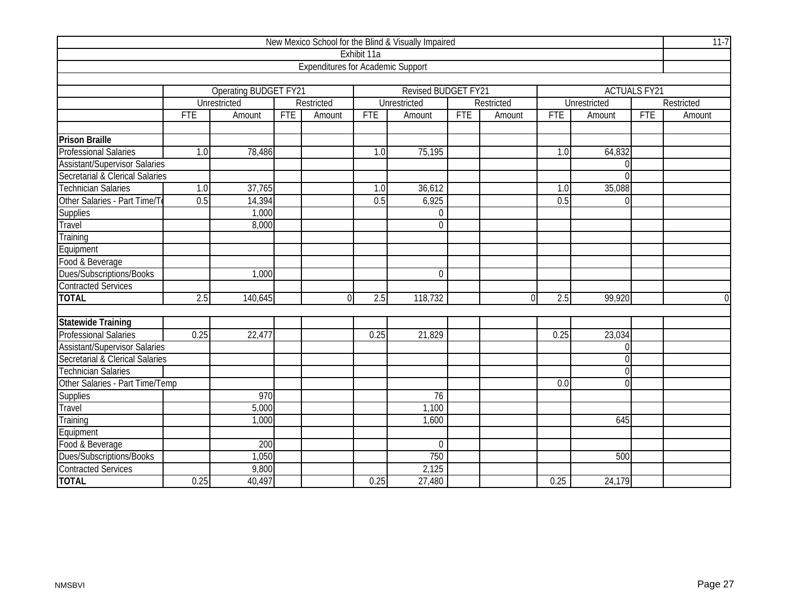| New Mexico School for the Blind & Visually Impaired |            |                              |            |                                          |             |                            |            |            |            |                     |                     |                  |  |
|-----------------------------------------------------|------------|------------------------------|------------|------------------------------------------|-------------|----------------------------|------------|------------|------------|---------------------|---------------------|------------------|--|
|                                                     |            |                              |            |                                          | Exhibit 11a |                            |            |            |            |                     |                     |                  |  |
|                                                     |            |                              |            | <b>Expenditures for Academic Support</b> |             |                            |            |            |            |                     |                     |                  |  |
|                                                     |            |                              |            |                                          |             |                            |            |            |            |                     |                     |                  |  |
|                                                     |            | <b>Operating BUDGET FY21</b> |            |                                          |             | <b>Revised BUDGET FY21</b> |            |            |            |                     | <b>ACTUALS FY21</b> |                  |  |
|                                                     |            | <b>Unrestricted</b>          |            | Restricted                               |             | <b>Unrestricted</b>        |            | Restricted |            | <b>Unrestricted</b> |                     | Restricted       |  |
|                                                     | <b>FTE</b> | Amount                       | <b>FTE</b> | Amount                                   | <b>FTE</b>  | Amount                     | <b>FTE</b> | Amount     | <b>FTE</b> | Amount              | <b>FTE</b>          | Amount           |  |
|                                                     |            |                              |            |                                          |             |                            |            |            |            |                     |                     |                  |  |
| <b>Prison Braille</b>                               |            |                              |            |                                          |             |                            |            |            |            |                     |                     |                  |  |
| <b>Professional Salaries</b>                        | 1.0        | 78,486                       |            |                                          | 1.0         | 75,195                     |            |            | 1.0        | 64,832              |                     |                  |  |
| <b>Assistant/Supervisor Salaries</b>                |            |                              |            |                                          |             |                            |            |            |            | $\overline{0}$      |                     |                  |  |
| Secretarial & Clerical Salaries                     |            |                              |            |                                          |             |                            |            |            |            | $\overline{0}$      |                     |                  |  |
| <b>Technician Salaries</b>                          | 1.0        | 37,765                       |            |                                          | 1.0         | 36,612                     |            |            | 1.0        | 35,088              |                     |                  |  |
| Other Salaries - Part Time/T                        | 0.5        | 14,394                       |            |                                          | 0.5         | 6,925                      |            |            | 0.5        | $\Omega$            |                     |                  |  |
| <b>Supplies</b>                                     |            | 1,000                        |            |                                          |             | 0                          |            |            |            |                     |                     |                  |  |
| Travel                                              |            | 8,000                        |            |                                          |             | $\overline{0}$             |            |            |            |                     |                     |                  |  |
| Training                                            |            |                              |            |                                          |             |                            |            |            |            |                     |                     |                  |  |
| Equipment                                           |            |                              |            |                                          |             |                            |            |            |            |                     |                     |                  |  |
| Food & Beverage                                     |            |                              |            |                                          |             |                            |            |            |            |                     |                     |                  |  |
| Dues/Subscriptions/Books                            |            | 1,000                        |            |                                          |             | $\mathbf 0$                |            |            |            |                     |                     |                  |  |
| <b>Contracted Services</b>                          |            |                              |            |                                          |             |                            |            |            |            |                     |                     |                  |  |
| <b>TOTAL</b>                                        | 2.5        | 140,645                      |            | $\overline{0}$                           | 2.5         | 118,732                    |            | $\Omega$   | 2.5        | 99,920              |                     | $\boldsymbol{0}$ |  |
|                                                     |            |                              |            |                                          |             |                            |            |            |            |                     |                     |                  |  |
| <b>Statewide Training</b>                           |            |                              |            |                                          |             |                            |            |            |            |                     |                     |                  |  |
| <b>Professional Salaries</b>                        | 0.25       | 22,477                       |            |                                          | 0.25        | 21,829                     |            |            | 0.25       | 23,034              |                     |                  |  |
| <b>Assistant/Supervisor Salaries</b>                |            |                              |            |                                          |             |                            |            |            |            | $\Omega$            |                     |                  |  |
| Secretarial & Clerical Salaries                     |            |                              |            |                                          |             |                            |            |            |            | $\overline{0}$      |                     |                  |  |
| <b>Technician Salaries</b>                          |            |                              |            |                                          |             |                            |            |            |            | $\Omega$            |                     |                  |  |
| Other Salaries - Part Time/Temp                     |            |                              |            |                                          |             |                            |            |            | 0.0        | $\Omega$            |                     |                  |  |
| Supplies                                            |            | 970                          |            |                                          |             | 76                         |            |            |            |                     |                     |                  |  |
| Travel                                              |            | 5,000                        |            |                                          |             | 1,100                      |            |            |            |                     |                     |                  |  |
| Training                                            |            | 1,000                        |            |                                          |             | 1,600                      |            |            |            | 645                 |                     |                  |  |
| Equipment                                           |            |                              |            |                                          |             |                            |            |            |            |                     |                     |                  |  |
| Food & Beverage                                     |            | 200                          |            |                                          |             | $\overline{0}$             |            |            |            |                     |                     |                  |  |
| Dues/Subscriptions/Books                            |            | 1,050                        |            |                                          |             | 750                        |            |            |            | 500                 |                     |                  |  |
| <b>Contracted Services</b>                          |            | 9,800                        |            |                                          |             | 2,125                      |            |            |            |                     |                     |                  |  |
| <b>TOTAL</b>                                        | 0.25       | 40,497                       |            |                                          | 0.25        | 27,480                     |            |            | 0.25       | 24,179              |                     |                  |  |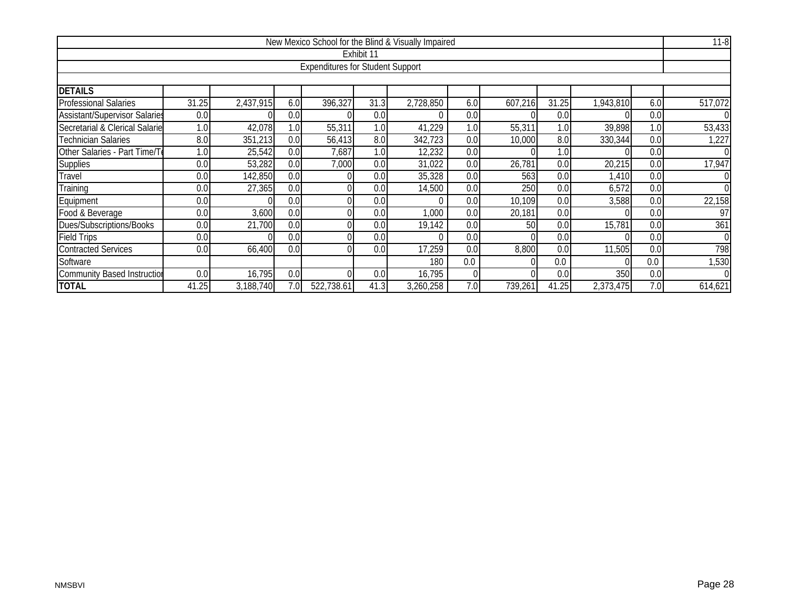| New Mexico School for the Blind & Visually Impaired                                                  |       |           |     |                                         |                  |           |     |         |       |           |     |          |  |
|------------------------------------------------------------------------------------------------------|-------|-----------|-----|-----------------------------------------|------------------|-----------|-----|---------|-------|-----------|-----|----------|--|
|                                                                                                      |       |           |     |                                         | Exhibit 11       |           |     |         |       |           |     |          |  |
|                                                                                                      |       |           |     | <b>Expenditures for Student Support</b> |                  |           |     |         |       |           |     |          |  |
|                                                                                                      |       |           |     |                                         |                  |           |     |         |       |           |     |          |  |
| <b>DETAILS</b>                                                                                       |       |           |     |                                         |                  |           |     |         |       |           |     |          |  |
| <b>Professional Salaries</b>                                                                         | 31.25 | 2,437,915 | 6.0 | 396,327                                 | 31.3             | 2,728,850 | 6.0 | 607,216 | 31.25 | 1,943,810 | 6.0 | 517,072  |  |
| <b>Assistant/Supervisor Salaries</b>                                                                 | 0.0   |           | 0.0 |                                         | 0.0              |           | 0.0 |         | 0.0   |           | 0.0 | $\Omega$ |  |
| Secretarial & Clerical Salarie                                                                       | 1.0   | 42,078    | 1.0 | 55,311                                  | 1.0 <sub>1</sub> | 41,229    | 1.0 | 55,311  | 1.0   | 39,898    | 1.0 | 53,433   |  |
| <b>Technician Salaries</b>                                                                           | 8.0   | 351,213   | 0.0 | 56,413                                  | 8.0              | 342,723   | 0.0 | 10,000  | 8.0   | 330,344   | 0.0 | 1,227    |  |
| Other Salaries - Part Time/Te<br>25,542<br>1.0<br>0.0<br>1.0<br>0.0<br>7,687<br>12,232<br>1.0<br>0.0 |       |           |     |                                         |                  |           |     |         |       |           |     |          |  |
| <b>Supplies</b>                                                                                      | 0.0   | 53,282    | 0.0 | 7,000                                   | 0.0              | 31,022    | 0.0 | 26,781  | 0.0   | 20,215    | 0.0 | 17,947   |  |
| Travel                                                                                               | 0.0   | 142,850   | 0.0 |                                         | 0.0              | 35,328    | 0.0 | 563     | 0.0   | 1,410     | 0.0 | $\Omega$ |  |
| Training                                                                                             | 0.0   | 27,365    | 0.0 |                                         | 0.0              | 14,500    | 0.0 | 250     | 0.0   | 6,572     | 0.0 | 0        |  |
| Equipment                                                                                            | 0.0   |           | 0.0 |                                         | 0.0              | $\Omega$  | 0.0 | 10,109  | 0.0   | 3,588     | 0.0 | 22,158   |  |
| Food & Beverage                                                                                      | 0.0   | 3,600     | 0.0 |                                         | 0.0              | 1,000     | 0.0 | 20,181  | 0.0   |           | 0.0 | 97       |  |
| Dues/Subscriptions/Books                                                                             | 0.0   | 21,700    | 0.0 |                                         | 0.0              | 19,142    | 0.0 | 50      | 0.0   | 15,781    | 0.0 | 361      |  |
| <b>Field Trips</b>                                                                                   | 0.0   |           | 0.0 |                                         | 0.0              | U         | 0.0 |         | 0.0   |           | 0.0 | $\Omega$ |  |
| <b>Contracted Services</b>                                                                           | 0.0   | 66,400    | 0.0 |                                         | 0.0              | 17,259    | 0.0 | 8,800   | 0.0   | 11,505    | 0.0 | 798      |  |
| Software<br>0.0<br>0.0<br>180<br>0.0                                                                 |       |           |     |                                         |                  |           |     |         |       |           |     |          |  |
| <b>Community Based Instruction</b>                                                                   | 0.0   | 16,795    | 0.0 |                                         | 0.0              | 16,795    | 0   |         | 0.0   | 350       | 0.0 | $\Omega$ |  |
| <b>TOTAL</b>                                                                                         | 41.25 | 3,188,740 | 7.0 | 522,738.61                              | 41.3             | 3,260,258 | 7.0 | 739,261 | 41.25 | 2,373,475 | 7.0 | 614,621  |  |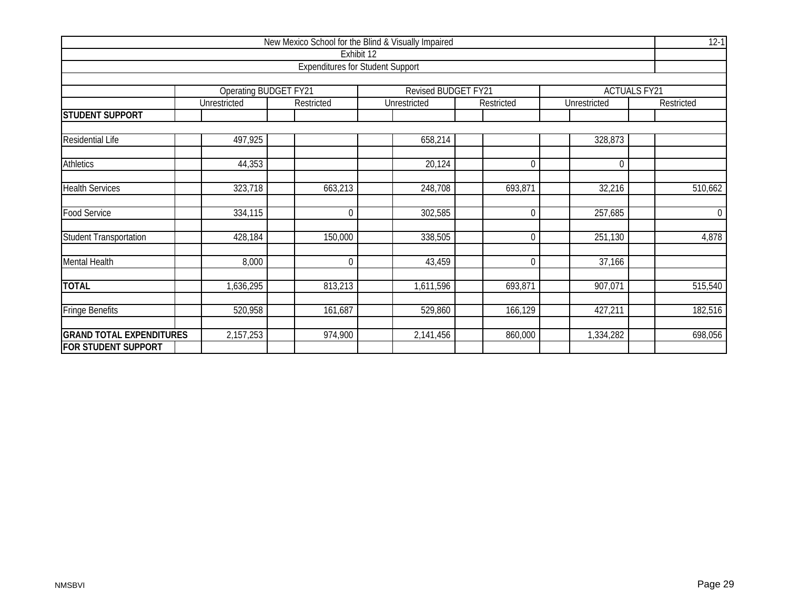| New Mexico School for the Blind & Visually Impaired |                       |                                         |                     |             |              |                     |  |  |  |  |  |  |
|-----------------------------------------------------|-----------------------|-----------------------------------------|---------------------|-------------|--------------|---------------------|--|--|--|--|--|--|
|                                                     |                       | Exhibit 12                              |                     |             |              |                     |  |  |  |  |  |  |
|                                                     |                       | <b>Expenditures for Student Support</b> |                     |             |              |                     |  |  |  |  |  |  |
|                                                     |                       |                                         |                     |             |              |                     |  |  |  |  |  |  |
|                                                     | Operating BUDGET FY21 |                                         | Revised BUDGET FY21 |             |              | <b>ACTUALS FY21</b> |  |  |  |  |  |  |
|                                                     | Unrestricted          | Restricted                              | Unrestricted        | Restricted  | Unrestricted | Restricted          |  |  |  |  |  |  |
| <b>STUDENT SUPPORT</b>                              |                       |                                         |                     |             |              |                     |  |  |  |  |  |  |
|                                                     |                       |                                         |                     |             |              |                     |  |  |  |  |  |  |
| <b>Residential Life</b>                             | 497,925               |                                         | 658,214             |             | 328,873      |                     |  |  |  |  |  |  |
| <b>Athletics</b>                                    | 44,353                |                                         | 20,124              | $\Omega$    | 0            |                     |  |  |  |  |  |  |
|                                                     |                       |                                         |                     |             |              |                     |  |  |  |  |  |  |
| <b>Health Services</b>                              | 323,718               | 663,213                                 | 248,708             | 693,871     | 32,216       | 510,662             |  |  |  |  |  |  |
|                                                     |                       |                                         |                     |             |              |                     |  |  |  |  |  |  |
| <b>Food Service</b>                                 | 334,115               | $\mathbf 0$                             | 302,585             | 0           | 257,685      | $\overline{0}$      |  |  |  |  |  |  |
| <b>Student Transportation</b>                       | 428,184               | 150,000                                 | 338,505             | 0           | 251,130      | 4,878               |  |  |  |  |  |  |
| Mental Health                                       | 8,000                 | $\mathbf 0$                             | 43,459              | $\mathbf 0$ | 37,166       |                     |  |  |  |  |  |  |
|                                                     |                       |                                         |                     |             |              |                     |  |  |  |  |  |  |
| <b>TOTAL</b>                                        | 1,636,295             | 813,213                                 | 1,611,596           | 693,871     | 907,071      | 515, 540            |  |  |  |  |  |  |
| <b>Fringe Benefits</b>                              | 520,958               | 161,687                                 | 529,860             | 166,129     | 427,211      | 182,516             |  |  |  |  |  |  |
| <b>GRAND TOTAL EXPENDITURES</b>                     | 2,157,253             | 974,900                                 | 2,141,456           | 860,000     | 1,334,282    | 698,056             |  |  |  |  |  |  |
| <b>FOR STUDENT SUPPORT</b>                          |                       |                                         |                     |             |              |                     |  |  |  |  |  |  |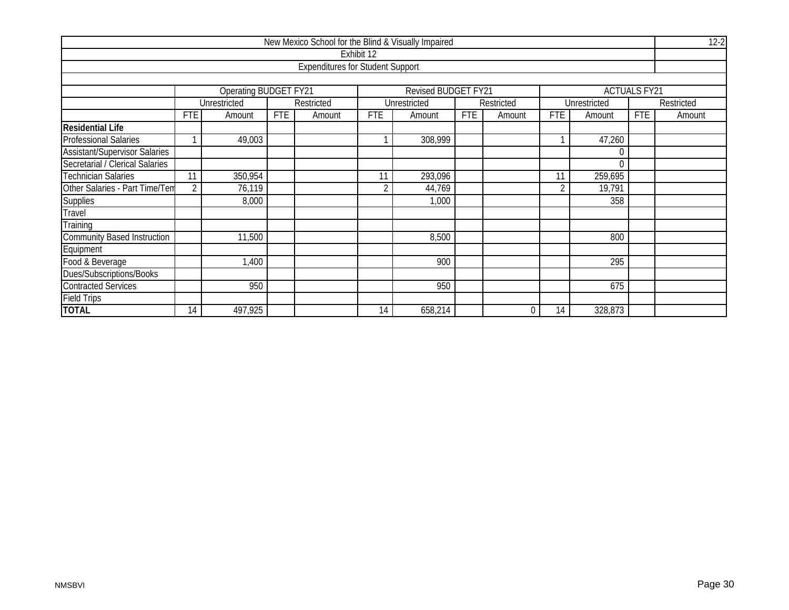| New Mexico School for the Blind & Visually Impaired |                    |                              |            |                                         |            |                     |            |            |            |              |                     |            |  |
|-----------------------------------------------------|--------------------|------------------------------|------------|-----------------------------------------|------------|---------------------|------------|------------|------------|--------------|---------------------|------------|--|
|                                                     |                    |                              |            |                                         | Exhibit 12 |                     |            |            |            |              |                     |            |  |
|                                                     |                    |                              |            | <b>Expenditures for Student Support</b> |            |                     |            |            |            |              |                     |            |  |
|                                                     |                    |                              |            |                                         |            |                     |            |            |            |              |                     |            |  |
|                                                     |                    | <b>Operating BUDGET FY21</b> |            |                                         |            | Revised BUDGET FY21 |            |            |            |              | <b>ACTUALS FY21</b> |            |  |
|                                                     |                    | Unrestricted                 |            | Restricted                              |            | Unrestricted        |            | Restricted |            | Unrestricted |                     | Restricted |  |
|                                                     | <b>FTE</b>         | Amount                       | <b>FTE</b> | Amount                                  | <b>FTE</b> | Amount              | <b>FTE</b> | Amount     | <b>FTE</b> | Amount       | <b>FTE</b>          | Amount     |  |
| <b>Residential Life</b>                             |                    |                              |            |                                         |            |                     |            |            |            |              |                     |            |  |
| <b>Professional Salaries</b>                        |                    | 49,003                       |            |                                         |            | 308,999             |            |            |            | 47,260       |                     |            |  |
| <b>Assistant/Supervisor Salaries</b>                |                    |                              |            |                                         |            |                     |            |            |            |              |                     |            |  |
| Secretarial / Clerical Salaries                     |                    | O                            |            |                                         |            |                     |            |            |            |              |                     |            |  |
| <b>Technician Salaries</b>                          | 11                 | 350,954                      |            |                                         | 11         | 293,096             |            |            | 11         | 259,695      |                     |            |  |
| Other Salaries - Part Time/Tem                      | $\overline{2}$     | 76,119                       |            |                                         | 2          | 44,769              |            |            | 2          | 19,791       |                     |            |  |
| <b>Supplies</b>                                     |                    | 8,000                        |            |                                         |            | 1,000               |            |            |            | 358          |                     |            |  |
| Travel                                              |                    |                              |            |                                         |            |                     |            |            |            |              |                     |            |  |
| Training                                            |                    |                              |            |                                         |            |                     |            |            |            |              |                     |            |  |
| <b>Community Based Instruction</b>                  |                    | 11,500                       |            |                                         |            | 8,500               |            |            |            | 800          |                     |            |  |
| Equipment                                           |                    |                              |            |                                         |            |                     |            |            |            |              |                     |            |  |
| Food & Beverage                                     | 900<br>295<br>,400 |                              |            |                                         |            |                     |            |            |            |              |                     |            |  |
| Dues/Subscriptions/Books                            |                    |                              |            |                                         |            |                     |            |            |            |              |                     |            |  |
| <b>Contracted Services</b>                          |                    | 950                          |            |                                         |            | 950                 |            |            |            | 675          |                     |            |  |
| <b>Field Trips</b>                                  |                    |                              |            |                                         |            |                     |            |            |            |              |                     |            |  |
| <b>TOTAL</b>                                        | 14                 | 497,925                      |            |                                         | 14         | 658,214             |            | 0          | 14         | 328,873      |                     |            |  |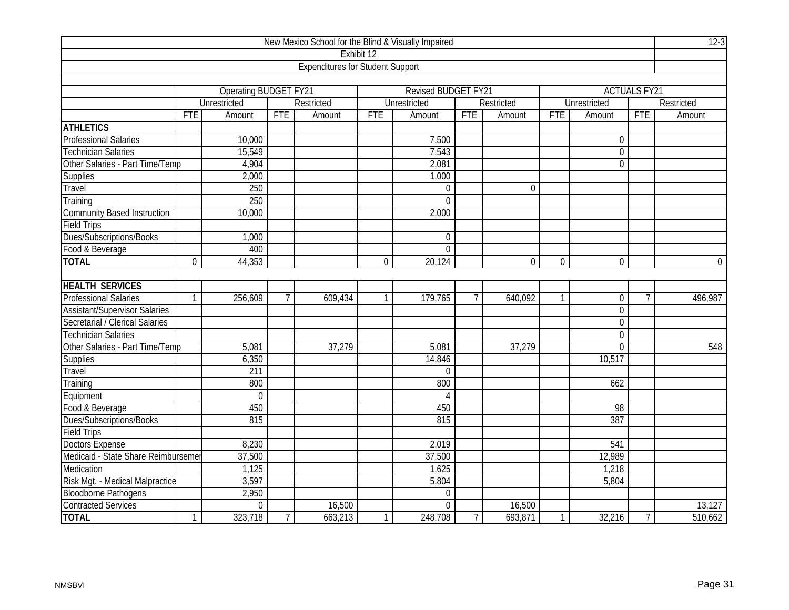| New Mexico School for the Blind & Visually Impaired |                |                       |                 |                                         |              |                            |                |              |                |                  |                     | $12-3$      |
|-----------------------------------------------------|----------------|-----------------------|-----------------|-----------------------------------------|--------------|----------------------------|----------------|--------------|----------------|------------------|---------------------|-------------|
|                                                     |                |                       |                 |                                         | Exhibit 12   |                            |                |              |                |                  |                     |             |
|                                                     |                |                       |                 | <b>Expenditures for Student Support</b> |              |                            |                |              |                |                  |                     |             |
|                                                     |                |                       |                 |                                         |              |                            |                |              |                |                  |                     |             |
|                                                     |                | Operating BUDGET FY21 |                 |                                         |              | <b>Revised BUDGET FY21</b> |                |              |                |                  | <b>ACTUALS FY21</b> |             |
|                                                     |                | <b>Unrestricted</b>   |                 | Restricted                              |              | Unrestricted               |                | Restricted   |                | Unrestricted     |                     | Restricted  |
|                                                     | <b>FTE</b>     | Amount                | <b>FTE</b>      | Amount                                  | <b>FTE</b>   | Amount                     | <b>FTE</b>     | Amount       | <b>FTE</b>     | Amount           | <b>FTE</b>          | Amount      |
| <b>ATHLETICS</b>                                    |                |                       |                 |                                         |              |                            |                |              |                |                  |                     |             |
| <b>Professional Salaries</b>                        |                | 10,000                |                 |                                         |              | 7,500                      |                |              |                | $\boldsymbol{0}$ |                     |             |
| <b>Technician Salaries</b>                          |                | 15,549                |                 |                                         |              | 7,543                      |                |              |                | $\overline{0}$   |                     |             |
| Other Salaries - Part Time/Temp                     |                | 4,904                 |                 |                                         |              | 2,081                      |                |              |                | $\overline{0}$   |                     |             |
| <b>Supplies</b>                                     |                | 2,000                 |                 |                                         |              | 1,000                      |                |              |                |                  |                     |             |
| Travel                                              |                | 250                   |                 |                                         |              | $\mathbf 0$                |                | $\mathbf{0}$ |                |                  |                     |             |
| Training                                            |                | 250                   |                 |                                         |              | $\mathbf 0$                |                |              |                |                  |                     |             |
| <b>Community Based Instruction</b>                  |                | 10,000                |                 |                                         |              | 2,000                      |                |              |                |                  |                     |             |
| <b>Field Trips</b>                                  |                |                       |                 |                                         |              |                            |                |              |                |                  |                     |             |
| Dues/Subscriptions/Books                            |                | 1,000                 |                 |                                         |              | $\boldsymbol{0}$           |                |              |                |                  |                     |             |
| Food & Beverage                                     |                | 400                   |                 |                                         |              | $\Omega$                   |                |              |                |                  |                     |             |
| <b>TOTAL</b>                                        | $\overline{0}$ | 44,353                |                 |                                         | $\mathbf 0$  | 20,124                     |                | $\mathbf 0$  | $\overline{0}$ | $\overline{0}$   |                     | $\mathbf 0$ |
|                                                     |                |                       |                 |                                         |              |                            |                |              |                |                  |                     |             |
| <b>HEALTH SERVICES</b>                              |                |                       |                 |                                         |              |                            |                |              |                |                  |                     |             |
| <b>Professional Salaries</b>                        | $\mathbf{1}$   | 256,609               | $7\overline{ }$ | 609,434                                 | $\mathbf{1}$ | 179,765                    | $\overline{7}$ | 640,092      | $\mathbf{1}$   | 0                | $\overline{7}$      | 496,987     |
| <b>Assistant/Supervisor Salaries</b>                |                |                       |                 |                                         |              |                            |                |              |                | $\overline{0}$   |                     |             |
| Secretarial / Clerical Salaries                     |                |                       |                 |                                         |              |                            |                |              |                | $\mathbf 0$      |                     |             |
| <b>Technician Salaries</b>                          |                |                       |                 |                                         |              |                            |                |              |                | $\overline{0}$   |                     |             |
| Other Salaries - Part Time/Temp                     |                | 5,081                 |                 | 37,279                                  |              | 5,081                      |                | 37,279       |                | $\overline{0}$   |                     | 548         |
| Supplies                                            |                | 6,350                 |                 |                                         |              | 14,846                     |                |              |                | 10,517           |                     |             |
| Travel                                              |                | 211                   |                 |                                         |              | $\mathbf{0}$               |                |              |                |                  |                     |             |
| Training                                            |                | 800                   |                 |                                         |              | 800                        |                |              |                | 662              |                     |             |
| Equipment                                           |                | $\mathbf 0$           |                 |                                         |              | $\overline{4}$             |                |              |                |                  |                     |             |
| Food & Beverage                                     |                | 450                   |                 |                                         |              | 450                        |                |              |                | 98               |                     |             |
| Dues/Subscriptions/Books                            |                | 815                   |                 |                                         |              | 815                        |                |              |                | 387              |                     |             |
| <b>Field Trips</b>                                  |                |                       |                 |                                         |              |                            |                |              |                |                  |                     |             |
| <b>Doctors Expense</b>                              |                | 8,230                 |                 |                                         |              | 2,019                      |                |              |                | 541              |                     |             |
| Medicaid - State Share Reimburseme                  |                | 37,500                |                 |                                         |              | 37,500                     |                |              |                | 12,989           |                     |             |
| Medication                                          |                | 1,125                 |                 |                                         |              | 1,625                      |                |              |                | 1,218            |                     |             |
| Risk Mgt. - Medical Malpractice                     |                | 3,597                 |                 |                                         |              | 5,804                      |                |              |                | 5,804            |                     |             |
| <b>Bloodborne Pathogens</b>                         |                | 2,950                 |                 |                                         |              | $\mathbf 0$                |                |              |                |                  |                     |             |
| <b>Contracted Services</b>                          |                | $\mathbf 0$           |                 | 16,500                                  |              | $\mathbf 0$                |                | 16,500       |                |                  |                     | 13,127      |
| <b>TOTAL</b>                                        | $\mathbf{1}$   | 323,718               | $\overline{7}$  | 663,213                                 | $\mathbf{1}$ | 248,708                    | $\overline{7}$ | 693,871      | $\mathbf{1}$   | 32,216           | $\overline{7}$      | 510,662     |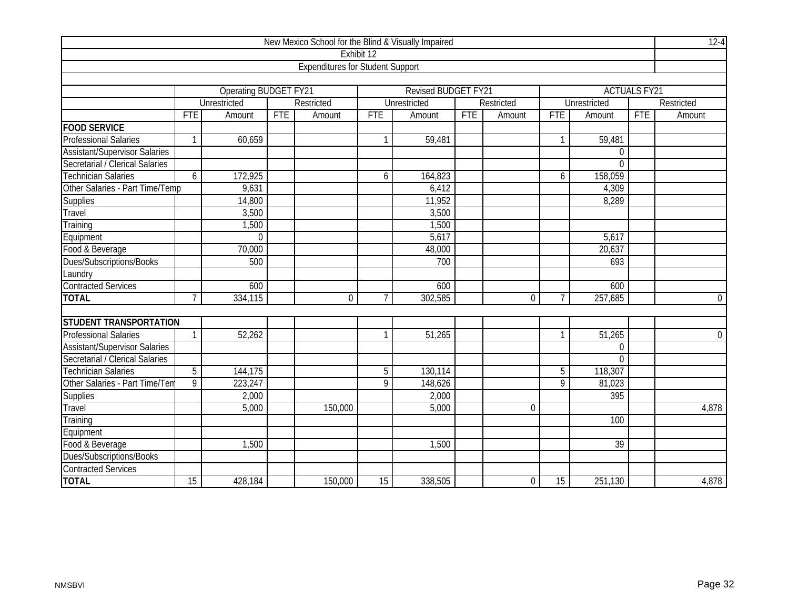| New Mexico School for the Blind & Visually Impaired |                |                              |            |                                         |                 |                            |            |                |                 |                     |            |                |
|-----------------------------------------------------|----------------|------------------------------|------------|-----------------------------------------|-----------------|----------------------------|------------|----------------|-----------------|---------------------|------------|----------------|
|                                                     |                |                              |            |                                         | Exhibit 12      |                            |            |                |                 |                     |            |                |
|                                                     |                |                              |            | <b>Expenditures for Student Support</b> |                 |                            |            |                |                 |                     |            |                |
|                                                     |                |                              |            |                                         |                 |                            |            |                |                 |                     |            |                |
|                                                     |                | <b>Operating BUDGET FY21</b> |            |                                         |                 | <b>Revised BUDGET FY21</b> |            |                |                 | <b>ACTUALS FY21</b> |            |                |
|                                                     |                | <b>Unrestricted</b>          |            | Restricted                              |                 | <b>Unrestricted</b>        |            | Restricted     |                 | Unrestricted        |            | Restricted     |
|                                                     | <b>FTE</b>     | Amount                       | <b>FTE</b> | Amount                                  | <b>FTE</b>      | Amount                     | <b>FTE</b> | Amount         | <b>FTE</b>      | Amount              | <b>FTE</b> | Amount         |
| <b>FOOD SERVICE</b>                                 |                |                              |            |                                         |                 |                            |            |                |                 |                     |            |                |
| <b>Professional Salaries</b>                        | 1              | 60,659                       |            |                                         | $\mathbf{1}$    | 59,481                     |            |                | 1               | 59,481              |            |                |
| <b>Assistant/Supervisor Salaries</b>                |                |                              |            |                                         |                 |                            |            |                |                 | $\mathbf 0$         |            |                |
| Secretarial / Clerical Salaries                     |                |                              |            |                                         |                 |                            |            |                |                 | $\overline{0}$      |            |                |
| Technician Salaries                                 | 6              | 172,925                      |            |                                         | 6               | 164,823                    |            |                | 6               | 158,059             |            |                |
| Other Salaries - Part Time/Temp                     |                | 9,631                        |            |                                         |                 | 6,412                      |            |                |                 | 4,309               |            |                |
| <b>Supplies</b>                                     |                | 14,800                       |            |                                         |                 | 11,952                     |            |                |                 | 8,289               |            |                |
| Travel                                              |                | 3,500                        |            |                                         |                 | 3,500                      |            |                |                 |                     |            |                |
| Training                                            |                | 1,500                        |            |                                         |                 | 1,500                      |            |                |                 |                     |            |                |
| Equipment                                           |                | $\Omega$                     |            |                                         |                 | 5,617                      |            |                |                 | 5,617               |            |                |
| Food & Beverage                                     |                | 70,000                       |            |                                         |                 | 48,000                     |            |                |                 | 20,637              |            |                |
| Dues/Subscriptions/Books                            |                | 500                          |            |                                         |                 | 700                        |            |                |                 | 693                 |            |                |
| Laundry                                             |                |                              |            |                                         |                 |                            |            |                |                 |                     |            |                |
| <b>Contracted Services</b>                          |                | 600                          |            |                                         |                 | 600                        |            |                |                 | 600                 |            |                |
| <b>TOTAL</b>                                        | $\overline{7}$ | 334,115                      |            | $\mathbf 0$                             | $\overline{7}$  | 302,585                    |            | 0              | $\overline{7}$  | 257,685             |            | $\overline{0}$ |
|                                                     |                |                              |            |                                         |                 |                            |            |                |                 |                     |            |                |
| <b>STUDENT TRANSPORTATION</b>                       |                |                              |            |                                         |                 |                            |            |                |                 |                     |            |                |
| <b>Professional Salaries</b>                        | $\mathbf{1}$   | 52,262                       |            |                                         | $\mathbf{1}$    | 51,265                     |            |                | 1               | 51,265              |            | $\overline{0}$ |
| <b>Assistant/Supervisor Salaries</b>                |                |                              |            |                                         |                 |                            |            |                |                 | 0                   |            |                |
| Secretarial / Clerical Salaries                     |                |                              |            |                                         |                 |                            |            |                |                 | $\Omega$            |            |                |
| <b>Technician Salaries</b>                          | $\overline{5}$ | 144,175                      |            |                                         | $\overline{5}$  | 130,114                    |            |                | $\overline{5}$  | 118,307             |            |                |
| Other Salaries - Part Time/Tem                      | 9              | 223,247                      |            |                                         | $\overline{9}$  | 148,626                    |            |                | $\overline{9}$  | 81,023              |            |                |
| Supplies                                            |                | 2,000                        |            |                                         |                 | 2,000                      |            |                |                 | 395                 |            |                |
| Travel                                              |                | 5,000                        |            | 150,000                                 |                 | 5,000                      |            | 0              |                 |                     |            | 4,878          |
| Training                                            |                |                              |            |                                         |                 |                            |            |                |                 | 100                 |            |                |
| Equipment                                           |                |                              |            |                                         |                 |                            |            |                |                 |                     |            |                |
| Food & Beverage                                     |                | 1,500                        |            |                                         |                 | 1,500                      |            |                |                 | 39                  |            |                |
| Dues/Subscriptions/Books                            |                |                              |            |                                         |                 |                            |            |                |                 |                     |            |                |
| <b>Contracted Services</b>                          |                |                              |            |                                         |                 |                            |            |                |                 |                     |            |                |
| <b>TOTAL</b>                                        | 15             | 428,184                      |            | 150,000                                 | $\overline{15}$ | 338,505                    |            | $\overline{0}$ | $\overline{15}$ | 251,130             |            | 4,878          |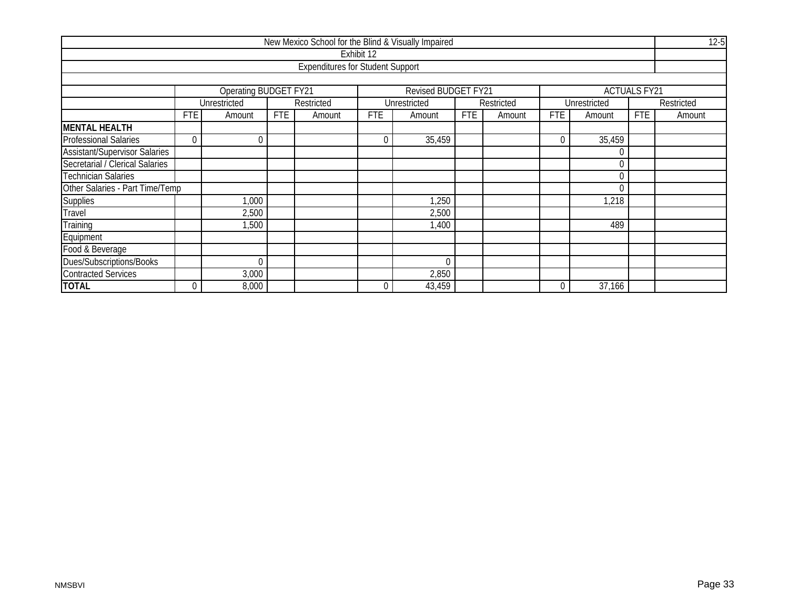| New Mexico School for the Blind & Visually Impaired |            |                                   |            |                                         |            |                            |            |            |             |              |                     |            |  |
|-----------------------------------------------------|------------|-----------------------------------|------------|-----------------------------------------|------------|----------------------------|------------|------------|-------------|--------------|---------------------|------------|--|
|                                                     |            |                                   |            |                                         | Exhibit 12 |                            |            |            |             |              |                     |            |  |
|                                                     |            |                                   |            | <b>Expenditures for Student Support</b> |            |                            |            |            |             |              |                     |            |  |
|                                                     |            |                                   |            |                                         |            |                            |            |            |             |              |                     |            |  |
|                                                     |            | Operating BUDGET FY21             |            |                                         |            | <b>Revised BUDGET FY21</b> |            |            |             |              | <b>ACTUALS FY21</b> |            |  |
|                                                     |            | Unrestricted                      |            | Restricted                              |            | Unrestricted               |            | Restricted |             | Unrestricted |                     | Restricted |  |
|                                                     | <b>FTE</b> | Amount                            | <b>FTE</b> | Amount                                  | <b>FTE</b> | Amount                     | <b>FTE</b> | Amount     | <b>FTE</b>  | Amount       | <b>FTE</b>          | Amount     |  |
| <b>MENTAL HEALTH</b>                                |            |                                   |            |                                         |            |                            |            |            |             |              |                     |            |  |
| <b>Professional Salaries</b>                        | 0          | 35,459<br>35,459<br>0<br>$\theta$ |            |                                         |            |                            |            |            |             |              |                     |            |  |
| <b>Assistant/Supervisor Salaries</b>                |            |                                   |            |                                         |            |                            |            |            |             |              |                     |            |  |
| Secretarial / Clerical Salaries                     |            |                                   |            |                                         |            |                            |            |            |             |              |                     |            |  |
| <b>Technician Salaries</b>                          |            |                                   |            |                                         |            |                            |            |            |             |              |                     |            |  |
| Other Salaries - Part Time/Temp                     |            |                                   |            |                                         |            |                            |            |            |             |              |                     |            |  |
| <b>Supplies</b>                                     |            | 1,000                             |            |                                         |            | 1,250                      |            |            |             | 1,218        |                     |            |  |
| Travel                                              |            | 2,500                             |            |                                         |            | 2,500                      |            |            |             |              |                     |            |  |
| Training                                            |            | 1,500                             |            |                                         |            | 1,400                      |            |            |             | 489          |                     |            |  |
| Equipment                                           |            |                                   |            |                                         |            |                            |            |            |             |              |                     |            |  |
| Food & Beverage                                     |            |                                   |            |                                         |            |                            |            |            |             |              |                     |            |  |
| Dues/Subscriptions/Books                            |            | 0                                 |            |                                         |            | 0                          |            |            |             |              |                     |            |  |
| <b>Contracted Services</b>                          |            | 3,000                             |            |                                         |            | 2,850                      |            |            |             |              |                     |            |  |
| <b>TOTAL</b>                                        |            | 8,000                             |            |                                         | $\Omega$   | 43,459                     |            |            | $\mathbf 0$ | 37,166       |                     |            |  |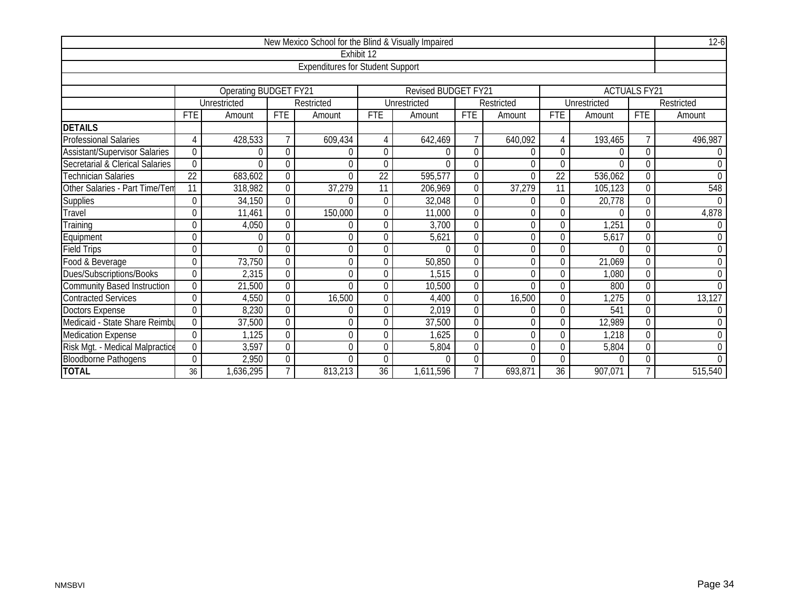| New Mexico School for the Blind & Visually Impaired |                 |                       |                |                                         |                  |                            |             |            |                  |              |                     |             |  |
|-----------------------------------------------------|-----------------|-----------------------|----------------|-----------------------------------------|------------------|----------------------------|-------------|------------|------------------|--------------|---------------------|-------------|--|
|                                                     |                 |                       |                |                                         | Exhibit 12       |                            |             |            |                  |              |                     |             |  |
|                                                     |                 |                       |                | <b>Expenditures for Student Support</b> |                  |                            |             |            |                  |              |                     |             |  |
|                                                     |                 |                       |                |                                         |                  |                            |             |            |                  |              |                     |             |  |
|                                                     |                 | Operating BUDGET FY21 |                |                                         |                  | <b>Revised BUDGET FY21</b> |             |            |                  |              | <b>ACTUALS FY21</b> |             |  |
|                                                     |                 | Unrestricted          |                | Restricted                              |                  | Unrestricted               |             | Restricted |                  | Unrestricted |                     | Restricted  |  |
|                                                     | <b>FTE</b>      | Amount                | FTE            | Amount                                  | <b>FTE</b>       | Amount                     | <b>FTE</b>  | Amount     | <b>FTE</b>       | Amount       | <b>FTE</b>          | Amount      |  |
| <b>DETAILS</b>                                      |                 |                       |                |                                         |                  |                            |             |            |                  |              |                     |             |  |
| <b>Professional Salaries</b>                        | 4               | 428,533               |                | 609,434                                 | $\overline{4}$   | 642,469                    | 7           | 640,092    | 4                | 193,465      |                     | 496,987     |  |
| <b>Assistant/Supervisor Salaries</b>                | 0               | $\Omega$              | $\Omega$       |                                         | $\mathbf 0$      | U                          | $\Omega$    |            | 0                |              | $\Omega$            |             |  |
| Secretarial & Clerical Salaries                     | 0               | $\Omega$              | $\mathbf 0$    | 0                                       | $\mathbf 0$      | $\Omega$                   | $\mathbf 0$ | $\Omega$   | 0                | $\Omega$     | $\theta$            | $\mathbf 0$ |  |
| <b>Technician Salaries</b>                          | $\overline{22}$ | 683,602               | $\overline{0}$ | $\overline{0}$                          | 22               | 595,577                    | $\theta$    | 0          | 22               | 536,062      | $\Omega$            | $\mathbf 0$ |  |
| Other Salaries - Part Time/Tem                      | 11              | 318,982               | $\Omega$       | 37,279                                  | 11               | 206,969                    | $\Omega$    | 37,279     | 11               | 105,123      | $\Omega$            | 548         |  |
| <b>Supplies</b>                                     | 0               | 34,150                | $\mathbf 0$    | $\Omega$                                | $\boldsymbol{0}$ | 32,048                     | 0           | 0          | $\mathbf 0$      | 20,778       | 0                   | $\Omega$    |  |
| Travel                                              | 0               | 11,461                | $\overline{0}$ | 150,000                                 | $\boldsymbol{0}$ | 11,000                     | $\theta$    | 0          | 0                | $\Omega$     | $\Omega$            | 4,878       |  |
| Training                                            | 0               | 4,050                 | $\overline{0}$ | 0                                       | $\mathbf 0$      | 3,700                      | $\theta$    | 0          | 0                | 1,251        | $\theta$            |             |  |
| Equipment                                           | 0               | 0                     | 0              | 0                                       | $\mathbf 0$      | 5,621                      | $\theta$    | 0          | 0                | 5,617        | $\overline{0}$      | $\mathbf 0$ |  |
| <b>Field Trips</b>                                  | 0               | $\Omega$              | $\Omega$       | 0                                       | 0                | U                          | $\Omega$    | U          | 0                |              | $\Omega$            | $\Omega$    |  |
| Food & Beverage                                     | 0               | 73,750                | $\mathbf 0$    | $\overline{0}$                          | $\mathbf 0$      | 50,850                     | $\mathbf 0$ | 0          | 0                | 21,069       | $\theta$            | $\theta$    |  |
| Dues/Subscriptions/Books                            | 0               | 2,315                 | $\overline{0}$ | $\Omega$                                | 0                | 1,515                      | $\theta$    | U          | $\overline{0}$   | 1,080        | $\theta$            | $\theta$    |  |
| <b>Community Based Instruction</b>                  | 0               | 21,500                | $\mathbf 0$    | $\Omega$                                | $\mathbf 0$      | 10,500                     | 0           |            | 0                | 800          | $\Omega$            |             |  |
| <b>Contracted Services</b>                          | 0               | 4,550                 | $\mathbf 0$    | 16,500                                  | $\boldsymbol{0}$ | 4,400                      | $\theta$    | 16,500     | 0                | ,275         | $\theta$            | 13,127      |  |
| <b>Doctors Expense</b>                              | $\mathbf 0$     | 8,230                 | $\mathbf 0$    | 0                                       | $\mathbf 0$      | 2,019                      | $\theta$    | 0          | 0                | 541          | $\overline{0}$      | $\theta$    |  |
| Medicaid - State Share Reimbu                       | 0               | 37,500                | $\Omega$       | 0                                       | $\boldsymbol{0}$ | 37,500                     | $\theta$    | U          | $\boldsymbol{0}$ | 12,989       | $\Omega$            | $\Omega$    |  |
| <b>Medication Expense</b>                           | 0               | 1,125                 | $\mathbf 0$    | $\overline{0}$                          | $\mathbf 0$      | 1,625                      | $\mathbf 0$ | 0          | 0                | 1,218        | $\mathbf 0$         | $\Omega$    |  |
| Risk Mgt. - Medical Malpractice                     | $\overline{0}$  | 3,597                 | $\mathbf 0$    | 0                                       | $\boldsymbol{0}$ | 5,804                      | $\theta$    | $\Omega$   | $\boldsymbol{0}$ | 5,804        | $\theta$            | $\theta$    |  |
| <b>Bloodborne Pathogens</b>                         | 0               | 2,950                 | $\mathbf 0$    | $\Omega$                                | $\boldsymbol{0}$ | $\Omega$                   | $\theta$    |            | 0                |              | $\Omega$            |             |  |
| <b>TOTAL</b>                                        | 36              | 1,636,295             | $\overline{7}$ | 813,213                                 | 36               | 1,611,596                  |             | 693,871    | 36               | 907,071      |                     | 515,540     |  |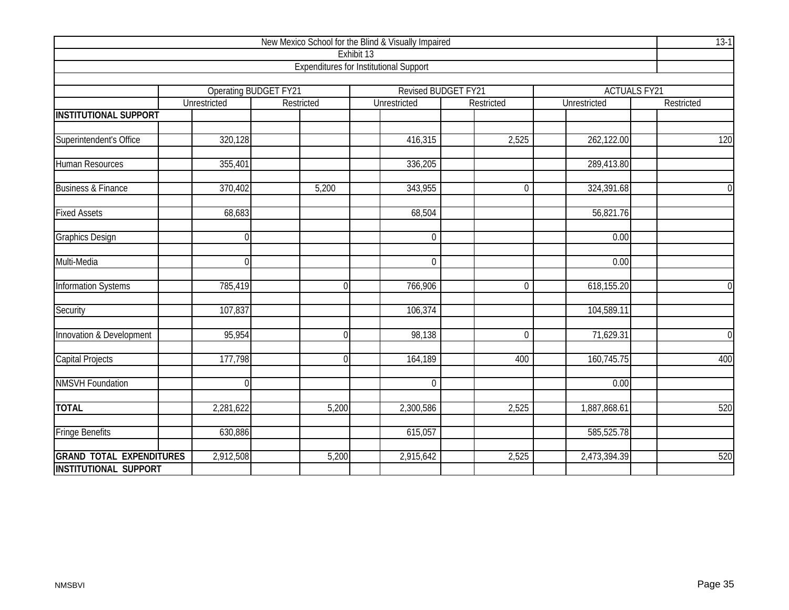| New Mexico School for the Blind & Visually Impaired |                |                                            |                                               |                     |              |                     |  |  |  |  |  |  |
|-----------------------------------------------------|----------------|--------------------------------------------|-----------------------------------------------|---------------------|--------------|---------------------|--|--|--|--|--|--|
|                                                     |                |                                            | Exhibit 13                                    |                     |              |                     |  |  |  |  |  |  |
|                                                     |                |                                            | <b>Expenditures for Institutional Support</b> |                     |              |                     |  |  |  |  |  |  |
|                                                     |                |                                            |                                               | Revised BUDGET FY21 |              | <b>ACTUALS FY21</b> |  |  |  |  |  |  |
|                                                     | Unrestricted   | <b>Operating BUDGET FY21</b><br>Restricted | Unrestricted                                  | Restricted          | Unrestricted | Restricted          |  |  |  |  |  |  |
| <b>INSTITUTIONAL SUPPORT</b>                        |                |                                            |                                               |                     |              |                     |  |  |  |  |  |  |
|                                                     |                |                                            |                                               |                     |              |                     |  |  |  |  |  |  |
| Superintendent's Office                             | 320,128        |                                            | 416,315                                       | 2,525               | 262,122.00   | 120                 |  |  |  |  |  |  |
| Human Resources                                     | 355,401        |                                            | 336,205                                       |                     | 289,413.80   |                     |  |  |  |  |  |  |
| <b>Business &amp; Finance</b>                       | 370,402        | 5,200                                      | 343,955                                       | $\mathbf 0$         | 324,391.68   | $\mathbf 0$         |  |  |  |  |  |  |
| <b>Fixed Assets</b>                                 | 68,683         |                                            | 68,504                                        |                     | 56,821.76    |                     |  |  |  |  |  |  |
| <b>Graphics Design</b>                              | $\overline{0}$ |                                            | $\overline{0}$                                |                     | 0.00         |                     |  |  |  |  |  |  |
| Multi-Media                                         | $\theta$       |                                            | $\overline{0}$                                |                     | 0.00         |                     |  |  |  |  |  |  |
| <b>Information Systems</b>                          | 785,419        | $\overline{0}$                             | 766,906                                       | $\mathbf 0$         | 618,155.20   | $\overline{0}$      |  |  |  |  |  |  |
| Security                                            | 107,837        |                                            | 106,374                                       |                     | 104,589.11   |                     |  |  |  |  |  |  |
| Innovation & Development                            | 95,954         | $\overline{0}$                             | 98,138                                        | $\overline{0}$      | 71,629.31    | $\overline{0}$      |  |  |  |  |  |  |
| <b>Capital Projects</b>                             | 177,798        | $\overline{0}$                             | 164,189                                       | 400                 | 160,745.75   | 400                 |  |  |  |  |  |  |
| <b>NMSVH Foundation</b>                             | $\overline{0}$ |                                            | $\mathbf 0$                                   |                     | 0.00         |                     |  |  |  |  |  |  |
| <b>TOTAL</b>                                        | 2,281,622      | 5,200                                      | 2,300,586                                     | 2,525               | 1,887,868.61 | 520                 |  |  |  |  |  |  |
| <b>Fringe Benefits</b>                              | 630,886        |                                            | 615,057                                       |                     | 585,525.78   |                     |  |  |  |  |  |  |
| <b>GRAND TOTAL EXPENDITURES</b>                     | 2,912,508      | 5,200                                      | 2,915,642                                     | 2,525               | 2,473,394.39 | 520                 |  |  |  |  |  |  |
| <b>INSTITUTIONAL SUPPORT</b>                        |                |                                            |                                               |                     |              |                     |  |  |  |  |  |  |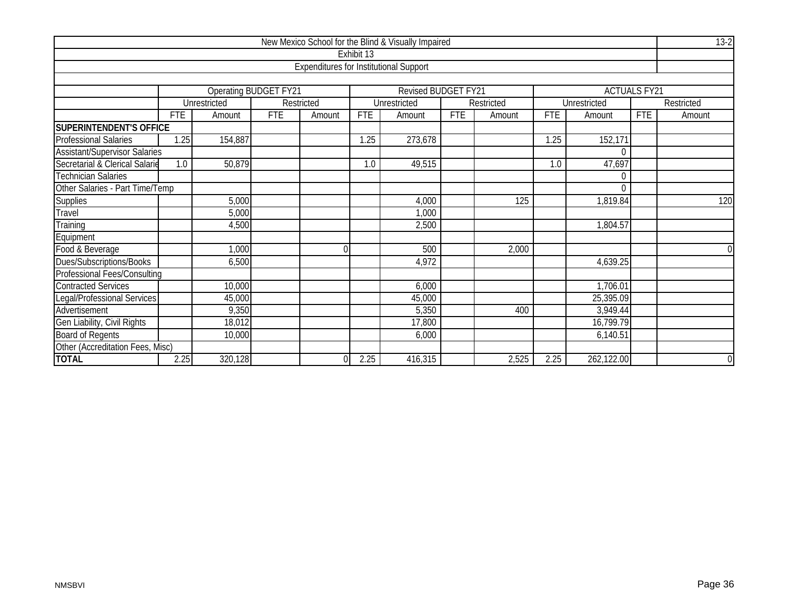| New Mexico School for the Blind & Visually Impaired |            |                              |            |                                               |            |                     |            |            |            |              |                     |             |  |
|-----------------------------------------------------|------------|------------------------------|------------|-----------------------------------------------|------------|---------------------|------------|------------|------------|--------------|---------------------|-------------|--|
|                                                     |            |                              |            |                                               | Exhibit 13 |                     |            |            |            |              |                     |             |  |
|                                                     |            |                              |            | <b>Expenditures for Institutional Support</b> |            |                     |            |            |            |              |                     |             |  |
|                                                     |            |                              |            |                                               |            |                     |            |            |            |              |                     |             |  |
|                                                     |            | <b>Operating BUDGET FY21</b> |            |                                               |            | Revised BUDGET FY21 |            |            |            |              | <b>ACTUALS FY21</b> |             |  |
|                                                     |            | Unrestricted                 |            | Restricted                                    |            | Unrestricted        |            | Restricted |            | Unrestricted |                     | Restricted  |  |
|                                                     | <b>FTE</b> | Amount                       | <b>FTE</b> | Amount                                        | <b>FTE</b> | Amount              | <b>FTE</b> | Amount     | <b>FTE</b> | Amount       | <b>FTE</b>          | Amount      |  |
| <b>SUPERINTENDENT'S OFFICE</b>                      |            |                              |            |                                               |            |                     |            |            |            |              |                     |             |  |
| <b>Professional Salaries</b>                        | 1.25       | 154,887                      |            |                                               | 1.25       | 273,678             |            |            | 1.25       | 152,171      |                     |             |  |
| <b>Assistant/Supervisor Salaries</b>                |            |                              |            |                                               |            |                     |            |            |            | 0            |                     |             |  |
| Secretarial & Clerical Salarie                      | 1.0        | 50,879                       |            |                                               | 1.0        | 49,515              |            |            | 1.0        | 47,697       |                     |             |  |
| <b>Technician Salaries</b><br>0                     |            |                              |            |                                               |            |                     |            |            |            |              |                     |             |  |
| Other Salaries - Part Time/Temp<br>$\Omega$         |            |                              |            |                                               |            |                     |            |            |            |              |                     |             |  |
| <b>Supplies</b>                                     |            | 5,000                        |            |                                               |            | 4,000               |            | 125        |            | 1,819.84     |                     | 120         |  |
| Travel                                              |            | 5,000                        |            |                                               |            | 1,000               |            |            |            |              |                     |             |  |
| Training                                            |            | 4,500                        |            |                                               |            | 2,500               |            |            |            | 1,804.57     |                     |             |  |
| Equipment                                           |            |                              |            |                                               |            |                     |            |            |            |              |                     |             |  |
| Food & Beverage                                     |            | 1,000                        |            | 0                                             |            | 500                 |            | 2,000      |            |              |                     | $\Omega$    |  |
| Dues/Subscriptions/Books                            |            | 6,500                        |            |                                               |            | 4,972               |            |            |            | 4,639.25     |                     |             |  |
| <b>Professional Fees/Consulting</b>                 |            |                              |            |                                               |            |                     |            |            |            |              |                     |             |  |
| <b>Contracted Services</b>                          |            | 10,000                       |            |                                               |            | 6,000               |            |            |            | 1,706.01     |                     |             |  |
| Legal/Professional Services                         |            | 45,000                       |            |                                               |            | 45,000              |            |            |            | 25,395.09    |                     |             |  |
| Advertisement                                       |            | 9,350                        |            |                                               |            | 5,350               |            | 400        |            | 3,949.44     |                     |             |  |
| Gen Liability, Civil Rights                         |            | 18,012                       |            |                                               |            | 17,800              |            |            |            | 16,799.79    |                     |             |  |
| <b>Board of Regents</b>                             |            | 10,000                       |            |                                               |            | 6,000               |            |            |            | 6,140.51     |                     |             |  |
| Other (Accreditation Fees, Misc)                    |            |                              |            |                                               |            |                     |            |            |            |              |                     |             |  |
| <b>TOTAL</b>                                        | 2.25       | 320,128                      |            |                                               | 2.25       | 416,315             |            | 2,525      | 2.25       | 262,122.00   |                     | $\mathbf 0$ |  |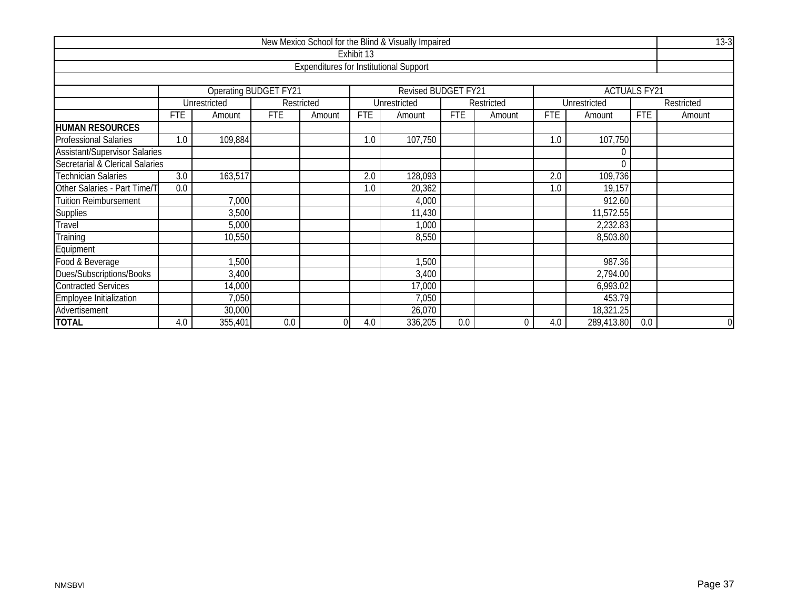|                                             |                                                                              |              |                              |                                               |            | New Mexico School for the Blind & Visually Impaired |            |            |            |              |                     | $13-3$         |  |  |
|---------------------------------------------|------------------------------------------------------------------------------|--------------|------------------------------|-----------------------------------------------|------------|-----------------------------------------------------|------------|------------|------------|--------------|---------------------|----------------|--|--|
|                                             |                                                                              |              |                              |                                               | Exhibit 13 |                                                     |            |            |            |              |                     |                |  |  |
|                                             |                                                                              |              |                              | <b>Expenditures for Institutional Support</b> |            |                                                     |            |            |            |              |                     |                |  |  |
|                                             |                                                                              |              |                              |                                               |            |                                                     |            |            |            |              |                     |                |  |  |
|                                             |                                                                              |              | <b>Operating BUDGET FY21</b> |                                               |            | Revised BUDGET FY21                                 |            |            |            |              | <b>ACTUALS FY21</b> |                |  |  |
|                                             |                                                                              | Unrestricted |                              | Restricted                                    |            | Unrestricted                                        |            | Restricted |            | Unrestricted |                     | Restricted     |  |  |
|                                             | <b>FTE</b>                                                                   | Amount       | <b>FTE</b>                   | Amount                                        | <b>FTE</b> | Amount                                              | <b>FTE</b> | Amount     | <b>FTE</b> | Amount       | <b>FTE</b>          | Amount         |  |  |
| <b>HUMAN RESOURCES</b>                      |                                                                              |              |                              |                                               |            |                                                     |            |            |            |              |                     |                |  |  |
| <b>Professional Salaries</b>                | 1.0                                                                          | 109,884      |                              |                                               | 1.0        | 107,750                                             |            |            | 1.0        | 107,750      |                     |                |  |  |
| <b>Assistant/Supervisor Salaries</b><br>0   |                                                                              |              |                              |                                               |            |                                                     |            |            |            |              |                     |                |  |  |
| Secretarial & Clerical Salaries<br>$\theta$ |                                                                              |              |                              |                                               |            |                                                     |            |            |            |              |                     |                |  |  |
| <b>Technician Salaries</b>                  | $\overline{3.0}$<br>163,517<br>$\overline{2.0}$<br>128,093<br>109,736<br>2.0 |              |                              |                                               |            |                                                     |            |            |            |              |                     |                |  |  |
| Other Salaries - Part Time/T                | 0.0                                                                          |              |                              |                                               | 1.0        | 20,362                                              |            |            | 1.0        | 19,157       |                     |                |  |  |
| <b>Tuition Reimbursement</b>                |                                                                              | 7,000        |                              |                                               |            | 4,000                                               |            |            |            | 912.60       |                     |                |  |  |
| Supplies                                    |                                                                              | 3,500        |                              |                                               |            | 11,430                                              |            |            |            | 11,572.55    |                     |                |  |  |
| Travel                                      |                                                                              | 5,000        |                              |                                               |            | 1,000                                               |            |            |            | 2,232.83     |                     |                |  |  |
| Training                                    |                                                                              | 10,550       |                              |                                               |            | 8,550                                               |            |            |            | 8,503.80     |                     |                |  |  |
| Equipment                                   |                                                                              |              |                              |                                               |            |                                                     |            |            |            |              |                     |                |  |  |
| Food & Beverage                             |                                                                              | 1,500        |                              |                                               |            | 1,500                                               |            |            |            | 987.36       |                     |                |  |  |
| <b>Dues/Subscriptions/Books</b>             |                                                                              | 3,400        |                              |                                               |            | 3,400                                               |            |            |            | 2,794.00     |                     |                |  |  |
| <b>Contracted Services</b>                  | 14,000<br>17,000<br>6,993.02                                                 |              |                              |                                               |            |                                                     |            |            |            |              |                     |                |  |  |
| Employee Initialization                     | 7,050<br>453.79<br>7,050                                                     |              |                              |                                               |            |                                                     |            |            |            |              |                     |                |  |  |
| Advertisement                               | 30,000<br>18,321.25<br>26,070                                                |              |                              |                                               |            |                                                     |            |            |            |              |                     |                |  |  |
| <b>TOTAL</b>                                | 4.0                                                                          | 355,401      | 0.0                          |                                               | 4.0        | 336,205                                             | 0.0        | 0          | 4.0        | 289,413.80   | 0.0                 | $\overline{0}$ |  |  |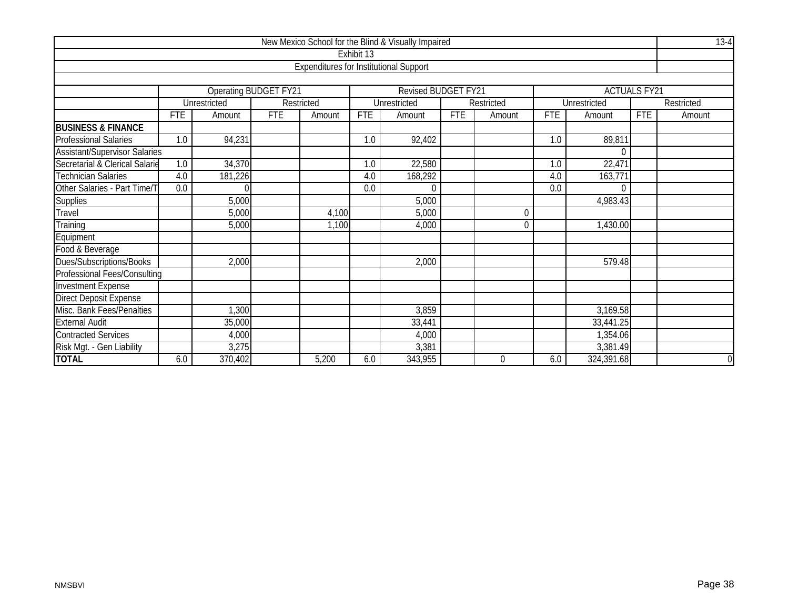|                                      |            |                                                 |            |                                               |                                    | New Mexico School for the Blind & Visually Impaired |  |                |            |              |                     | $13-4$         |  |
|--------------------------------------|------------|-------------------------------------------------|------------|-----------------------------------------------|------------------------------------|-----------------------------------------------------|--|----------------|------------|--------------|---------------------|----------------|--|
|                                      |            |                                                 |            |                                               | Exhibit 13                         |                                                     |  |                |            |              |                     |                |  |
|                                      |            |                                                 |            | <b>Expenditures for Institutional Support</b> |                                    |                                                     |  |                |            |              |                     |                |  |
|                                      |            |                                                 |            |                                               |                                    |                                                     |  |                |            |              |                     |                |  |
|                                      |            | <b>Operating BUDGET FY21</b>                    |            |                                               |                                    | Revised BUDGET FY21                                 |  |                |            |              | <b>ACTUALS FY21</b> |                |  |
|                                      |            | Unrestricted                                    |            | Restricted                                    |                                    | Unrestricted                                        |  | Restricted     |            | Unrestricted |                     | Restricted     |  |
|                                      | <b>FTE</b> | Amount                                          | <b>FTE</b> | Amount                                        | <b>FTE</b><br><b>FTE</b><br>Amount |                                                     |  | Amount         | <b>FTE</b> | Amount       | <b>FTE</b>          | Amount         |  |
| <b>BUSINESS &amp; FINANCE</b>        |            |                                                 |            |                                               |                                    |                                                     |  |                |            |              |                     |                |  |
| <b>Professional Salaries</b>         | 1.0        | 94,231                                          |            |                                               | 1.0                                | 92,402                                              |  |                | 1.0        | 89,811       |                     |                |  |
| <b>Assistant/Supervisor Salaries</b> |            |                                                 |            |                                               |                                    |                                                     |  |                |            | $\theta$     |                     |                |  |
| Secretarial & Clerical Salarie       |            | 1.0<br>34,370<br>22,471<br>22,580<br>1.0<br>1.0 |            |                                               |                                    |                                                     |  |                |            |              |                     |                |  |
| <b>Technician Salaries</b>           | 4.0        | 163,771<br>181,226<br>168,292<br>4.0<br>4.0     |            |                                               |                                    |                                                     |  |                |            |              |                     |                |  |
| Other Salaries - Part Time/T         | 0.0        |                                                 |            |                                               | 0.0                                | $\Omega$                                            |  |                | 0.0        | $\Omega$     |                     |                |  |
| Supplies                             |            | 5,000                                           |            |                                               |                                    | 5,000                                               |  |                |            | 4,983.43     |                     |                |  |
| Travel                               |            | 5,000                                           |            | 4,100                                         |                                    | 5,000                                               |  | $\Omega$       |            |              |                     |                |  |
| Training                             |            | 5,000                                           |            | 1,100                                         |                                    | 4,000                                               |  | $\overline{0}$ |            | 1,430.00     |                     |                |  |
| Equipment                            |            |                                                 |            |                                               |                                    |                                                     |  |                |            |              |                     |                |  |
| Food & Beverage                      |            |                                                 |            |                                               |                                    |                                                     |  |                |            |              |                     |                |  |
| Dues/Subscriptions/Books             |            | 2,000                                           |            |                                               |                                    | 2,000                                               |  |                |            | 579.48       |                     |                |  |
| <b>Professional Fees/Consulting</b>  |            |                                                 |            |                                               |                                    |                                                     |  |                |            |              |                     |                |  |
| <b>Investment Expense</b>            |            |                                                 |            |                                               |                                    |                                                     |  |                |            |              |                     |                |  |
| <b>Direct Deposit Expense</b>        |            |                                                 |            |                                               |                                    |                                                     |  |                |            |              |                     |                |  |
| Misc. Bank Fees/Penalties            |            | , 300                                           |            |                                               | 3,859<br>3,169.58                  |                                                     |  |                |            |              |                     |                |  |
| <b>External Audit</b>                |            | 35,000                                          |            |                                               |                                    | 33,441                                              |  |                |            | 33,441.25    |                     |                |  |
| <b>Contracted Services</b>           |            | 4,000                                           |            |                                               |                                    | 4,000                                               |  |                |            | 1,354.06     |                     |                |  |
| Risk Mgt. - Gen Liability            |            | 3,275                                           |            |                                               |                                    | 3,381                                               |  |                |            | 3,381.49     |                     |                |  |
| <b>TOTAL</b>                         | 6.0        | 370,402                                         |            | 5,200                                         | 6.0                                | 343,955                                             |  | $\mathbf 0$    | 6.0        | 324,391.68   |                     | $\overline{0}$ |  |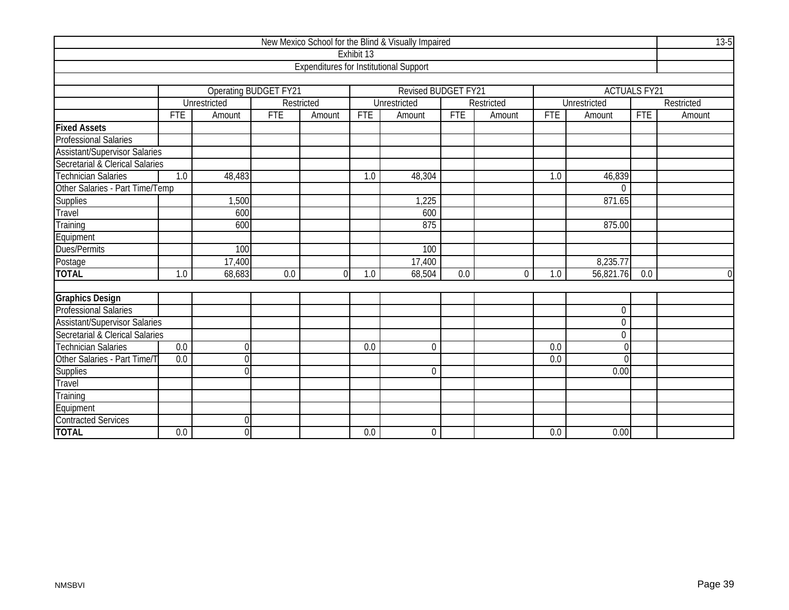|                                      |                         |                              |            |                                               |            | New Mexico School for the Blind & Visually Impaired |            |            |            |                     |            | $13-5$     |  |  |
|--------------------------------------|-------------------------|------------------------------|------------|-----------------------------------------------|------------|-----------------------------------------------------|------------|------------|------------|---------------------|------------|------------|--|--|
|                                      |                         |                              |            |                                               | Exhibit 13 |                                                     |            |            |            |                     |            |            |  |  |
|                                      |                         |                              |            | <b>Expenditures for Institutional Support</b> |            |                                                     |            |            |            |                     |            |            |  |  |
|                                      |                         |                              |            |                                               |            |                                                     |            |            |            |                     |            |            |  |  |
|                                      |                         | <b>Operating BUDGET FY21</b> |            |                                               |            | <b>Revised BUDGET FY21</b>                          |            |            |            | <b>ACTUALS FY21</b> |            |            |  |  |
|                                      |                         | <b>Unrestricted</b>          |            | Restricted                                    |            | Unrestricted                                        |            | Restricted |            | Unrestricted        |            | Restricted |  |  |
|                                      | <b>FTE</b>              | Amount                       | <b>FTE</b> | Amount                                        | <b>FTE</b> | Amount                                              | <b>FTE</b> | Amount     | <b>FTE</b> | Amount              | <b>FTE</b> | Amount     |  |  |
| <b>Fixed Assets</b>                  |                         |                              |            |                                               |            |                                                     |            |            |            |                     |            |            |  |  |
| <b>Professional Salaries</b>         |                         |                              |            |                                               |            |                                                     |            |            |            |                     |            |            |  |  |
| Assistant/Supervisor Salaries        |                         |                              |            |                                               |            |                                                     |            |            |            |                     |            |            |  |  |
| Secretarial & Clerical Salaries      |                         |                              |            |                                               |            |                                                     |            |            |            |                     |            |            |  |  |
| Technician Salaries                  | 1.0                     | 48,483                       |            |                                               | 1.0        | 48,304                                              |            |            | 1.0        | 46,839              |            |            |  |  |
| Other Salaries - Part Time/Temp      |                         |                              |            |                                               |            |                                                     |            |            |            | $\Omega$            |            |            |  |  |
| <b>Supplies</b>                      | ,500<br>1,225<br>871.65 |                              |            |                                               |            |                                                     |            |            |            |                     |            |            |  |  |
| Travel                               |                         | 600                          |            |                                               |            | 600                                                 |            |            |            |                     |            |            |  |  |
| Training                             |                         | 600                          |            |                                               |            | 875                                                 |            |            |            | 875.00              |            |            |  |  |
| Equipment                            |                         |                              |            |                                               |            |                                                     |            |            |            |                     |            |            |  |  |
| Dues/Permits                         |                         | 100                          |            |                                               |            | 100                                                 |            |            |            |                     |            |            |  |  |
| Postage                              |                         | 17,400                       |            |                                               |            | 17,400                                              |            |            |            | 8,235.77            |            |            |  |  |
| <b>TOTAL</b>                         | 1.0                     | 68,683                       | 0.0        | $\Omega$                                      | 1.0        | 68,504                                              | 0.0        | $\Omega$   | 1.0        | 56,821.76           | 0.0        | $\Omega$   |  |  |
|                                      |                         |                              |            |                                               |            |                                                     |            |            |            |                     |            |            |  |  |
| <b>Graphics Design</b>               |                         |                              |            |                                               |            |                                                     |            |            |            |                     |            |            |  |  |
| <b>Professional Salaries</b>         |                         |                              |            |                                               |            |                                                     |            |            |            | $\boldsymbol{0}$    |            |            |  |  |
| <b>Assistant/Supervisor Salaries</b> |                         |                              |            |                                               |            |                                                     |            |            |            | $\mathbf 0$         |            |            |  |  |
| Secretarial & Clerical Salaries      |                         |                              |            |                                               |            |                                                     |            |            |            | $\Omega$            |            |            |  |  |
| <b>Technician Salaries</b>           | 0.0                     | $\mathbf{0}$                 |            |                                               | 0.0        | $\mathbf 0$                                         |            |            | 0.0        | $\Omega$            |            |            |  |  |
| Other Salaries - Part Time/T         | $\overline{0.0}$        | $\Omega$                     |            |                                               |            |                                                     |            |            | 0.0        |                     |            |            |  |  |
| <b>Supplies</b>                      |                         | $\Omega$                     |            |                                               |            | $\Omega$                                            |            |            |            | 0.00                |            |            |  |  |
| Travel                               |                         |                              |            |                                               |            |                                                     |            |            |            |                     |            |            |  |  |
| Training                             |                         |                              |            |                                               |            |                                                     |            |            |            |                     |            |            |  |  |
| Equipment                            |                         |                              |            |                                               |            |                                                     |            |            |            |                     |            |            |  |  |
| <b>Contracted Services</b>           |                         | $\Omega$                     |            |                                               |            |                                                     |            |            |            |                     |            |            |  |  |
| <b>TOTAL</b>                         | 0.0                     | $\mathbf 0$                  |            |                                               | 0.0        | $\mathbf 0$                                         |            |            | 0.0        | 0.00                |            |            |  |  |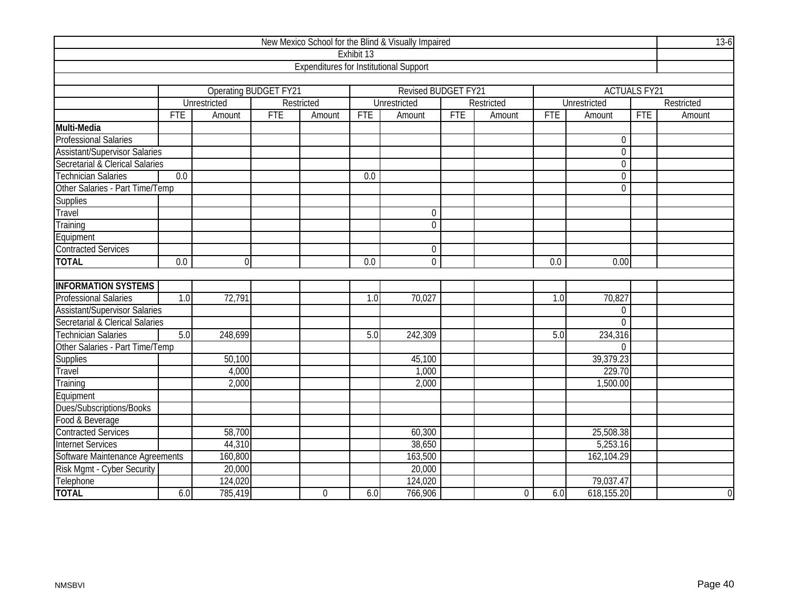|                                      |                  |                      |            |                                               |            | New Mexico School for the Blind & Visually Impaired |            |                |            |                     |            | $13-6$         |  |
|--------------------------------------|------------------|----------------------|------------|-----------------------------------------------|------------|-----------------------------------------------------|------------|----------------|------------|---------------------|------------|----------------|--|
|                                      |                  |                      |            |                                               | Exhibit 13 |                                                     |            |                |            |                     |            |                |  |
|                                      |                  |                      |            | <b>Expenditures for Institutional Support</b> |            |                                                     |            |                |            |                     |            |                |  |
|                                      |                  |                      |            |                                               |            |                                                     |            |                |            |                     |            |                |  |
|                                      |                  | Operating BUDGET FY2 |            |                                               |            | Revised BUDGET FY21                                 |            |                |            | <b>ACTUALS FY21</b> |            |                |  |
|                                      |                  | Unrestricted         |            | Restricted                                    |            | Unrestricted                                        |            | Restricted     |            | <b>Unrestricted</b> |            | Restricted     |  |
|                                      | <b>FTE</b>       | Amount               | <b>FTE</b> | Amount                                        | <b>FTE</b> | Amount                                              | <b>FTE</b> | Amount         | <b>FTE</b> | Amount              | <b>FTE</b> | Amount         |  |
| Multi-Media                          |                  |                      |            |                                               |            |                                                     |            |                |            |                     |            |                |  |
| <b>Professional Salaries</b>         |                  |                      |            |                                               |            |                                                     |            |                |            | $\pmb{0}$           |            |                |  |
| <b>Assistant/Supervisor Salaries</b> |                  |                      |            |                                               |            |                                                     |            |                |            | $\boldsymbol{0}$    |            |                |  |
| Secretarial & Clerical Salaries      |                  |                      |            |                                               |            |                                                     |            |                |            | $\mathbf 0$         |            |                |  |
| <b>Technician Salaries</b>           | $\overline{0.0}$ |                      |            |                                               | 0.0        |                                                     |            |                |            | $\boldsymbol{0}$    |            |                |  |
| Other Salaries - Part Time/Temp      |                  |                      |            |                                               |            |                                                     |            |                |            | $\Omega$            |            |                |  |
| Supplies                             |                  |                      |            |                                               |            |                                                     |            |                |            |                     |            |                |  |
| Travel                               | $\mathbf 0$      |                      |            |                                               |            |                                                     |            |                |            |                     |            |                |  |
| Training                             |                  |                      |            |                                               |            | $\overline{0}$                                      |            |                |            |                     |            |                |  |
| Equipment                            |                  |                      |            |                                               |            |                                                     |            |                |            |                     |            |                |  |
| <b>Contracted Services</b>           |                  |                      |            |                                               |            | $\mathbf 0$                                         |            |                |            |                     |            |                |  |
| <b>TOTAL</b>                         | 0.0              | $\overline{0}$       |            |                                               | 0.0        | $\mathbf 0$                                         |            |                | 0.0        | 0.00                |            |                |  |
|                                      |                  |                      |            |                                               |            |                                                     |            |                |            |                     |            |                |  |
| <b>INFORMATION SYSTEMS</b>           |                  |                      |            |                                               |            |                                                     |            |                |            |                     |            |                |  |
| <b>Professional Salaries</b>         | 1.0              | 72,791               |            |                                               | 1.0        | 70,027                                              |            |                | 1.0        | 70,827              |            |                |  |
| <b>Assistant/Supervisor Salaries</b> |                  |                      |            |                                               |            |                                                     |            |                |            | $\overline{0}$      |            |                |  |
| Secretarial & Clerical Salaries      |                  |                      |            |                                               |            |                                                     |            |                |            | $\overline{0}$      |            |                |  |
| <b>Technician Salaries</b>           | 5.0              | 248,699              |            |                                               | 5.0        | 242,309                                             |            |                | 5.0        | 234,316             |            |                |  |
| Other Salaries - Part Time/Temp      |                  |                      |            |                                               |            |                                                     |            |                |            | $\Omega$            |            |                |  |
| Supplies                             |                  | 50,100               |            |                                               |            | 45,100                                              |            |                |            | 39,379.23           |            |                |  |
| Travel                               |                  | 4,000                |            |                                               |            | 1,000                                               |            |                |            | 229.70              |            |                |  |
| Training                             |                  | 2,000                |            |                                               |            | 2,000                                               |            |                |            | 1,500.00            |            |                |  |
| Equipment                            |                  |                      |            |                                               |            |                                                     |            |                |            |                     |            |                |  |
| Dues/Subscriptions/Books             |                  |                      |            |                                               |            |                                                     |            |                |            |                     |            |                |  |
| Food & Beverage                      |                  |                      |            |                                               |            |                                                     |            |                |            |                     |            |                |  |
| <b>Contracted Services</b>           |                  | 58,700               |            |                                               |            | 60,300                                              |            |                |            | 25,508.38           |            |                |  |
| <b>Internet Services</b>             |                  | 38,650               |            |                                               |            | 5,253.16                                            |            |                |            |                     |            |                |  |
| Software Maintenance Agreements      |                  | 160,800              |            |                                               |            | 163,500                                             |            |                |            | 162,104.29          |            |                |  |
| Risk Mgmt - Cyber Security           |                  | 20,000               |            |                                               |            | 20,000                                              |            |                |            |                     |            |                |  |
| Telephone                            |                  | 124,020              |            |                                               |            | 124,020                                             |            |                |            | 79,037.47           |            |                |  |
| <b>TOTAL</b>                         | 6.0              | 785,419              |            | $\overline{0}$                                | 6.0        | 766,906                                             |            | $\overline{0}$ | 6.0        | 618,155.20          |            | $\overline{0}$ |  |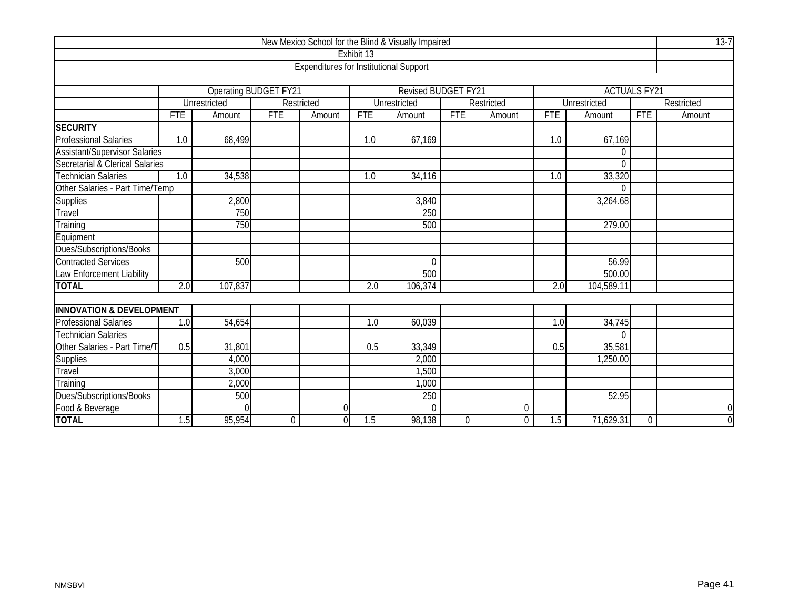|                                      |                                                 |              |                       |                                               |            | New Mexico School for the Blind & Visually Impaired |                  |            |            |                     |             | $13 - 7$       |  |  |  |
|--------------------------------------|-------------------------------------------------|--------------|-----------------------|-----------------------------------------------|------------|-----------------------------------------------------|------------------|------------|------------|---------------------|-------------|----------------|--|--|--|
|                                      |                                                 |              |                       |                                               | Exhibit 13 |                                                     |                  |            |            |                     |             |                |  |  |  |
|                                      |                                                 |              |                       | <b>Expenditures for Institutional Support</b> |            |                                                     |                  |            |            |                     |             |                |  |  |  |
|                                      |                                                 |              |                       |                                               |            |                                                     |                  |            |            |                     |             |                |  |  |  |
|                                      |                                                 |              | Operating BUDGET FY21 |                                               |            | <b>Revised BUDGET FY21</b>                          |                  |            |            | <b>ACTUALS FY21</b> |             |                |  |  |  |
|                                      |                                                 | Unrestricted |                       | Restricted                                    |            | Unrestricted                                        |                  | Restricted |            | Unrestricted        |             | Restricted     |  |  |  |
|                                      | <b>FTE</b>                                      | Amount       | <b>FTE</b>            | Amount                                        | <b>FTE</b> | Amount                                              | <b>FTE</b>       | Amount     | <b>FTE</b> | Amount              | <b>FTE</b>  | Amount         |  |  |  |
| <b>SECURITY</b>                      |                                                 |              |                       |                                               |            |                                                     |                  |            |            |                     |             |                |  |  |  |
| <b>Professional Salaries</b>         | 1.0                                             | 68,499       |                       |                                               | 1.0        | 67,169                                              |                  |            | 1.0        | 67,169              |             |                |  |  |  |
| <b>Assistant/Supervisor Salaries</b> |                                                 |              |                       |                                               |            |                                                     |                  |            |            | 0                   |             |                |  |  |  |
| Secretarial & Clerical Salaries      |                                                 |              |                       |                                               |            |                                                     |                  |            |            | $\overline{0}$      |             |                |  |  |  |
| <b>Technician Salaries</b>           | 33,320<br>1.0<br>34,538<br>1.0<br>34,116<br>1.0 |              |                       |                                               |            |                                                     |                  |            |            |                     |             |                |  |  |  |
| Other Salaries - Part Time/Temp      | 0                                               |              |                       |                                               |            |                                                     |                  |            |            |                     |             |                |  |  |  |
| Supplies                             | 2,800<br>3,264.68<br>3,840                      |              |                       |                                               |            |                                                     |                  |            |            |                     |             |                |  |  |  |
| Travel                               |                                                 | 750          |                       |                                               |            | 250                                                 |                  |            |            |                     |             |                |  |  |  |
| Training                             |                                                 | 750          |                       |                                               |            | 500                                                 |                  |            |            | 279.00              |             |                |  |  |  |
| Equipment                            |                                                 |              |                       |                                               |            |                                                     |                  |            |            |                     |             |                |  |  |  |
| Dues/Subscriptions/Books             |                                                 |              |                       |                                               |            |                                                     |                  |            |            |                     |             |                |  |  |  |
| <b>Contracted Services</b>           |                                                 | 500          |                       |                                               |            | $\Omega$                                            |                  |            |            | 56.99               |             |                |  |  |  |
| Law Enforcement Liability            |                                                 |              |                       |                                               |            | 500                                                 |                  |            |            | 500.00              |             |                |  |  |  |
| <b>TOTAL</b>                         | $\overline{2.0}$                                | 107,837      |                       |                                               | 2.0        | 106,374                                             |                  |            | 2.0        | 104,589.11          |             |                |  |  |  |
|                                      |                                                 |              |                       |                                               |            |                                                     |                  |            |            |                     |             |                |  |  |  |
| <b>INNOVATION &amp; DEVELOPMENT</b>  |                                                 |              |                       |                                               |            |                                                     |                  |            |            |                     |             |                |  |  |  |
| <b>Professional Salaries</b>         | 1.0                                             | 54,654       |                       |                                               | 1.0        | 60,039                                              |                  |            | 1.0        | 34,745              |             |                |  |  |  |
| <b>Technician Salaries</b>           |                                                 |              |                       |                                               |            |                                                     |                  |            |            | 0                   |             |                |  |  |  |
| Other Salaries - Part Time/T         | 0.5                                             | 31,801       |                       |                                               | 0.5        | 33,349                                              |                  |            | 0.5        | 35,581              |             |                |  |  |  |
| Supplies                             |                                                 | 4,000        |                       |                                               |            | 2,000                                               |                  |            |            | 1,250.00            |             |                |  |  |  |
| Travel                               |                                                 | 3,000        |                       |                                               |            | 1,500                                               |                  |            |            |                     |             |                |  |  |  |
| Training                             |                                                 | 2,000        |                       |                                               |            | 1,000                                               |                  |            |            |                     |             |                |  |  |  |
| Dues/Subscriptions/Books             |                                                 | 500          |                       |                                               |            | 250                                                 |                  |            |            | 52.95               |             |                |  |  |  |
| Food & Beverage                      |                                                 | U            |                       | $\overline{0}$                                |            | $\Omega$                                            |                  | $\theta$   |            |                     |             | $\mathbf 0$    |  |  |  |
| <b>TOTAL</b>                         | $\overline{1.5}$                                | 95,954       | 0                     | $\overline{0}$                                | 1.5        | 98,138                                              | $\boldsymbol{0}$ | 0          | 1.5        | 71,629.31           | $\mathbf 0$ | $\overline{0}$ |  |  |  |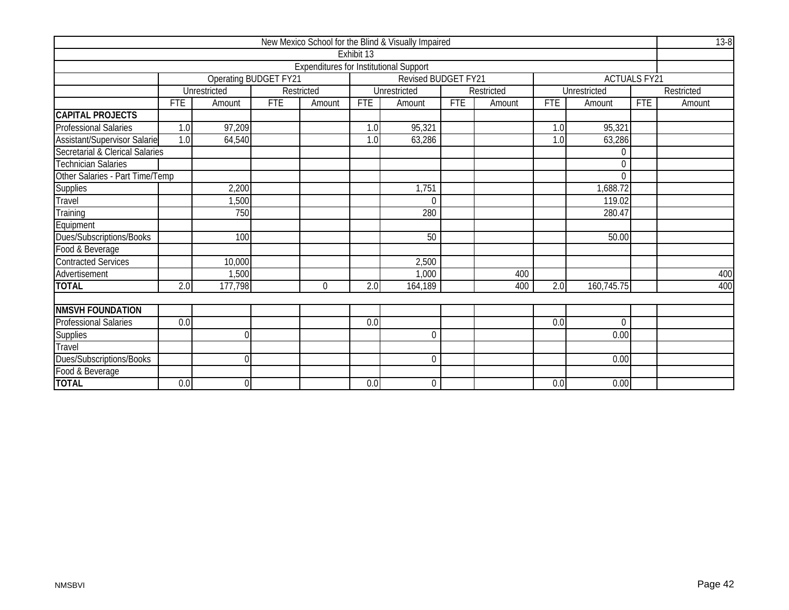|                                 |                            |                       |                      |                                               |            | New Mexico School for the Blind & Visually Impaired |            |            |            |                     |            | $13 - 8$   |  |
|---------------------------------|----------------------------|-----------------------|----------------------|-----------------------------------------------|------------|-----------------------------------------------------|------------|------------|------------|---------------------|------------|------------|--|
|                                 |                            |                       |                      |                                               | Exhibit 13 |                                                     |            |            |            |                     |            |            |  |
|                                 |                            |                       |                      | <b>Expenditures for Institutional Support</b> |            |                                                     |            |            |            |                     |            |            |  |
|                                 |                            | Operating BUDGET FY21 |                      |                                               |            | Revised BUDGET FY21                                 |            |            |            | <b>ACTUALS FY21</b> |            |            |  |
|                                 |                            | Unrestricted          |                      | Restricted                                    |            | Unrestricted                                        |            | Restricted |            | Unrestricted        |            | Restricted |  |
|                                 | <b>FTE</b>                 | Amount                | <b>FTE</b><br>Amount |                                               | <b>FTE</b> | Amount                                              | <b>FTE</b> | Amount     | <b>FTE</b> | Amount              | <b>FTE</b> | Amount     |  |
| <b>CAPITAL PROJECTS</b>         |                            |                       |                      |                                               |            |                                                     |            |            |            |                     |            |            |  |
| Professional Salaries           | 1.0                        | 97,209                |                      |                                               | 1.0        | 95,321                                              |            |            | 1.0        | 95,321              |            |            |  |
| Assistant/Supervisor Salarie    | 1.0                        | 64,540                |                      |                                               | 1.0        | 63,286                                              |            |            | 1.0        | 63,286              |            |            |  |
| Secretarial & Clerical Salaries |                            |                       |                      |                                               |            |                                                     |            |            |            | $\Omega$            |            |            |  |
| <b>Technician Salaries</b>      | $\Omega$                   |                       |                      |                                               |            |                                                     |            |            |            |                     |            |            |  |
| Other Salaries - Part Time/Temp |                            |                       |                      |                                               |            |                                                     |            |            |            | $\theta$            |            |            |  |
| Supplies                        | 2,200<br>1,751<br>1,688.72 |                       |                      |                                               |            |                                                     |            |            |            |                     |            |            |  |
| Travel                          |                            | ,500                  |                      |                                               |            | $\theta$                                            |            |            |            | 119.02              |            |            |  |
| Training                        |                            | 750                   |                      |                                               |            | 280                                                 |            |            |            | 280.47              |            |            |  |
| Equipment                       |                            |                       |                      |                                               |            |                                                     |            |            |            |                     |            |            |  |
| Dues/Subscriptions/Books        |                            | 100                   |                      |                                               |            | 50                                                  |            |            |            | 50.00               |            |            |  |
| Food & Beverage                 |                            |                       |                      |                                               |            |                                                     |            |            |            |                     |            |            |  |
| <b>Contracted Services</b>      |                            | 10,000                |                      |                                               |            | 2,500                                               |            |            |            |                     |            |            |  |
| Advertisement                   |                            | ,500                  |                      |                                               |            | 1,000                                               |            | 400        |            |                     |            | 400        |  |
| <b>TOTAL</b>                    | 2.0                        | 177,798               |                      | 0                                             | 2.0        | 164,189                                             |            | 400        | 2.0        | 160,745.75          |            | 400        |  |
|                                 |                            |                       |                      |                                               |            |                                                     |            |            |            |                     |            |            |  |
| <b>NMSVH FOUNDATION</b>         |                            |                       |                      |                                               |            |                                                     |            |            |            |                     |            |            |  |
| Professional Salaries           | 0.0                        |                       |                      |                                               | 0.0        |                                                     |            |            | 0.0        | $\theta$            |            |            |  |
| Supplies                        |                            | $\cap$                |                      |                                               |            | $\overline{0}$                                      |            |            |            | 0.00                |            |            |  |
| Travel                          |                            |                       |                      |                                               |            |                                                     |            |            |            |                     |            |            |  |
| Dues/Subscriptions/Books        |                            | $\Omega$              |                      |                                               |            | $\Omega$                                            |            |            |            | 0.00                |            |            |  |
| Food & Beverage                 |                            |                       |                      |                                               |            |                                                     |            |            |            |                     |            |            |  |
| <b>TOTAL</b>                    | 0.0                        | $\theta$              |                      |                                               | 0.0        | $\overline{0}$                                      |            |            | 0.0        | 0.00                |            |            |  |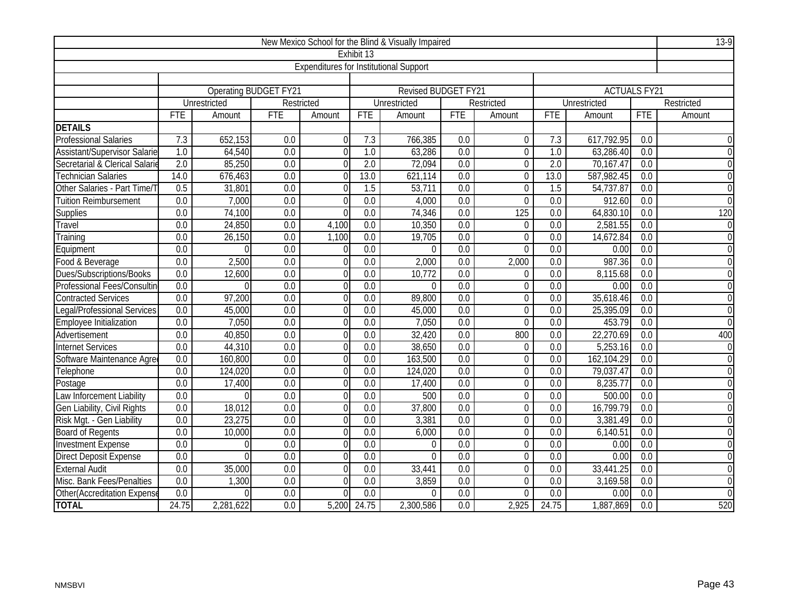|                                 |                                                                                                                             |              |                      |                                               |                                                                                                 | New Mexico School for the Blind & Visually Impaired |                  |                |                  |                     |                  | $13-9$         |  |  |
|---------------------------------|-----------------------------------------------------------------------------------------------------------------------------|--------------|----------------------|-----------------------------------------------|-------------------------------------------------------------------------------------------------|-----------------------------------------------------|------------------|----------------|------------------|---------------------|------------------|----------------|--|--|
|                                 |                                                                                                                             |              |                      |                                               | Exhibit 13                                                                                      |                                                     |                  |                |                  |                     |                  |                |  |  |
|                                 |                                                                                                                             |              |                      | <b>Expenditures for Institutional Support</b> |                                                                                                 |                                                     |                  |                |                  |                     |                  |                |  |  |
|                                 |                                                                                                                             |              |                      |                                               |                                                                                                 |                                                     |                  |                |                  |                     |                  |                |  |  |
|                                 |                                                                                                                             |              | Operating BUDGET FY2 |                                               |                                                                                                 | Revised BUDGET FY21                                 |                  |                |                  | <b>ACTUALS FY21</b> |                  |                |  |  |
|                                 |                                                                                                                             | Unrestricted |                      | Restricted                                    |                                                                                                 | Unrestricted                                        |                  | Restricted     |                  | <b>Unrestricted</b> |                  | Restricted     |  |  |
|                                 | <b>FTE</b>                                                                                                                  | Amount       | <b>FTE</b>           | Amount                                        | <b>FTE</b>                                                                                      | Amount                                              | <b>FTE</b>       | Amount         | <b>FTE</b>       | Amount              | <b>FTE</b>       | Amount         |  |  |
| <b>DETAILS</b>                  |                                                                                                                             |              |                      |                                               |                                                                                                 |                                                     |                  |                |                  |                     |                  |                |  |  |
| <b>Professional Salaries</b>    | 7.3                                                                                                                         | 652,153      | 0.0                  | $\Omega$                                      | 7.3                                                                                             | 766,385                                             | 0.0              | $\Omega$       | 7.3              | 617,792.95          | 0.0              |                |  |  |
| Assistant/Supervisor Salarie    | 1.0                                                                                                                         | 64,540       | 0.0                  | $\Omega$                                      | 1.0                                                                                             | 63,286                                              | 0.0              | $\Omega$       | 1.0              | 63,286.40           | 0.0              | $\Omega$       |  |  |
| Secretarial & Clerical Salarie  | $\overline{2.0}$                                                                                                            | 85,250       | 0.0                  | $\Omega$                                      | $\overline{2.0}$                                                                                | 72,094                                              | 0.0              | $\overline{0}$ | $\overline{2.0}$ | 70,167.47           | 0.0              | $\Omega$       |  |  |
| <b>Technician Salaries</b>      | 14.0                                                                                                                        | 676,463      | 0.0                  | 0                                             | 13.0                                                                                            | 621,114                                             | $\overline{0.0}$ | $\overline{0}$ | 13.0             | 587,982.45          | $\overline{0.0}$ | $\overline{0}$ |  |  |
| Other Salaries - Part Time/T    | 0.5                                                                                                                         | 31,801       | 0.0                  | 0                                             | 1.5                                                                                             | 53,711                                              | 0.0              | $\overline{0}$ | 1.5              | 54,737.87           | 0.0              | $\overline{0}$ |  |  |
| <b>Tuition Reimbursement</b>    | 7,000<br>0.0<br>0.0<br>0.0<br>0.0<br>912.60<br>0.0<br>0.0<br>4,000<br>$\overline{0}$<br>0                                   |              |                      |                                               |                                                                                                 |                                                     |                  |                |                  |                     |                  |                |  |  |
| <b>Supplies</b>                 | 74,100<br>64,830.10<br>0.0<br>0.0<br>0.0<br>0.0<br>74,346<br>$\overline{0.0}$<br>125<br>$\overline{0.0}$<br>$\Omega$        |              |                      |                                               |                                                                                                 |                                                     |                  |                |                  |                     |                  |                |  |  |
| Travel                          | 2,581.55<br>24,850<br>10,350<br>$\overline{0.0}$<br>$\overline{0.0}$<br>0.0<br>0.0<br>4,100<br>0.0<br>$\overline{0}$<br>0.0 |              |                      |                                               |                                                                                                 |                                                     |                  |                |                  |                     |                  |                |  |  |
| Training                        | 0.0                                                                                                                         | 26,150       | 0.0                  | 1,100                                         | $\overline{0.0}$                                                                                | 19,705                                              | 0.0              | $\overline{0}$ | 0.0              | 14,672.84           | 0.0              | $\overline{0}$ |  |  |
| Equipment                       | $\overline{0.0}$                                                                                                            |              | 0.0                  | $\Omega$                                      | 0.0<br>$\overline{0.0}$<br>$\Omega$<br>$\overline{0.0}$<br>0.00<br>$\overline{0.0}$<br>$\Omega$ |                                                     |                  |                |                  |                     |                  |                |  |  |
| Food & Beverage                 | $\overline{0.0}$                                                                                                            | 2,500        | 0.0                  | 0                                             | 987.36<br>0.0<br>2,000<br>0.0<br>2,000<br>0.0<br>0.0                                            |                                                     |                  |                |                  |                     |                  | $\mathbf 0$    |  |  |
| <b>Dues/Subscriptions/Books</b> | 0.0                                                                                                                         | 12,600       | 0.0                  | $\Omega$                                      | 0.0                                                                                             | 10,772                                              | 0.0              | $\overline{0}$ | 0.0              | 8,115.68            | 0.0              | $\overline{0}$ |  |  |
| Professional Fees/Consultin     | $\overline{0.0}$                                                                                                            | $\Omega$     | 0.0                  | $\Omega$                                      | 0.0                                                                                             | $\theta$                                            | $\overline{0.0}$ | $\mathbf 0$    | $\overline{0.0}$ | 0.00                | $\overline{0.0}$ | $\mathbf 0$    |  |  |
| <b>Contracted Services</b>      | $\overline{0.0}$                                                                                                            | 97,200       | 0.0                  | $\Omega$                                      | 0.0                                                                                             | 89,800                                              | $\overline{0.0}$ | $\mathbf 0$    | $\overline{0.0}$ | 35,618.46           | $\overline{0.0}$ | $\overline{0}$ |  |  |
| egal/Professional Services      | 0.0                                                                                                                         | 45,000       | 0.0                  | $\Omega$                                      | 0.0                                                                                             | 45,000                                              | 0.0              | $\overline{0}$ | 0.0              | 25,395.09           | 0.0              | $\overline{0}$ |  |  |
| Employee Initialization         | $\overline{0.0}$                                                                                                            | 7,050        | 0.0                  | 0                                             | 0.0                                                                                             | 7,050                                               | 0.0              | $\overline{0}$ | 0.0              | 453.79              | $\overline{0.0}$ | $\overline{0}$ |  |  |
| Advertisement                   | 0.0                                                                                                                         | 40,850       | 0.0                  | 0                                             | 0.0                                                                                             | 32,420                                              | 0.0              | 800            | 0.0              | 22,270.69           | 0.0              | 400            |  |  |
| <b>Internet Services</b>        | 0.0                                                                                                                         | 44,310       | 0.0                  | 0                                             | 0.0                                                                                             | 38,650                                              | 0.0              | $\overline{0}$ | $\overline{0.0}$ | 5,253.16            | $\overline{0.0}$ | $\mathbf 0$    |  |  |
| Software Maintenance Agree      | $\overline{0.0}$                                                                                                            | 160,800      | $\overline{0.0}$     | 0                                             | 0.0                                                                                             | 163,500                                             | $\overline{0.0}$ | $\overline{0}$ | 0.0              | 162,104.29          | $\overline{0.0}$ | $\mathbf 0$    |  |  |
| Telephone                       | 0.0                                                                                                                         | 124,020      | 0.0                  | $\Omega$                                      | $\overline{0.0}$                                                                                | 124,020                                             | 0.0              | $\overline{0}$ | $\overline{0.0}$ | 79,037.47           | 0.0              | $\overline{0}$ |  |  |
| Postage                         | 0.0                                                                                                                         | 17,400       | 0.0                  | $\Omega$                                      | 0.0                                                                                             | 17,400                                              | $\overline{0.0}$ | $\mathbf 0$    | 0.0              | 8,235.77            | $\overline{0.0}$ | $\overline{0}$ |  |  |
| Law Inforcement Liability       | 0.0                                                                                                                         | $\Omega$     | 0.0                  | $\Omega$                                      | 0.0                                                                                             | 500                                                 | 0.0              | $\overline{0}$ | 0.0              | 500.00              | 0.0              | $\mathbf{0}$   |  |  |
| Gen Liability, Civil Rights     | 0.0                                                                                                                         | 18,012       | 0.0                  | $\Omega$                                      | $\overline{0.0}$                                                                                | 37,800                                              | 0.0              | $\overline{0}$ | $\overline{0.0}$ | 16,799.79           | $\overline{0.0}$ | $\overline{0}$ |  |  |
| Risk Mgt. - Gen Liability       | 0.0                                                                                                                         | 23,275       | $\overline{0.0}$     | $\Omega$                                      | $\overline{0.0}$                                                                                | 3,381                                               | 0.0              | $\Omega$       | $\overline{0.0}$ | 3,381.49            | $\overline{0.0}$ | $\Omega$       |  |  |
| <b>Board of Regents</b>         | $\overline{0.0}$                                                                                                            | 10,000       | 0.0                  | $\Omega$                                      | 0.0                                                                                             | 6,000                                               | $\overline{0.0}$ | $\overline{0}$ | $\overline{0.0}$ | 6,140.51            | 0.0              | $\Omega$       |  |  |
| <b>Investment Expense</b>       | 0.0                                                                                                                         | $\Omega$     | 0.0                  | $\Omega$                                      | 0.0                                                                                             | $\theta$                                            | 0.0              | $\overline{0}$ | 0.0              | 0.00                | 0.0              | $\overline{0}$ |  |  |
| <b>Direct Deposit Expense</b>   | 0.0                                                                                                                         | $\Omega$     | $\overline{0.0}$     | $\Omega$                                      | 0.0                                                                                             | $\Omega$                                            | $\overline{0.0}$ | $\mathbf 0$    | 0.0              | 0.00                | 0.0              | $\Omega$       |  |  |
| <b>External Audit</b>           | $\overline{0.0}$                                                                                                            | 35,000       | $\overline{0.0}$     | 0                                             | 0.0                                                                                             | 33,441                                              | $\overline{0.0}$ | $\mathbf 0$    | 0.0              | 33,441.25           | $\overline{0.0}$ | $\mathbf 0$    |  |  |
| Misc. Bank Fees/Penalties       | 0.0                                                                                                                         | 1,300        | 0.0                  | 0                                             | 0.0                                                                                             | 3,859                                               | 0.0              | $\overline{0}$ | $\overline{0.0}$ | 3,169.58            | 0.0              | $\overline{0}$ |  |  |
| Other (Accreditation Expense    | $\overline{0.0}$                                                                                                            | U            | 0.0                  | 0                                             | 0.0                                                                                             | $\theta$                                            | $\overline{0.0}$ | $\Omega$       | $\overline{0.0}$ | 0.00                | $\overline{0.0}$ | $\overline{0}$ |  |  |
| <b>TOTAL</b>                    | 24.75                                                                                                                       | 2,281,622    | 0.0                  | 5,200                                         | 24.75                                                                                           | 2,300,586                                           | 0.0              | 2,925          | 24.75            | 1,887,869           | 0.0              | 520            |  |  |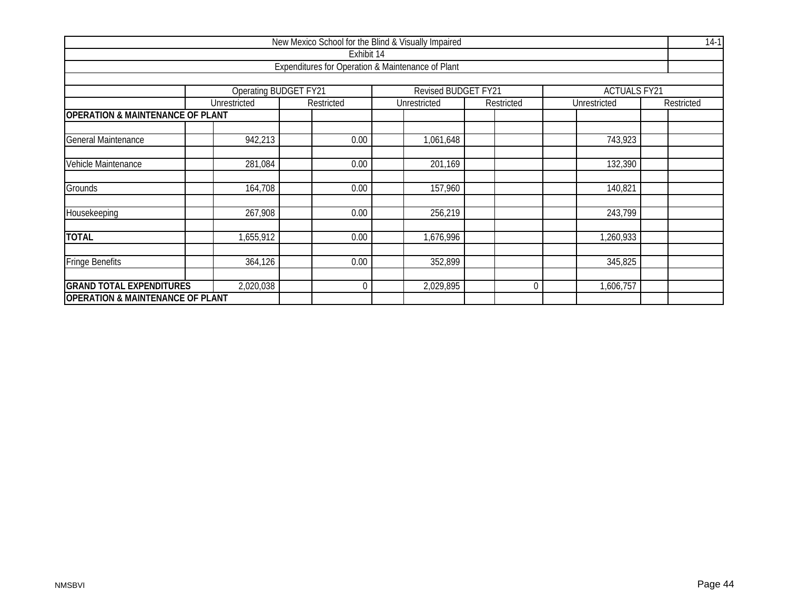|                                             |              | New Mexico School for the Blind & Visually Impaired |                     |            |                     | $14-1$     |  |  |  |  |  |  |  |
|---------------------------------------------|--------------|-----------------------------------------------------|---------------------|------------|---------------------|------------|--|--|--|--|--|--|--|
|                                             |              | Exhibit 14                                          |                     |            |                     |            |  |  |  |  |  |  |  |
|                                             |              | Expenditures for Operation & Maintenance of Plant   |                     |            |                     |            |  |  |  |  |  |  |  |
|                                             |              |                                                     |                     |            |                     |            |  |  |  |  |  |  |  |
|                                             |              | <b>Operating BUDGET FY21</b>                        | Revised BUDGET FY21 |            | <b>ACTUALS FY21</b> |            |  |  |  |  |  |  |  |
|                                             | Unrestricted | Restricted                                          | Unrestricted        | Restricted | Unrestricted        | Restricted |  |  |  |  |  |  |  |
| <b>OPERATION &amp; MAINTENANCE OF PLANT</b> |              |                                                     |                     |            |                     |            |  |  |  |  |  |  |  |
| General Maintenance                         | 942,213      | 0.00                                                | 1,061,648           |            | 743,923             |            |  |  |  |  |  |  |  |
| Vehicle Maintenance                         | 281,084      | 0.00                                                | 201,169             |            | 132,390             |            |  |  |  |  |  |  |  |
|                                             |              |                                                     |                     |            |                     |            |  |  |  |  |  |  |  |
| Grounds                                     | 164,708      | 0.00                                                | 157,960             |            | 140,821             |            |  |  |  |  |  |  |  |
| Housekeeping                                | 267,908      | 0.00                                                | 256,219             |            | 243,799             |            |  |  |  |  |  |  |  |
| <b>TOTAL</b>                                | 1,655,912    | 0.00                                                | 1,676,996           |            | 1,260,933           |            |  |  |  |  |  |  |  |
| <b>Fringe Benefits</b>                      | 364,126      | 0.00                                                | 352,899             |            | 345,825             |            |  |  |  |  |  |  |  |
| <b>GRAND TOTAL EXPENDITURES</b>             | 2,020,038    | $\boldsymbol{0}$                                    | 2,029,895           | $\Omega$   | 1,606,757           |            |  |  |  |  |  |  |  |
| <b>OPERATION &amp; MAINTENANCE OF PLANT</b> |              |                                                     |                     |            |                     |            |  |  |  |  |  |  |  |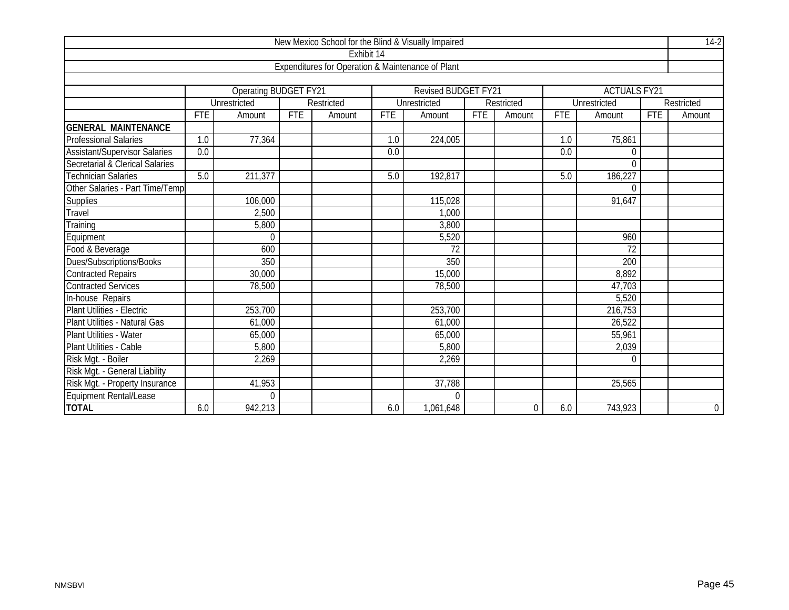|                                      |            |                              |            |                                                   |            | New Mexico School for the Blind & Visually Impaired |     |            |            |                        |            | $14-2$         |
|--------------------------------------|------------|------------------------------|------------|---------------------------------------------------|------------|-----------------------------------------------------|-----|------------|------------|------------------------|------------|----------------|
|                                      |            |                              |            | Exhibit 14                                        |            |                                                     |     |            |            |                        |            |                |
|                                      |            |                              |            | Expenditures for Operation & Maintenance of Plant |            |                                                     |     |            |            |                        |            |                |
|                                      |            |                              |            |                                                   |            |                                                     |     |            |            |                        |            |                |
|                                      |            | <b>Operating BUDGET FY21</b> |            |                                                   |            | Revised BUDGET FY21                                 |     |            |            | <b>ACTUALS FY21</b>    |            |                |
|                                      |            | <b>Unrestricted</b>          |            | Restricted                                        |            | Unrestricted                                        |     | Restricted |            | Unrestricted           |            | Restricted     |
|                                      | <b>FTE</b> | Amount                       | <b>FTE</b> | Amount                                            | <b>FTE</b> | Amount                                              | FTE | Amount     | <b>FTE</b> | Amount                 | <b>FTE</b> | Amount         |
| <b>GENERAL MAINTENANCE</b>           |            |                              |            |                                                   |            |                                                     |     |            |            |                        |            |                |
| <b>Professional Salaries</b>         | 1.0        | 77,364                       |            |                                                   | 1.0        | 224,005                                             |     |            | 1.0        | 75,861                 |            |                |
| <b>Assistant/Supervisor Salaries</b> | 0.0        |                              |            |                                                   | 0.0        |                                                     |     |            | 0.0        | $\theta$               |            |                |
| Secretarial & Clerical Salaries      |            |                              |            |                                                   |            |                                                     |     |            |            | $\theta$               |            |                |
| <b>Technician Salaries</b>           | 5.0        | 211,377                      |            |                                                   | 5.0        | 192,817                                             |     |            | 5.0        | 186,227                |            |                |
| Other Salaries - Part Time/Temp      |            |                              |            |                                                   |            |                                                     |     |            |            | $\Omega$               |            |                |
| <b>Supplies</b>                      |            | 106,000                      |            |                                                   |            | 115,028                                             |     |            |            | 91,647                 |            |                |
| Travel                               |            | 2,500                        |            |                                                   |            | 1,000                                               |     |            |            |                        |            |                |
| Training                             |            | 5,800                        |            |                                                   |            | 3,800                                               |     |            |            |                        |            |                |
| Equipment                            |            | $\mathbf 0$                  |            |                                                   |            | 5,520                                               |     |            |            | 960                    |            |                |
| Food & Beverage                      |            | 600                          |            |                                                   |            | $\overline{72}$                                     |     |            |            | $\overline{72}$        |            |                |
| Dues/Subscriptions/Books             |            | 350                          |            |                                                   |            | 350                                                 |     |            |            | 200                    |            |                |
| <b>Contracted Repairs</b>            |            | 30,000                       |            |                                                   |            | 15,000                                              |     |            |            | 8,892                  |            |                |
| <b>Contracted Services</b>           |            | 78,500                       |            |                                                   |            | 78,500                                              |     |            |            | 47,703                 |            |                |
| In-house Repairs                     |            |                              |            |                                                   |            |                                                     |     |            |            | 5,520                  |            |                |
| Plant Utilities - Electric           |            | 253,700                      |            |                                                   |            | 253,700                                             |     |            |            | $\overline{216}$ , 753 |            |                |
| Plant Utilities - Natural Gas        |            | 61,000                       |            |                                                   |            | 61,000                                              |     |            |            | 26,522                 |            |                |
| Plant Utilities - Water              |            | 65,000                       |            |                                                   |            | 65,000                                              |     |            |            | 55,961                 |            |                |
| Plant Utilities - Cable              |            | 5,800                        |            |                                                   |            | 5,800                                               |     |            |            | 2,039                  |            |                |
| Risk Mgt. - Boiler                   |            | 2,269                        |            |                                                   |            | 2,269                                               |     |            |            | $\Omega$               |            |                |
| Risk Mgt. - General Liability        |            |                              |            |                                                   |            |                                                     |     |            |            |                        |            |                |
| Risk Mgt. - Property Insurance       |            | 41,953                       |            |                                                   |            | 37,788                                              |     |            |            | 25,565                 |            |                |
| Equipment Rental/Lease               |            | $\Omega$                     |            |                                                   |            | $\Omega$                                            |     |            |            |                        |            |                |
| <b>TOTAL</b>                         | 6.0        | 942,213                      |            |                                                   | 6.0        | 1,061,648                                           |     | 0          | 6.0        | 743,923                |            | $\overline{0}$ |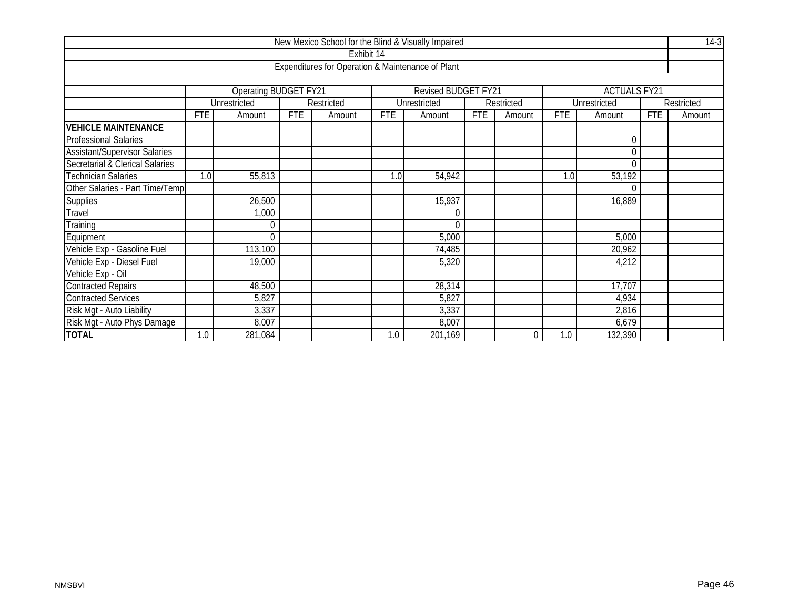|                                      |            |                       |            |                                                   |     | New Mexico School for the Blind & Visually Impaired |            |            |            |                     |            | $14-3$     |
|--------------------------------------|------------|-----------------------|------------|---------------------------------------------------|-----|-----------------------------------------------------|------------|------------|------------|---------------------|------------|------------|
|                                      |            |                       |            | Exhibit 14                                        |     |                                                     |            |            |            |                     |            |            |
|                                      |            |                       |            | Expenditures for Operation & Maintenance of Plant |     |                                                     |            |            |            |                     |            |            |
|                                      |            |                       |            |                                                   |     |                                                     |            |            |            |                     |            |            |
|                                      |            | Operating BUDGET FY21 |            |                                                   |     | <b>Revised BUDGET FY21</b>                          |            |            |            | <b>ACTUALS FY21</b> |            |            |
|                                      |            | Unrestricted          |            | Restricted                                        |     | Unrestricted                                        |            | Restricted |            | Unrestricted        |            | Restricted |
|                                      | <b>FTE</b> | Amount                | <b>FTE</b> | Amount                                            | FTE | Amount                                              | <b>FTE</b> | Amount     | <b>FTE</b> | Amount              | <b>FTE</b> | Amount     |
| <b>VEHICLE MAINTENANCE</b>           |            |                       |            |                                                   |     |                                                     |            |            |            |                     |            |            |
| Professional Salaries                |            |                       |            |                                                   |     |                                                     |            |            |            | $\Omega$            |            |            |
| <b>Assistant/Supervisor Salaries</b> |            |                       |            |                                                   |     |                                                     |            |            |            | $\Omega$            |            |            |
| Secretarial & Clerical Salaries      |            |                       |            |                                                   |     |                                                     |            |            |            | $\Omega$            |            |            |
| <b>Technician Salaries</b>           | 1.0        | 55,813                |            |                                                   | 1.0 | 54,942                                              |            |            | 1.0        | 53,192              |            |            |
| Other Salaries - Part Time/Temp      |            |                       |            |                                                   |     |                                                     |            |            |            | $\Omega$            |            |            |
| <b>Supplies</b>                      |            | 26,500                |            |                                                   |     | 15,937                                              |            |            |            | 16,889              |            |            |
| Travel                               |            | 1,000                 |            |                                                   |     | $\theta$                                            |            |            |            |                     |            |            |
| Training                             |            | 0                     |            |                                                   |     | $\theta$                                            |            |            |            |                     |            |            |
| Equipment                            |            | U                     |            |                                                   |     | 5,000                                               |            |            |            | 5,000               |            |            |
| Vehicle Exp - Gasoline Fuel          |            | 113,100               |            |                                                   |     | 74,485                                              |            |            |            | 20,962              |            |            |
| Vehicle Exp - Diesel Fuel            |            | 19,000                |            |                                                   |     | 5,320                                               |            |            |            | 4,212               |            |            |
| Vehicle Exp - Oil                    |            |                       |            |                                                   |     |                                                     |            |            |            |                     |            |            |
| <b>Contracted Repairs</b>            |            | 48,500                |            |                                                   |     | 28,314                                              |            |            |            | 17,707              |            |            |
| <b>Contracted Services</b>           |            | 5,827                 |            |                                                   |     | 5,827                                               |            |            |            | 4,934               |            |            |
| Risk Mgt - Auto Liability            |            | 3,337                 |            |                                                   |     | 3,337                                               |            |            |            | 2,816               |            |            |
| Risk Mgt - Auto Phys Damage          |            | 8,007                 |            |                                                   |     | 8,007                                               |            |            |            | 6,679               |            |            |
| <b>TOTAL</b>                         | 1.0        | $\overline{281,}084$  |            |                                                   | 1.0 | 201,169                                             |            | $\Omega$   | 1.0        | 132,390             |            |            |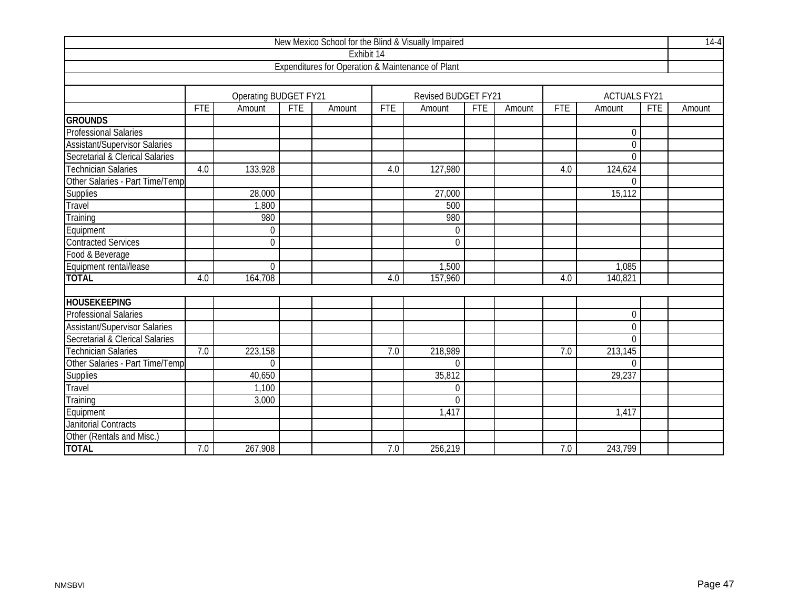|                                      |            |                       |            |                                                   |            | New Mexico School for the Blind & Visually Impaired |            |        |            |                     |            | $14-4$ |
|--------------------------------------|------------|-----------------------|------------|---------------------------------------------------|------------|-----------------------------------------------------|------------|--------|------------|---------------------|------------|--------|
|                                      |            |                       |            | Exhibit 14                                        |            |                                                     |            |        |            |                     |            |        |
|                                      |            |                       |            | Expenditures for Operation & Maintenance of Plant |            |                                                     |            |        |            |                     |            |        |
|                                      |            |                       |            |                                                   |            |                                                     |            |        |            |                     |            |        |
|                                      |            | Operating BUDGET FY21 |            |                                                   |            | Revised BUDGET FY21                                 |            |        |            | <b>ACTUALS FY21</b> |            |        |
|                                      | <b>FTE</b> | Amount                | <b>FTE</b> | Amount                                            | <b>FTE</b> | Amount                                              | <b>FTE</b> | Amount | <b>FTE</b> | Amount              | <b>FTE</b> | Amount |
| <b>GROUNDS</b>                       |            |                       |            |                                                   |            |                                                     |            |        |            |                     |            |        |
| <b>Professional Salaries</b>         |            |                       |            |                                                   |            |                                                     |            |        |            | $\mathbf 0$         |            |        |
| <b>Assistant/Supervisor Salaries</b> |            |                       |            |                                                   |            |                                                     |            |        |            | $\mathbf 0$         |            |        |
| Secretarial & Clerical Salaries      |            |                       |            |                                                   |            |                                                     |            |        |            | $\overline{0}$      |            |        |
| <b>Technician Salaries</b>           | 4.0        | 133,928               |            |                                                   | 4.0        | 127,980                                             |            |        | 4.0        | 124,624             |            |        |
| Other Salaries - Part Time/Temp      |            |                       |            |                                                   |            |                                                     |            |        |            | $\theta$            |            |        |
| Supplies                             |            | 28,000                |            |                                                   |            | 27,000                                              |            |        |            | 15, 112             |            |        |
| Travel                               |            | 1,800                 |            |                                                   |            | 500                                                 |            |        |            |                     |            |        |
| Training                             |            | 980                   |            |                                                   |            | 980                                                 |            |        |            |                     |            |        |
| Equipment                            |            | $\mathbf 0$           |            |                                                   |            | $\mathbf 0$                                         |            |        |            |                     |            |        |
| <b>Contracted Services</b>           |            | $\Omega$              |            |                                                   |            | $\overline{0}$                                      |            |        |            |                     |            |        |
| Food & Beverage                      |            |                       |            |                                                   |            |                                                     |            |        |            |                     |            |        |
| Equipment rental/lease               |            | $\Omega$              |            |                                                   |            | 1,500                                               |            |        |            | 1,085               |            |        |
| <b>TOTAL</b>                         | 4.0        | 164,708               |            |                                                   | 4.0        | 157,960                                             |            |        | 4.0        | 140,821             |            |        |
|                                      |            |                       |            |                                                   |            |                                                     |            |        |            |                     |            |        |
| <b>HOUSEKEEPING</b>                  |            |                       |            |                                                   |            |                                                     |            |        |            |                     |            |        |
| <b>Professional Salaries</b>         |            |                       |            |                                                   |            |                                                     |            |        |            | $\mathbf 0$         |            |        |
| <b>Assistant/Supervisor Salaries</b> |            |                       |            |                                                   |            |                                                     |            |        |            | $\mathbf 0$         |            |        |
| Secretarial & Clerical Salaries      |            |                       |            |                                                   |            |                                                     |            |        |            | $\theta$            |            |        |
| <b>Technician Salaries</b>           | 7.0        | 223,158               |            |                                                   | 7.0        | 218,989                                             |            |        | 7.0        | 213,145             |            |        |
| Other Salaries - Part Time/Temp      |            | $\Omega$              |            |                                                   |            | $\Omega$                                            |            |        |            | $\Omega$            |            |        |
| Supplies                             |            | 40,650                |            |                                                   |            | 35,812                                              |            |        |            | 29, 237             |            |        |
| Travel                               |            | 1,100                 |            |                                                   |            | $\theta$                                            |            |        |            |                     |            |        |
| Training                             |            | 3,000                 |            |                                                   |            | $\Omega$                                            |            |        |            |                     |            |        |
| Equipment                            |            |                       |            |                                                   |            | 1,417                                               |            |        |            | 1,417               |            |        |
| <b>Janitorial Contracts</b>          |            |                       |            |                                                   |            |                                                     |            |        |            |                     |            |        |
| Other (Rentals and Misc.)            |            |                       |            |                                                   |            |                                                     |            |        |            |                     |            |        |
| <b>TOTAL</b>                         | 7.0        | 267,908               |            |                                                   | 7.0        | 256,219                                             |            |        | 7.0        | 243,799             |            |        |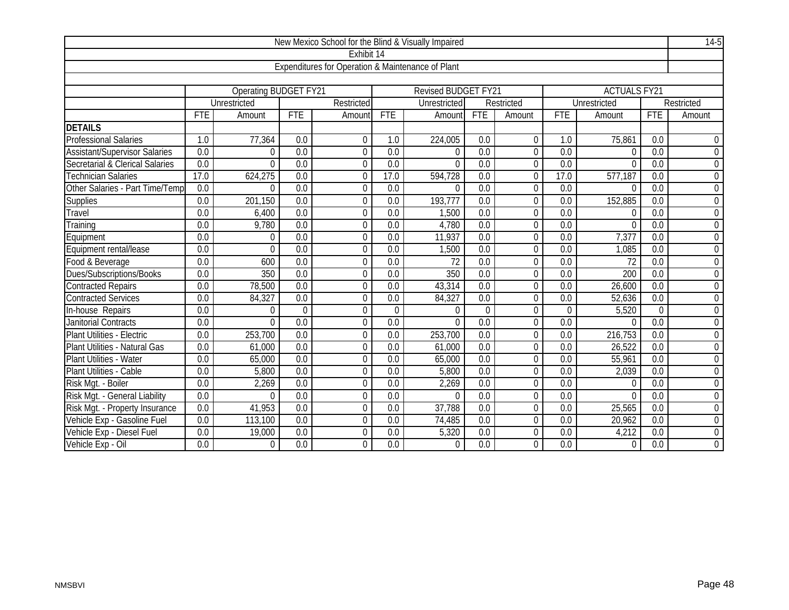|                                      |                  |                              |                  |                                                   |                  | New Mexico School for the Blind & Visually Impaired |                  |                  |                  |                     |                  | $14-5$           |
|--------------------------------------|------------------|------------------------------|------------------|---------------------------------------------------|------------------|-----------------------------------------------------|------------------|------------------|------------------|---------------------|------------------|------------------|
|                                      |                  |                              |                  | Exhibit 14                                        |                  |                                                     |                  |                  |                  |                     |                  |                  |
|                                      |                  |                              |                  | Expenditures for Operation & Maintenance of Plant |                  |                                                     |                  |                  |                  |                     |                  |                  |
|                                      |                  |                              |                  |                                                   |                  |                                                     |                  |                  |                  |                     |                  |                  |
|                                      |                  | <b>Operating BUDGET FY21</b> |                  |                                                   |                  | Revised BUDGET FY21                                 |                  |                  |                  | <b>ACTUALS FY21</b> |                  |                  |
|                                      |                  | Unrestricted                 |                  | Restricted                                        |                  | Unrestricted                                        |                  | Restricted       |                  | Unrestricted        |                  | Restricted       |
|                                      | <b>FTE</b>       | Amount                       | <b>FTE</b>       | Amount                                            | <b>FTE</b>       | Amount                                              | <b>FTE</b>       | Amount           | <b>FTE</b>       | Amount              | <b>FTE</b>       | Amount           |
| <b>DETAILS</b>                       |                  |                              |                  |                                                   |                  |                                                     |                  |                  |                  |                     |                  |                  |
| <b>Professional Salaries</b>         | 1.0              | 77,364                       | 0.0              | $\mathbf 0$                                       | 1.0              | 224,005                                             | 0.0              | $\theta$         | 1.0              | 75,861              | 0.0              | $\mathbf 0$      |
| <b>Assistant/Supervisor Salaries</b> | 0.0              | $\Omega$                     | 0.0              | $\mathbf 0$                                       | 0.0              | $\theta$                                            | 0.0              | $\overline{0}$   | 0.0              | $\Omega$            | 0.0              | $\overline{0}$   |
| Secretarial & Clerical Salaries      | 0.0              | $\Omega$                     | 0.0              | $\mathbf 0$                                       | 0.0              | $\theta$                                            | 0.0              | 0                | $\overline{0.0}$ | $\Omega$            | 0.0              | $\boldsymbol{0}$ |
| Technician Salaries                  | 17.0             | 624,275                      | $\overline{0.0}$ | $\mathbf 0$                                       | 17.0             | 594,728                                             | $\overline{0.0}$ | $\theta$         | 17.0             | 577,187             | $\overline{0.0}$ | $\boldsymbol{0}$ |
| Other Salaries - Part Time/Temp      | 0.0              | $\Omega$                     | $\overline{0.0}$ | $\overline{0}$                                    | 0.0              | $\Omega$                                            | 0.0              | 0                | 0.0              | $\Omega$            | $\overline{0.0}$ | $\boldsymbol{0}$ |
| Supplies                             | $\overline{0.0}$ | 201,150                      | 0.0              | $\mathbf 0$                                       | 0.0              | 193,777                                             | 0.0              | $\overline{0}$   | 0.0              | 152,885             | 0.0              | $\mathbf 0$      |
| Travel                               | 0.0              | 6,400                        | $\overline{0.0}$ | $\mathbf 0$                                       | $\overline{0.0}$ | 1,500                                               | $\overline{0.0}$ | $\theta$         | 0.0              | 0                   | $\overline{0.0}$ | $\boldsymbol{0}$ |
| Training                             | 0.0              | 9,780                        | 0.0              | $\mathbf 0$                                       | 0.0              | 4,780                                               | 0.0              | 0                | 0.0              | $\Omega$            | 0.0              | $\mathbf 0$      |
| Equipment                            | 0.0              | $\Omega$                     | $\overline{0.0}$ | $\mathbf 0$                                       | $\overline{0.0}$ | 11,937                                              | $\overline{0.0}$ | 0                | $\overline{0.0}$ | 7,377               | $\overline{0.0}$ | $\mathbf 0$      |
| Equipment rental/lease               | 0.0              | $\Omega$                     | $\overline{0.0}$ | $\mathbf 0$                                       | 0.0              | 1,500                                               | 0.0              | 0                | 0.0              | 1,085               | 0.0              | $\boldsymbol{0}$ |
| Food & Beverage                      | 0.0              | 600                          | 0.0              | $\mathbf 0$                                       | 0.0              | 72                                                  | 0.0              | $\boldsymbol{0}$ | 0.0              | 72                  | 0.0              | $\boldsymbol{0}$ |
| Dues/Subscriptions/Books             | $\overline{0.0}$ | 350                          | $\overline{0.0}$ | $\Omega$                                          | $\overline{0.0}$ | $\overline{350}$                                    | $\overline{0.0}$ | $\Omega$         | $\overline{0.0}$ | 200                 | $\overline{0.0}$ | $\mathbf 0$      |
| <b>Contracted Repairs</b>            | 0.0              | 78,500                       | 0.0              | $\mathbf 0$                                       | 0.0              | 43,314                                              | 0.0              | $\overline{0}$   | 0.0              | 26,600              | 0.0              | $\mathbf 0$      |
| <b>Contracted Services</b>           | 0.0              | 84,327                       | 0.0              | $\mathbf 0$                                       | 0.0              | 84,327                                              | 0.0              | $\mathbf 0$      | $\overline{0.0}$ | 52,636              | 0.0              | $\boldsymbol{0}$ |
| In-house Repairs                     | 0.0              | $\Omega$                     | $\Omega$         | $\mathbf 0$                                       | $\Omega$         | $\Omega$                                            | $\overline{0}$   | 0                | $\Omega$         | 5,520               | $\Omega$         | $\overline{0}$   |
| Janitorial Contracts                 | 0.0              | $\Omega$                     | $\overline{0.0}$ | $\mathbf 0$                                       | 0.0              | $\Omega$                                            | $\overline{0.0}$ | 0                | $\overline{0.0}$ | $\Omega$            | $\overline{0.0}$ | $\mathbf 0$      |
| Plant Utilities - Electric           | $\overline{0.0}$ | 253,700                      | $\overline{0.0}$ | $\mathbf 0$                                       | $\overline{0.0}$ | 253,700                                             | 0.0              | 0                | 0.0              | 216,753             | $\overline{0.0}$ | $\mathbf 0$      |
| Plant Utilities - Natural Gas        | 0.0              | 61,000                       | 0.0              | $\mathbf 0$                                       | $\overline{0.0}$ | 61,000                                              | 0.0              | $\boldsymbol{0}$ | 0.0              | 26,522              | $\overline{0.0}$ | $\mathbf 0$      |
| Plant Utilities - Water              | 0.0              | 65,000                       | 0.0              | $\boldsymbol{0}$                                  | 0.0              | 65,000                                              | 0.0              | $\overline{0}$   | 0.0              | 55,961              | 0.0              | $\mathbf 0$      |
| Plant Utilities - Cable              | $\overline{0.0}$ | 5,800                        | 0.0              | $\overline{0}$                                    | $\overline{0.0}$ | 5,800                                               | $\overline{0.0}$ | 0                | 0.0              | 2,039               | $\overline{0.0}$ | $\boldsymbol{0}$ |
| Risk Mgt. - Boiler                   | 0.0              | 2,269                        | $\overline{0.0}$ | $\Omega$                                          | $\overline{0.0}$ | 2,269                                               | $\overline{0.0}$ | 0                | 0.0              | $\Omega$            | $\overline{0.0}$ | 0                |
| Risk Mgt. - General Liability        | 0.0              | $\Omega$                     | $\overline{0.0}$ | $\mathbf 0$                                       | 0.0              | $\Omega$                                            | $\overline{0.0}$ | $\mathbf 0$      | $\overline{0.0}$ | $\Omega$            | 0.0              | $\boldsymbol{0}$ |
| Risk Mgt. - Property Insurance       | 0.0              | 41,953                       | $\overline{0.0}$ | $\mathbf 0$                                       | $\overline{0.0}$ | 37,788                                              | 0.0              | $\theta$         | 0.0              | 25,565              | $\overline{0.0}$ | $\mathbf 0$      |
| Vehicle Exp - Gasoline Fuel          | 0.0              | 113,100                      | 0.0              | $\mathbf 0$                                       | 0.0              | 74,485                                              | 0.0              | 0                | 0.0              | 20,962              | 0.0              | $\mathbf 0$      |
| Vehicle Exp - Diesel Fuel            | 0.0              | 19,000                       | 0.0              | $\mathbf 0$                                       | 0.0              | 5,320                                               | 0.0              | 0                | 0.0              | 4,212               | 0.0              | $\boldsymbol{0}$ |
| Vehicle Exp - Oil                    | 0.0              | $\Omega$                     | 0.0              | $\overline{0}$                                    | $\overline{0.0}$ | $\theta$                                            | 0.0              | 0                | 0.0              | $\Omega$            | $\overline{0.0}$ | $\mathbf 0$      |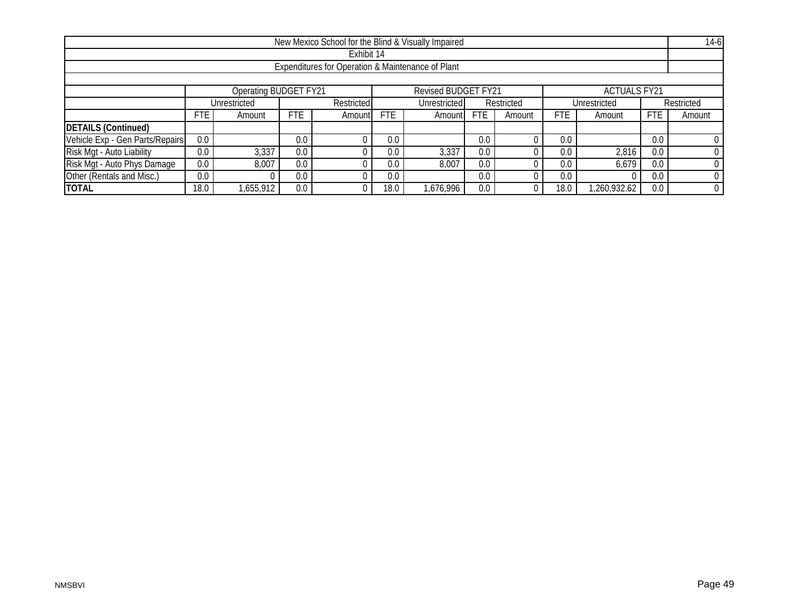| New Mexico School for the Blind & Visually Impaired |         |                       |            |            |                            |                     |              |        |            |                     |            | $14-6$ |
|-----------------------------------------------------|---------|-----------------------|------------|------------|----------------------------|---------------------|--------------|--------|------------|---------------------|------------|--------|
| Exhibit 14                                          |         |                       |            |            |                            |                     |              |        |            |                     |            |        |
| Expenditures for Operation & Maintenance of Plant   |         |                       |            |            |                            |                     |              |        |            |                     |            |        |
|                                                     |         |                       |            |            |                            |                     |              |        |            |                     |            |        |
|                                                     |         | Operating BUDGET FY21 |            |            |                            | Revised BUDGET FY21 |              |        |            | <b>ACTUALS FY21</b> |            |        |
|                                                     |         | Unrestricted          |            | Restricted | Unrestricted<br>Restricted |                     | Unrestricted |        |            | Restricted          |            |        |
|                                                     | FTE.    | Amount                | <b>FTE</b> | Amount     | <b>FTE</b>                 | Amountl             | <b>FTE</b>   | Amount | <b>FTE</b> | Amount              | <b>FTE</b> | Amount |
| <b>DETAILS (Continued)</b>                          |         |                       |            |            |                            |                     |              |        |            |                     |            |        |
| Vehicle Exp - Gen Parts/Repairs                     | 0.0     |                       | 0.0        |            | 0.0                        |                     | 0.0          |        | 0.0        |                     | 0.0        |        |
| Risk Mgt - Auto Liability                           | 0.0     | 3,337                 | 0.0        |            | 0.0                        | 3,337               | 0.0          |        | 0.0        | 2,816               | 0.0        |        |
| Risk Mgt - Auto Phys Damage                         | $0.0\,$ | 8,007                 | 0.0        |            | 0.0                        | 8,007               | 0.0          |        | 0.0        | 6,679               | 0.0        |        |
| Other (Rentals and Misc.)                           | 0.0     |                       | 0.0        |            | 0.0                        |                     | 0.0          |        | 0.0        |                     | 0.0        |        |
| <b>TOTAL</b>                                        | 18.0    | ,655,912              | 0.0        |            | 18.0                       | 1,676,996           | 0.0          |        | 18.0       | ,260,932.62         | 0.0        |        |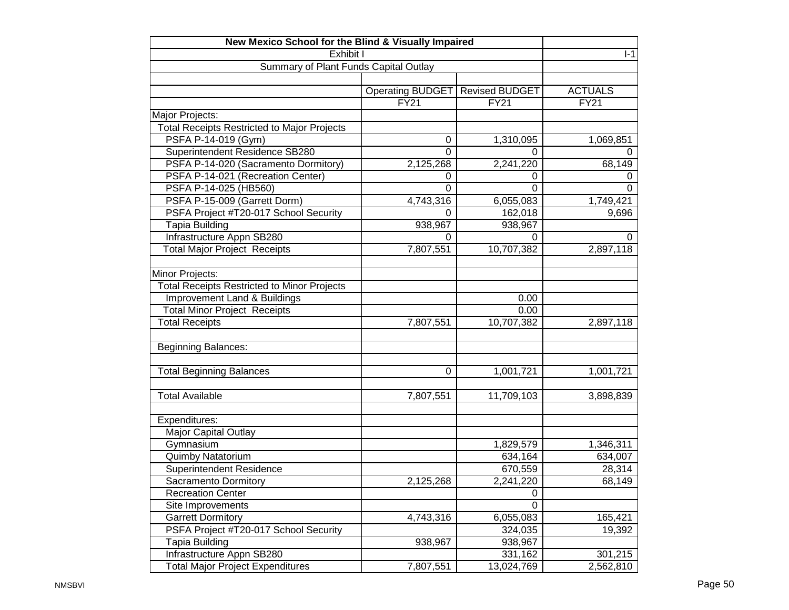| New Mexico School for the Blind & Visually Impaired |                         |                       |                |
|-----------------------------------------------------|-------------------------|-----------------------|----------------|
| Exhibit I                                           | $I-1$                   |                       |                |
| Summary of Plant Funds Capital Outlay               |                         |                       |                |
|                                                     |                         |                       |                |
|                                                     | <b>Operating BUDGET</b> | <b>Revised BUDGET</b> | <b>ACTUALS</b> |
|                                                     | <b>FY21</b>             | <b>FY21</b>           | FY21           |
| Major Projects:                                     |                         |                       |                |
| <b>Total Receipts Restricted to Major Projects</b>  |                         |                       |                |
| PSFA P-14-019 (Gym)                                 | 0                       | 1,310,095             | 1,069,851      |
| Superintendent Residence SB280                      | $\Omega$                | 0                     | 0              |
| PSFA P-14-020 (Sacramento Dormitory)                | 2,125,268               | 2,241,220             | 68,149         |
| PSFA P-14-021 (Recreation Center)                   | 0                       | 0                     | 0              |
| PSFA P-14-025 (HB560)                               | 0                       | $\overline{0}$        | $\Omega$       |
| PSFA P-15-009 (Garrett Dorm)                        | 4,743,316               | 6,055,083             | 1,749,421      |
| PSFA Project #T20-017 School Security               | $\Omega$                | 162,018               | 9,696          |
| Tapia Building                                      | 938,967                 | 938,967               |                |
| Infrastructure Appn SB280                           | 0                       | 0                     | 0              |
| <b>Total Major Project Receipts</b>                 | 7,807,551               | 10,707,382            | 2,897,118      |
|                                                     |                         |                       |                |
| Minor Projects:                                     |                         |                       |                |
| <b>Total Receipts Restricted to Minor Projects</b>  |                         |                       |                |
| Improvement Land & Buildings                        |                         | 0.00                  |                |
| <b>Total Minor Project Receipts</b>                 |                         | 0.00                  |                |
| <b>Total Receipts</b>                               | 7,807,551               | 10,707,382            | 2,897,118      |
|                                                     |                         |                       |                |
| <b>Beginning Balances:</b>                          |                         |                       |                |
|                                                     |                         |                       |                |
| <b>Total Beginning Balances</b>                     | 0                       | 1,001,721             | 1,001,721      |
|                                                     |                         |                       |                |
| <b>Total Available</b>                              | 7,807,551               | 11,709,103            | 3,898,839      |
|                                                     |                         |                       |                |
| Expenditures:                                       |                         |                       |                |
| <b>Major Capital Outlay</b>                         |                         |                       |                |
| Gymnasium                                           |                         | 1,829,579             | 1,346,311      |
| Quimby Natatorium                                   |                         | 634,164               | 634,007        |
| Superintendent Residence                            |                         | 670,559               | 28,314         |
| Sacramento Dormitory                                | 2,125,268               | 2,241,220             | 68,149         |
| <b>Recreation Center</b>                            |                         | 0                     |                |
| Site Improvements                                   |                         | $\Omega$              |                |
| <b>Garrett Dormitory</b>                            | 4,743,316               | 6,055,083             | 165,421        |
| PSFA Project #T20-017 School Security               |                         | 324,035               | 19,392         |
| <b>Tapia Building</b>                               | 938,967                 | 938,967               |                |
| Infrastructure Appn SB280                           |                         | 331,162               | 301,215        |
| <b>Total Major Project Expenditures</b>             | 7,807,551               | 13,024,769            | 2,562,810      |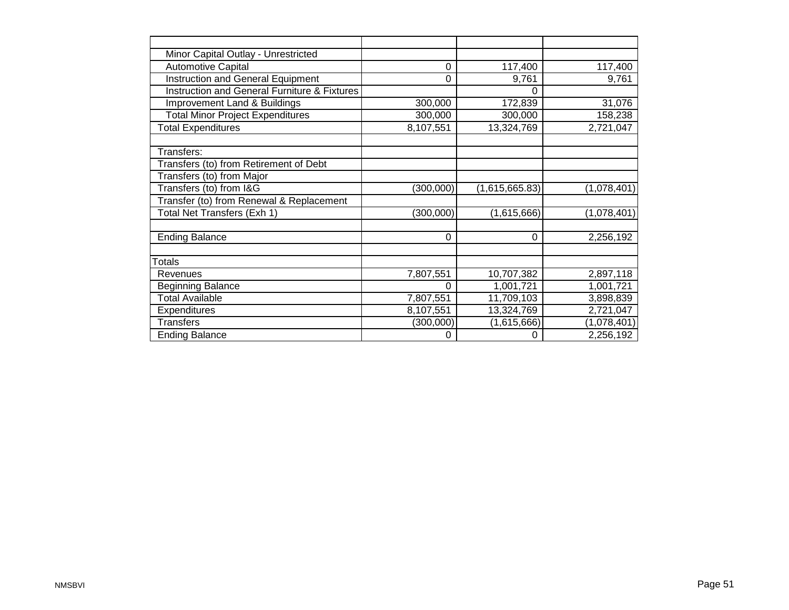| Minor Capital Outlay - Unrestricted                     |           |                |             |
|---------------------------------------------------------|-----------|----------------|-------------|
| <b>Automotive Capital</b>                               | 0         | 117,400        | 117,400     |
| Instruction and General Equipment                       | 0         | 9,761          | 9,761       |
| <b>Instruction and General Furniture &amp; Fixtures</b> |           | 0              |             |
| Improvement Land & Buildings                            | 300,000   | 172,839        | 31,076      |
| <b>Total Minor Project Expenditures</b>                 | 300,000   | 300,000        | 158,238     |
| <b>Total Expenditures</b>                               | 8,107,551 | 13,324,769     | 2,721,047   |
|                                                         |           |                |             |
| Transfers:                                              |           |                |             |
| Transfers (to) from Retirement of Debt                  |           |                |             |
| Transfers (to) from Major                               |           |                |             |
| Transfers (to) from I&G                                 | (300,000) | (1,615,665.83) | (1,078,401) |
| Transfer (to) from Renewal & Replacement                |           |                |             |
| Total Net Transfers (Exh 1)                             | (300,000) | (1,615,666)    | (1,078,401) |
|                                                         |           |                |             |
| <b>Ending Balance</b>                                   | 0         | $\Omega$       | 2,256,192   |
|                                                         |           |                |             |
| <b>Totals</b>                                           |           |                |             |
| Revenues                                                | 7,807,551 | 10,707,382     | 2,897,118   |
| <b>Beginning Balance</b>                                |           | 1,001,721      | 1,001,721   |
| <b>Total Available</b>                                  | 7,807,551 | 11,709,103     | 3,898,839   |
| <b>Expenditures</b>                                     | 8,107,551 | 13,324,769     | 2,721,047   |
| <b>Transfers</b>                                        | (300,000) | (1,615,666)    | (1,078,401) |
| <b>Ending Balance</b>                                   | 0         |                | 2,256,192   |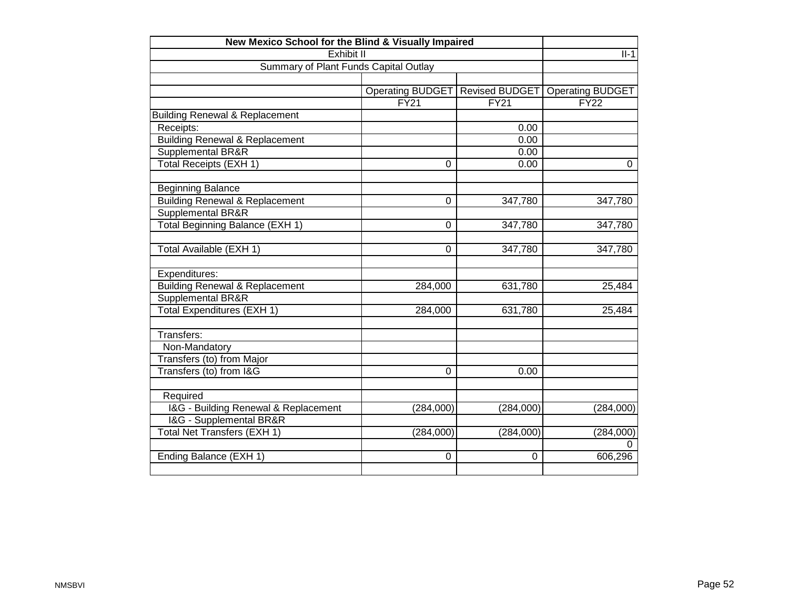| New Mexico School for the Blind & Visually Impaired |                         |                |                         |  |  |  |
|-----------------------------------------------------|-------------------------|----------------|-------------------------|--|--|--|
| Exhibit II                                          |                         |                | $II-1$                  |  |  |  |
| Summary of Plant Funds Capital Outlay               |                         |                |                         |  |  |  |
|                                                     |                         |                |                         |  |  |  |
|                                                     | <b>Operating BUDGET</b> | Revised BUDGET | <b>Operating BUDGET</b> |  |  |  |
|                                                     | $\overline{FY21}$       | FY21           | $\overline{FY22}$       |  |  |  |
| <b>Building Renewal &amp; Replacement</b>           |                         |                |                         |  |  |  |
| Receipts:                                           |                         | 0.00           |                         |  |  |  |
| <b>Building Renewal &amp; Replacement</b>           |                         | 0.00           |                         |  |  |  |
| Supplemental BR&R                                   |                         | 0.00           |                         |  |  |  |
| <b>Total Receipts (EXH 1)</b>                       | $\Omega$                | 0.00           | 0                       |  |  |  |
|                                                     |                         |                |                         |  |  |  |
| <b>Beginning Balance</b>                            |                         |                |                         |  |  |  |
| <b>Building Renewal &amp; Replacement</b>           | 0                       | 347,780        | 347,780                 |  |  |  |
| <b>Supplemental BR&amp;R</b>                        |                         |                |                         |  |  |  |
| Total Beginning Balance (EXH 1)                     | 0                       | 347,780        | 347,780                 |  |  |  |
|                                                     |                         |                |                         |  |  |  |
| Total Available (EXH 1)                             | 0                       | 347,780        | 347,780                 |  |  |  |
|                                                     |                         |                |                         |  |  |  |
| Expenditures:                                       |                         |                |                         |  |  |  |
| <b>Building Renewal &amp; Replacement</b>           | 284,000                 | 631,780        | 25,484                  |  |  |  |
| <b>Supplemental BR&amp;R</b>                        |                         |                |                         |  |  |  |
| Total Expenditures (EXH 1)                          | 284,000                 | 631,780        | 25,484                  |  |  |  |
|                                                     |                         |                |                         |  |  |  |
| Transfers:                                          |                         |                |                         |  |  |  |
| Non-Mandatory                                       |                         |                |                         |  |  |  |
| Transfers (to) from Major                           |                         |                |                         |  |  |  |
| Transfers (to) from I&G                             | $\Omega$                | 0.00           |                         |  |  |  |
|                                                     |                         |                |                         |  |  |  |
| Required                                            |                         |                |                         |  |  |  |
| I&G - Building Renewal & Replacement                | (284,000)               | (284,000)      | (284,000)               |  |  |  |
| I&G - Supplemental BR&R                             |                         |                |                         |  |  |  |
| Total Net Transfers (EXH 1)                         | (284,000)               | (284,000)      | (284,000)               |  |  |  |
|                                                     |                         |                | O                       |  |  |  |
| Ending Balance (EXH 1)                              | 0                       | $\overline{0}$ | 606,296                 |  |  |  |
|                                                     |                         |                |                         |  |  |  |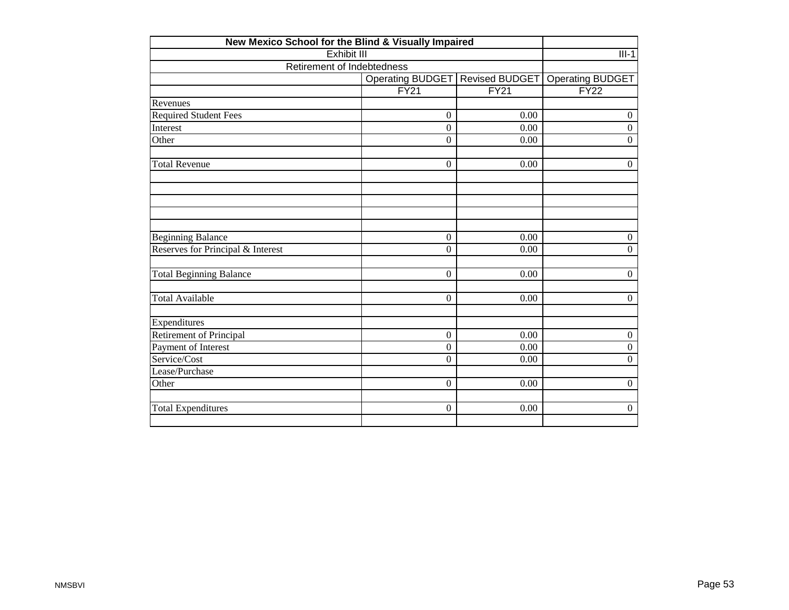| New Mexico School for the Blind & Visually Impaired |                            |                       |                         |  |  |  |  |  |  |
|-----------------------------------------------------|----------------------------|-----------------------|-------------------------|--|--|--|--|--|--|
| Exhibit III                                         |                            |                       | $III-1$                 |  |  |  |  |  |  |
|                                                     | Retirement of Indebtedness |                       |                         |  |  |  |  |  |  |
|                                                     | Operating BUDGET           | <b>Revised BUDGET</b> | <b>Operating BUDGET</b> |  |  |  |  |  |  |
|                                                     | FY21                       | FY21                  | FY22                    |  |  |  |  |  |  |
| Revenues                                            |                            |                       |                         |  |  |  |  |  |  |
| <b>Required Student Fees</b>                        | $\boldsymbol{0}$           | 0.00                  | $\boldsymbol{0}$        |  |  |  |  |  |  |
| Interest                                            | $\overline{0}$             | 0.00                  | $\overline{0}$          |  |  |  |  |  |  |
| Other                                               | $\mathbf{0}$               | 0.00                  | $\overline{0}$          |  |  |  |  |  |  |
| <b>Total Revenue</b>                                | $\overline{0}$             | 0.00                  | $\overline{0}$          |  |  |  |  |  |  |
|                                                     |                            |                       |                         |  |  |  |  |  |  |
|                                                     |                            |                       |                         |  |  |  |  |  |  |
| <b>Beginning Balance</b>                            | $\overline{0}$             | 0.00                  | $\overline{0}$          |  |  |  |  |  |  |
| Reserves for Principal & Interest                   | $\overline{0}$             | 0.00                  | $\overline{0}$          |  |  |  |  |  |  |
| <b>Total Beginning Balance</b>                      | $\boldsymbol{0}$           | 0.00                  | $\overline{0}$          |  |  |  |  |  |  |
| <b>Total Available</b>                              | $\overline{0}$             | 0.00                  | $\overline{0}$          |  |  |  |  |  |  |
| Expenditures                                        |                            |                       |                         |  |  |  |  |  |  |
| Retirement of Principal                             | $\boldsymbol{0}$           | 0.00                  | $\boldsymbol{0}$        |  |  |  |  |  |  |
| Payment of Interest                                 | $\overline{0}$             | 0.00                  | $\overline{0}$          |  |  |  |  |  |  |
| Service/Cost                                        | $\boldsymbol{0}$           | 0.00                  | $\boldsymbol{0}$        |  |  |  |  |  |  |
| Lease/Purchase                                      |                            |                       |                         |  |  |  |  |  |  |
| Other                                               | $\mathbf{0}$               | 0.00                  | $\overline{0}$          |  |  |  |  |  |  |
| <b>Total Expenditures</b>                           | $\boldsymbol{0}$           | 0.00                  | $\overline{0}$          |  |  |  |  |  |  |
|                                                     |                            |                       |                         |  |  |  |  |  |  |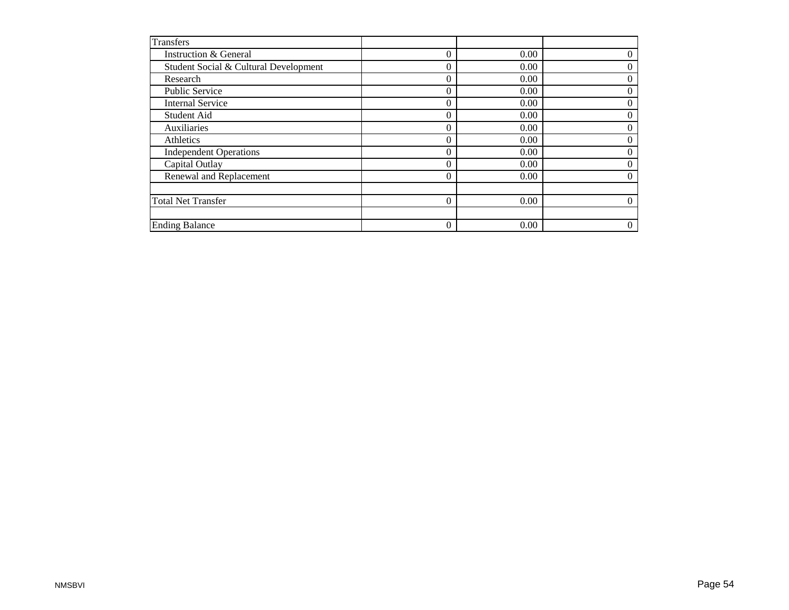| <b>Transfers</b>                      |                |      |                  |
|---------------------------------------|----------------|------|------------------|
| Instruction & General                 | $\theta$       | 0.00 | 0                |
| Student Social & Cultural Development | $\Omega$       | 0.00 | 0                |
| Research                              | $\Omega$       | 0.00 | $\overline{0}$   |
| <b>Public Service</b>                 | $\overline{0}$ | 0.00 | $\theta$         |
| <b>Internal Service</b>               | $\Omega$       | 0.00 | 0                |
| Student Aid                           | $\Omega$       | 0.00 | $\theta$         |
| Auxiliaries                           | $\mathbf{0}$   | 0.00 | $\boldsymbol{0}$ |
| Athletics                             | $\Omega$       | 0.00 | $\theta$         |
| <b>Independent Operations</b>         | $\Omega$       | 0.00 | $\theta$         |
| Capital Outlay                        | $\theta$       | 0.00 | $\theta$         |
| Renewal and Replacement               | $\Omega$       | 0.00 | $\boldsymbol{0}$ |
|                                       |                |      |                  |
| <b>Total Net Transfer</b>             | $\Omega$       | 0.00 | 0                |
|                                       |                |      |                  |
| <b>Ending Balance</b>                 | $\mathbf{0}$   | 0.00 | $\overline{0}$   |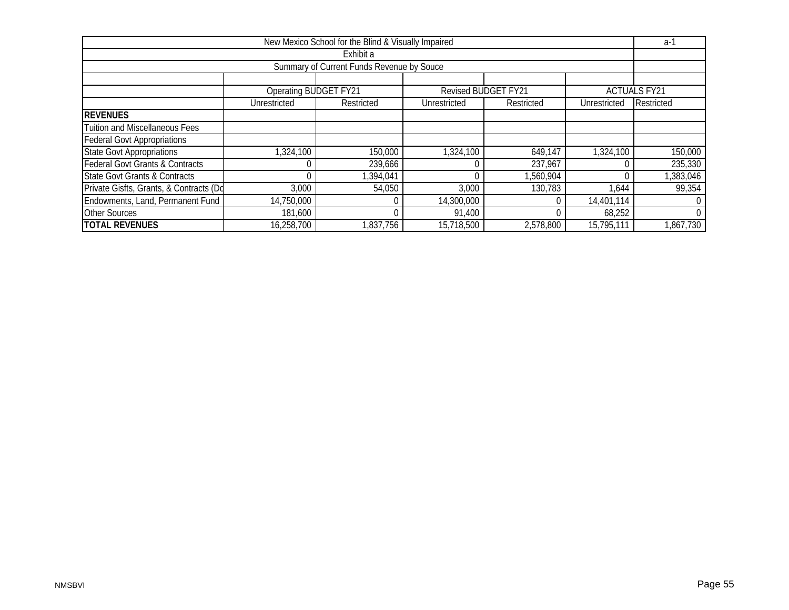| New Mexico School for the Blind & Visually Impaired |                              |            |              |                            |              |                     |  |  |  |  |  |  |
|-----------------------------------------------------|------------------------------|------------|--------------|----------------------------|--------------|---------------------|--|--|--|--|--|--|
| Exhibit a                                           |                              |            |              |                            |              |                     |  |  |  |  |  |  |
| Summary of Current Funds Revenue by Souce           |                              |            |              |                            |              |                     |  |  |  |  |  |  |
|                                                     |                              |            |              |                            |              |                     |  |  |  |  |  |  |
|                                                     | <b>Operating BUDGET FY21</b> |            |              | <b>Revised BUDGET FY21</b> |              | <b>ACTUALS FY21</b> |  |  |  |  |  |  |
|                                                     | Unrestricted                 | Restricted | Unrestricted | Restricted                 | Unrestricted | Restricted          |  |  |  |  |  |  |
| <b>REVENUES</b>                                     |                              |            |              |                            |              |                     |  |  |  |  |  |  |
| <b>Tuition and Miscellaneous Fees</b>               |                              |            |              |                            |              |                     |  |  |  |  |  |  |
| <b>Federal Govt Appropriations</b>                  |                              |            |              |                            |              |                     |  |  |  |  |  |  |
| <b>State Govt Appropriations</b>                    | 1,324,100                    | 150,000    | 1,324,100    | 649,147                    | 1,324,100    | 150,000             |  |  |  |  |  |  |
| <b>Federal Govt Grants &amp; Contracts</b>          |                              | 239,666    |              | 237,967                    |              | 235,330             |  |  |  |  |  |  |
| <b>State Govt Grants &amp; Contracts</b>            |                              | ,394,041   |              | ,560,904                   |              | ,383,046            |  |  |  |  |  |  |
| Private Gisfts, Grants, & Contracts (Do             | 3,000                        | 54,050     | 3,000        | 130,783                    | 1,644        | 99,354              |  |  |  |  |  |  |
| Endowments, Land, Permanent Fund                    | 14,750,000                   |            | 14,300,000   |                            | 14,401,114   |                     |  |  |  |  |  |  |
| <b>Other Sources</b>                                | 181,600                      |            | 91,400       |                            | 68,252       | 0                   |  |  |  |  |  |  |
| <b>TOTAL REVENUES</b>                               | 16,258,700                   | ,837,756   | 15,718,500   | 2,578,800                  | 15,795,111   | 867,730             |  |  |  |  |  |  |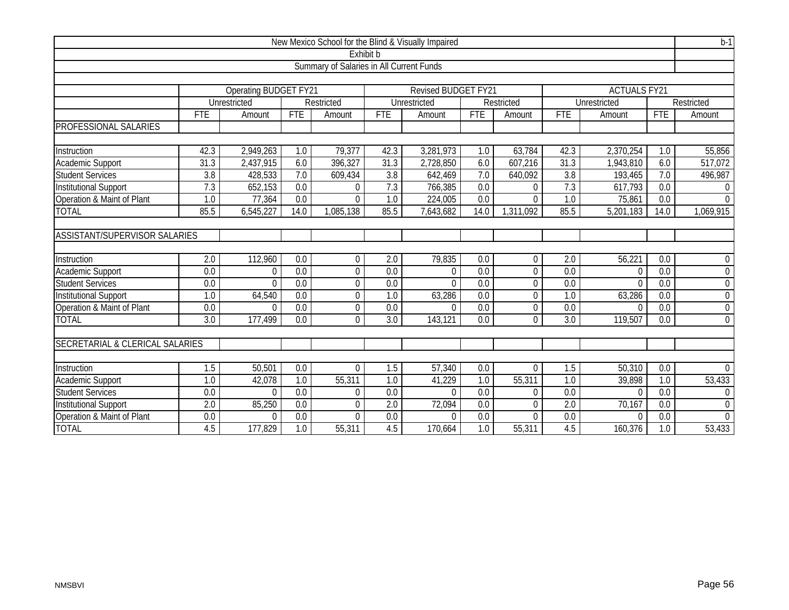| New Mexico School for the Blind & Visually Impaired |                                          |                       |                  |                |                  |                            |                  |                |                  |                     | $b-1$            |                |  |  |
|-----------------------------------------------------|------------------------------------------|-----------------------|------------------|----------------|------------------|----------------------------|------------------|----------------|------------------|---------------------|------------------|----------------|--|--|
|                                                     |                                          |                       |                  | Exhibit b      |                  |                            |                  |                |                  |                     |                  |                |  |  |
|                                                     | Summary of Salaries in All Current Funds |                       |                  |                |                  |                            |                  |                |                  |                     |                  |                |  |  |
|                                                     |                                          |                       |                  |                |                  |                            |                  |                |                  |                     |                  |                |  |  |
|                                                     |                                          | Operating BUDGET FY21 |                  |                |                  | <b>Revised BUDGET FY21</b> |                  |                |                  | <b>ACTUALS FY21</b> |                  |                |  |  |
|                                                     |                                          | Unrestricted          |                  | Restricted     |                  | Unrestricted               |                  | Restricted     |                  | Unrestricted        |                  | Restricted     |  |  |
|                                                     | <b>FTE</b>                               | Amount                | <b>FTE</b>       | Amount         | <b>FTE</b>       | Amount                     | <b>FTE</b>       | Amount         | <b>FTE</b>       | Amount              | <b>FTE</b>       | Amount         |  |  |
| PROFESSIONAL SALARIES                               |                                          |                       |                  |                |                  |                            |                  |                |                  |                     |                  |                |  |  |
|                                                     |                                          |                       |                  |                |                  |                            |                  |                |                  |                     |                  |                |  |  |
| Instruction                                         | 42.3                                     | 2,949,263             | 1.0              | 79,377         | 42.3             | 3,281,973                  | 1.0              | 63,784         | 42.3             | 2,370,254           | 1.0              | 55,856         |  |  |
| Academic Support                                    | 31.3                                     | 2,437,915             | 6.0              | 396,327        | 31.3             | 2,728,850                  | 6.0              | 607,216        | 31.3             | 1,943,810           | 6.0              | 517,072        |  |  |
| <b>Student Services</b>                             | 3.8                                      | 428,533               | 7.0              | 609,434        | 3.8              | 642,469                    | 7.0              | 640,092        | 3.8              | 193,465             | 7.0              | 496,987        |  |  |
| <b>Institutional Support</b>                        | 7.3                                      | 652,153               | 0.0              | $\Omega$       | 7.3              | 766,385                    | 0.0              | $\Omega$       | 7.3              | 617,793             | 0.0              | $\mathbf{0}$   |  |  |
| Operation & Maint of Plant                          | 1.0                                      | 77,364                | $\overline{0.0}$ | $\Omega$       | 1.0              | 224,005                    | $\overline{0.0}$ | $\Omega$       | 1.0              | 75,861              | $\overline{0.0}$ | $\Omega$       |  |  |
| <b>TOTAL</b>                                        | 85.5                                     | 6,545,227             | 14.0             | 1,085,138      | 85.5             | 7,643,682                  | 14.0             | 1,311,092      | 85.5             | 5,201,183           | 14.0             | 1,069,915      |  |  |
|                                                     |                                          |                       |                  |                |                  |                            |                  |                |                  |                     |                  |                |  |  |
| <b>ASSISTANT/SUPERVISOR SALARIES</b>                |                                          |                       |                  |                |                  |                            |                  |                |                  |                     |                  |                |  |  |
|                                                     |                                          |                       |                  |                |                  |                            |                  |                |                  |                     |                  |                |  |  |
| Instruction                                         | 2.0                                      | 112,960               | 0.0              | $\overline{0}$ | 2.0              | 79,835                     | 0.0              | $\mathbf{0}$   | 2.0              | 56,221              | 0.0              | $\mathbf 0$    |  |  |
| Academic Support                                    | $\overline{0.0}$                         | $\Omega$              | $\overline{0.0}$ | $\overline{0}$ | $\overline{0.0}$ | $\Omega$                   | $\overline{0.0}$ | $\overline{0}$ | 0.0              | $\mathbf 0$         | $\overline{0.0}$ | $\overline{0}$ |  |  |
| <b>Student Services</b>                             | 0.0                                      | $\Omega$              | $\overline{0.0}$ | $\overline{0}$ | 0.0              | $\Omega$                   | $\overline{0.0}$ | $\overline{0}$ | $\overline{0.0}$ | $\Omega$            | $\overline{0.0}$ | $\mathbf 0$    |  |  |
| <b>Institutional Support</b>                        | 1.0                                      | 64,540                | 0.0              | $\mathbf 0$    | 1.0              | 63,286                     | 0.0              | $\mathbf 0$    | 1.0              | 63,286              | 0.0              | $\mathbf 0$    |  |  |
| Operation & Maint of Plant                          | 0.0                                      | $\Omega$              | 0.0              | $\Omega$       | 0.0              | $\Omega$                   | 0.0              | $\Omega$       | $\overline{0.0}$ | $\theta$            | 0.0              | $\overline{0}$ |  |  |
| <b>TOTAL</b>                                        | $\overline{3.0}$                         | 177,499               | $\overline{0.0}$ | $\Omega$       | $\overline{3.0}$ | 143,121                    | $\overline{0.0}$ | $\Omega$       | $\overline{3.0}$ | 119,507             | 0.0              | $\overline{0}$ |  |  |
|                                                     |                                          |                       |                  |                |                  |                            |                  |                |                  |                     |                  |                |  |  |
| <b>SECRETARIAL &amp; CLERICAL SALARIES</b>          |                                          |                       |                  |                |                  |                            |                  |                |                  |                     |                  |                |  |  |
|                                                     |                                          |                       |                  |                |                  |                            |                  |                |                  |                     |                  |                |  |  |
| Instruction                                         | 1.5                                      | 50,501                | 0.0              | $\Omega$       | 1.5              | 57,340                     | 0.0              | $\Omega$       | 1.5              | 50,310              | 0.0              | $\overline{0}$ |  |  |
| <b>Academic Support</b>                             | $\overline{1.0}$                         | 42,078                | $\overline{1.0}$ | 55,311         | 1.0              | 41,229                     | $\overline{1.0}$ | 55,311         | $\overline{1.0}$ | 39,898              | $\overline{1.0}$ | 53,433         |  |  |
| <b>Student Services</b>                             | $\overline{0.0}$                         | $\Omega$              | $\overline{0.0}$ | $\mathbf 0$    | $\overline{0.0}$ | $\Omega$                   | 0.0              | $\theta$       | $\overline{0.0}$ | $\mathbf 0$         | $\overline{0.0}$ | $\mathbf 0$    |  |  |
| <b>Institutional Support</b>                        | 2.0                                      | 85,250                | 0.0              | $\Omega$       | 2.0              | 72,094                     | 0.0              | $\Omega$       | 2.0              | 70,167              | 0.0              | $\mathbf 0$    |  |  |
| Operation & Maint of Plant                          | 0.0                                      | $\Omega$              | 0.0              | $\Omega$       | 0.0              | $\Omega$                   | 0.0              | $\Omega$       | 0.0              | $\Omega$            | 0.0              | $\mathbf{0}$   |  |  |
| <b>TOTAL</b>                                        | 4.5                                      | 177,829               | 1.0              | 55,311         | 4.5              | 170,664                    | 1.0              | 55,311         | 4.5              | 160,376             | 1.0              | 53,433         |  |  |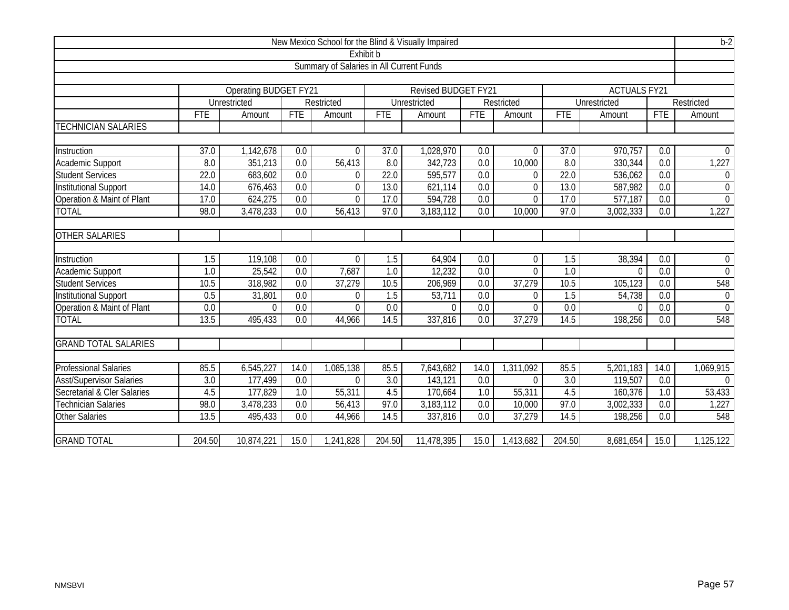| New Mexico School for the Blind & Visually Impaired |                                          |                              |                  |                |                   |                            |                  |                |                  |                     | $b-2$            |                  |  |
|-----------------------------------------------------|------------------------------------------|------------------------------|------------------|----------------|-------------------|----------------------------|------------------|----------------|------------------|---------------------|------------------|------------------|--|
| Exhibit b                                           |                                          |                              |                  |                |                   |                            |                  |                |                  |                     |                  |                  |  |
|                                                     | Summary of Salaries in All Current Funds |                              |                  |                |                   |                            |                  |                |                  |                     |                  |                  |  |
|                                                     |                                          |                              |                  |                |                   |                            |                  |                |                  |                     |                  |                  |  |
|                                                     |                                          | <b>Operating BUDGET FY21</b> |                  |                |                   | <b>Revised BUDGET FY21</b> |                  |                |                  | <b>ACTUALS FY21</b> |                  |                  |  |
|                                                     |                                          | Unrestricted                 |                  | Restricted     |                   | Unrestricted               |                  | Restricted     |                  | Unrestricted        |                  | Restricted       |  |
|                                                     | FTE                                      | Amount                       | <b>FTE</b>       | Amount         | <b>FTE</b>        | Amount                     | <b>FTE</b>       | Amount         | <b>FTE</b>       | Amount              | <b>FTE</b>       | Amount           |  |
| <b>TECHNICIAN SALARIES</b>                          |                                          |                              |                  |                |                   |                            |                  |                |                  |                     |                  |                  |  |
|                                                     |                                          |                              |                  |                |                   |                            |                  |                |                  |                     |                  |                  |  |
| Instruction                                         | $\overline{37.0}$                        | 1,142,678                    | 0.0              | $\Omega$       | $\overline{37.0}$ | 1,028,970                  | 0.0              | $\Omega$       | 37.0             | 970,757             | 0.0              | $\Omega$         |  |
| <b>Academic Support</b>                             | 8.0                                      | 351,213                      | $\overline{0.0}$ | 56,413         | $\overline{8.0}$  | 342,723                    | $\overline{0.0}$ | 10,000         | 8.0              | 330,344             | 0.0              | 1,227            |  |
| <b>Student Services</b>                             | 22.0                                     | 683,602                      | 0.0              | 0              | 22.0              | 595,577                    | 0.0              | $\Omega$       | 22.0             | 536,062             | 0.0              | $\overline{0}$   |  |
| <b>Institutional Support</b>                        | 14.0                                     | 676,463                      | $\overline{0.0}$ | $\overline{0}$ | 13.0              | 621,114                    | $\overline{0.0}$ | $\overline{0}$ | 13.0             | 587,982             | 0.0              | $\mathbf 0$      |  |
| Operation & Maint of Plant                          | 17.0                                     | 624,275                      | $\overline{0.0}$ | $\overline{0}$ | 17.0              | 594,728                    | $\overline{0.0}$ | $\overline{0}$ | 17.0             | 577,187             | 0.0              | $\overline{0}$   |  |
| <b>TOTAL</b>                                        | 98.0                                     | 3,478,233                    | 0.0              | 56,413         | 97.0              | 3,183,112                  | 0.0              | 10,000         | 97.0             | 3,002,333           | 0.0              | 1,227            |  |
|                                                     |                                          |                              |                  |                |                   |                            |                  |                |                  |                     |                  |                  |  |
| <b>OTHER SALARIES</b>                               |                                          |                              |                  |                |                   |                            |                  |                |                  |                     |                  |                  |  |
|                                                     |                                          |                              |                  |                |                   |                            |                  |                |                  |                     |                  |                  |  |
| Instruction                                         | 1.5                                      | 119,108                      | 0.0              | $\overline{0}$ | 1.5               | 64,904                     | 0.0              | $\mathbf 0$    | 1.5              | 38,394              | 0.0              | $\boldsymbol{0}$ |  |
| Academic Support                                    | 1.0                                      | 25,542                       | $\overline{0.0}$ | 7,687          | $\overline{1.0}$  | 12,232                     | $\overline{0.0}$ | $\Omega$       | $\overline{1.0}$ | $\Omega$            | $\overline{0.0}$ | $\overline{0}$   |  |
| <b>Student Services</b>                             | 10.5                                     | 318,982                      | 0.0              | 37,279         | 10.5              | 206,969                    | 0.0              | 37,279         | 10.5             | 105,123             | $\overline{0.0}$ | 548              |  |
| <b>Institutional Support</b>                        | 0.5                                      | 31,801                       | 0.0              | $\Omega$       | 1.5               | $53,71\overline{1}$        | 0.0              | $\Omega$       | 1.5              | 54,738              | 0.0              | $\overline{0}$   |  |
| Operation & Maint of Plant                          | $\overline{0.0}$                         | $\Omega$                     | $\overline{0.0}$ | $\Omega$       | $\overline{0.0}$  | $\Omega$                   | $\overline{0.0}$ | $\Omega$       | $\overline{0.0}$ | $\Omega$            | $\overline{0.0}$ | $\overline{0}$   |  |
| <b>TOTAL</b>                                        | 13.5                                     | 495,433                      | $\overline{0.0}$ | 44,966         | 14.5              | 337,816                    | 0.0              | 37,279         | 14.5             | 198,256             | $\overline{0.0}$ | 548              |  |
|                                                     |                                          |                              |                  |                |                   |                            |                  |                |                  |                     |                  |                  |  |
| <b>GRAND TOTAL SALARIES</b>                         |                                          |                              |                  |                |                   |                            |                  |                |                  |                     |                  |                  |  |
|                                                     |                                          |                              |                  |                |                   |                            |                  |                |                  |                     |                  |                  |  |
| <b>Professional Salaries</b>                        | 85.5                                     | 6,545,227                    | 14.0             | 1,085,138      | 85.5              | 7,643,682                  | 14.0             | 1,311,092      | 85.5             | 5,201,183           | 14.0             | 1,069,915        |  |
| <b>Asst/Supervisor Salaries</b>                     | 3.0                                      | 177,499                      | 0.0              | $\Omega$       | $\overline{3.0}$  | 143,121                    | 0.0              | $\Omega$       | $\overline{3.0}$ | 119,507             | 0.0              | $\Omega$         |  |
| Secretarial & Cler Salaries                         | 4.5                                      | 177,829                      | 1.0              | 55,311         | 4.5               | 170,664                    | 1.0              | 55,311         | 4.5              | 160,376             | $\overline{1.0}$ | 53,433           |  |
| <b>Technician Salaries</b>                          | 98.0                                     | 3,478,233                    | 0.0              | 56,413         | 97.0              | 3,183,112                  | 0.0              | 10,000         | 97.0             | 3,002,333           | $\overline{0.0}$ | 1,227            |  |
| <b>Other Salaries</b>                               | 13.5                                     | 495,433                      | $\overline{0.0}$ | 44,966         | 14.5              | 337,816                    | $\overline{0.0}$ | 37,279         | 14.5             | 198,256             | 0.0              | 548              |  |
|                                                     |                                          |                              |                  |                |                   |                            |                  |                |                  |                     |                  |                  |  |
| <b>GRAND TOTAL</b>                                  | 204.50                                   | 10,874,221                   | 15.0             | 1,241,828      | 204.50            | 11,478,395                 | 15.0             | 1,413,682      | 204.50           | 8,681,654           | 15.0             | 1,125,122        |  |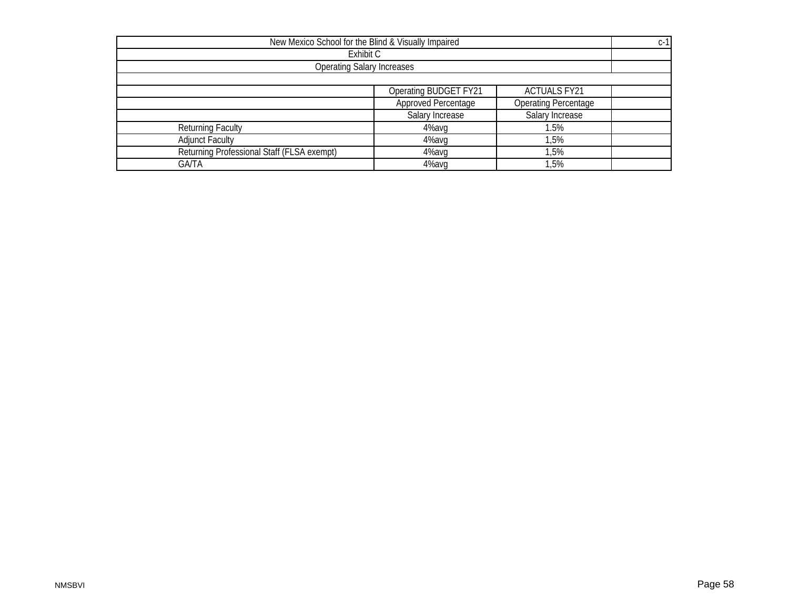| New Mexico School for the Blind & Visually Impaired       |                       |                     |  |  |  |  |  |
|-----------------------------------------------------------|-----------------------|---------------------|--|--|--|--|--|
| Exhibit C                                                 |                       |                     |  |  |  |  |  |
| <b>Operating Salary Increases</b>                         |                       |                     |  |  |  |  |  |
|                                                           |                       |                     |  |  |  |  |  |
|                                                           | Operating BUDGET FY21 | <b>ACTUALS FY21</b> |  |  |  |  |  |
| <b>Approved Percentage</b><br><b>Operating Percentage</b> |                       |                     |  |  |  |  |  |
|                                                           | Salary Increase       | Salary Increase     |  |  |  |  |  |
| <b>Returning Faculty</b>                                  | 4%avg                 | 1.5%                |  |  |  |  |  |
| <b>Adjunct Faculty</b>                                    | 4%avg                 | 1,5%                |  |  |  |  |  |
| Returning Professional Staff (FLSA exempt)                | 4%avq                 | 1,5%                |  |  |  |  |  |
| <b>GA/TA</b>                                              | 4%avq                 | 1,5%                |  |  |  |  |  |